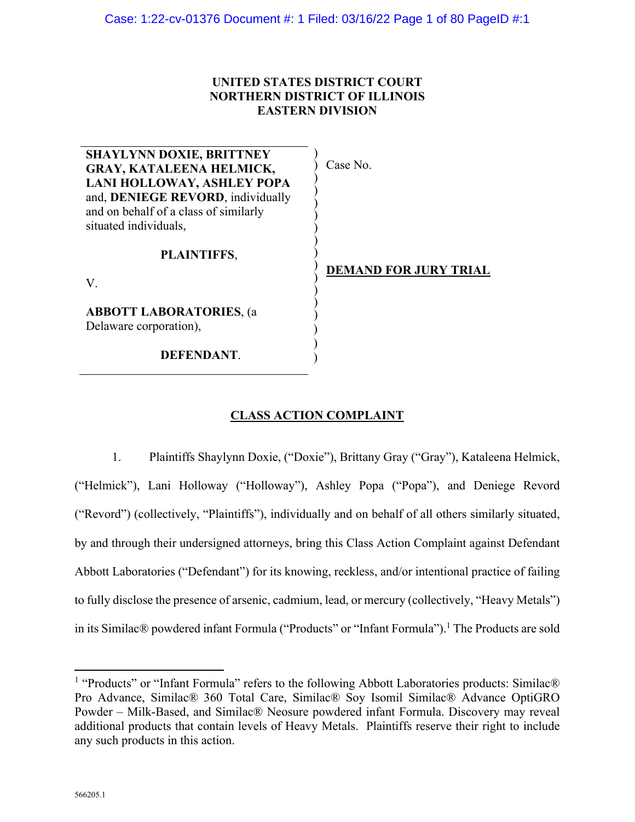## **UNITED STATES DISTRICT COURT NORTHERN DISTRICT OF ILLINOIS EASTERN DIVISION**

| <b>SHAYLYNN DOXIE, BRITTNEY</b>       |                              |
|---------------------------------------|------------------------------|
| <b>GRAY, KATALEENA HELMICK,</b>       | Case No.                     |
| LANI HOLLOWAY, ASHLEY POPA            |                              |
| and, DENIEGE REVORD, individually     |                              |
| and on behalf of a class of similarly |                              |
| situated individuals,                 |                              |
| PLAINTIFFS,                           |                              |
| V.                                    | <b>DEMAND FOR JURY TRIAL</b> |
| <b>ABBOTT LABORATORIES, (a)</b>       |                              |
| Delaware corporation),                |                              |
| DEFENDANT.                            |                              |

# **CLASS ACTION COMPLAINT**

)

1. Plaintiffs Shaylynn Doxie, ("Doxie"), Brittany Gray ("Gray"), Kataleena Helmick, ("Helmick"), Lani Holloway ("Holloway"), Ashley Popa ("Popa"), and Deniege Revord ("Revord") (collectively, "Plaintiffs"), individually and on behalf of all others similarly situated, by and through their undersigned attorneys, bring this Class Action Complaint against Defendant Abbott Laboratories ("Defendant") for its knowing, reckless, and/or intentional practice of failing to fully disclose the presence of arsenic, cadmium, lead, or mercury (collectively, "Heavy Metals") in its Similac® powdered infant Formula ("Products" or "Infant Formula").<sup>1</sup> The Products are sold

<sup>&</sup>lt;sup>1</sup> "Products" or "Infant Formula" refers to the following Abbott Laboratories products: Similac® Pro Advance, Similac® 360 Total Care, Similac® Soy Isomil Similac® Advance OptiGRO Powder – Milk-Based, and Similac® Neosure powdered infant Formula. Discovery may reveal additional products that contain levels of Heavy Metals. Plaintiffs reserve their right to include any such products in this action.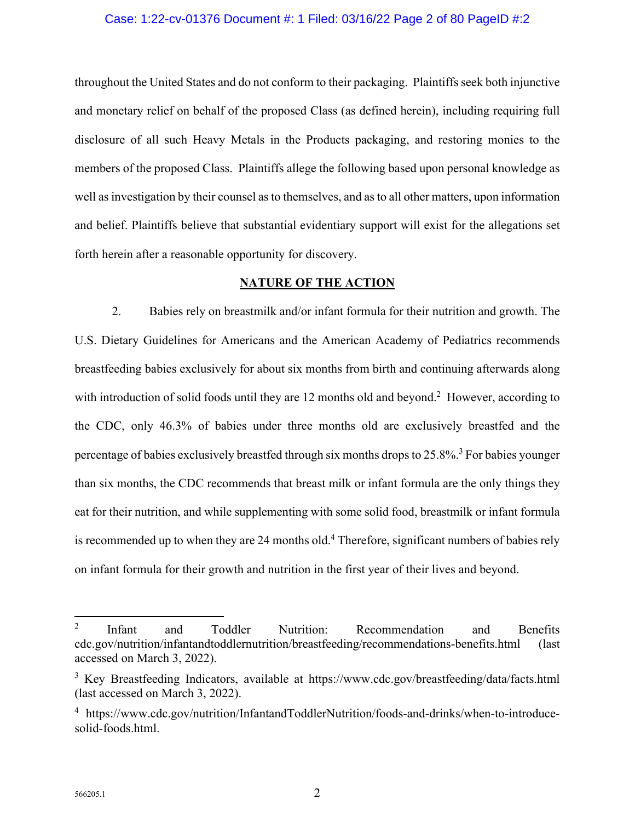## Case: 1:22-cv-01376 Document #: 1 Filed: 03/16/22 Page 2 of 80 PageID #:2

throughout the United States and do not conform to their packaging. Plaintiffs seek both injunctive and monetary relief on behalf of the proposed Class (as defined herein), including requiring full disclosure of all such Heavy Metals in the Products packaging, and restoring monies to the members of the proposed Class. Plaintiffs allege the following based upon personal knowledge as well as investigation by their counsel as to themselves, and as to all other matters, upon information and belief. Plaintiffs believe that substantial evidentiary support will exist for the allegations set forth herein after a reasonable opportunity for discovery.

## **NATURE OF THE ACTION**

2. Babies rely on breastmilk and/or infant formula for their nutrition and growth. The U.S. Dietary Guidelines for Americans and the American Academy of Pediatrics recommends breastfeeding babies exclusively for about six months from birth and continuing afterwards along with introduction of solid foods until they are 12 months old and beyond.<sup>2</sup> However, according to the CDC, only 46.3% of babies under three months old are exclusively breastfed and the percentage of babies exclusively breastfed through six months drops to 25.8%.<sup>3</sup> For babies younger than six months, the CDC recommends that breast milk or infant formula are the only things they eat for their nutrition, and while supplementing with some solid food, breastmilk or infant formula is recommended up to when they are 24 months old.<sup>4</sup> Therefore, significant numbers of babies rely on infant formula for their growth and nutrition in the first year of their lives and beyond.

<sup>2</sup> Infant and Toddler Nutrition: Recommendation and Benefits cdc.gov/nutrition/infantandtoddlernutrition/breastfeeding/recommendations-benefits.html (last accessed on March 3, 2022).

<sup>&</sup>lt;sup>3</sup> Key Breastfeeding Indicators, available at https://www.cdc.gov/breastfeeding/data/facts.html (last accessed on March 3, 2022).

<sup>4</sup> https://www.cdc.gov/nutrition/InfantandToddlerNutrition/foods-and-drinks/when-to-introducesolid-foods.html.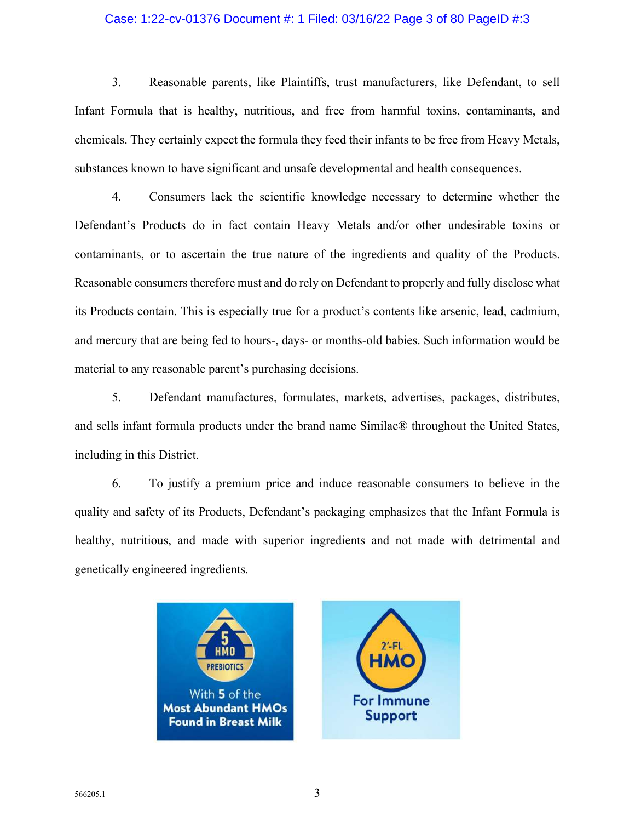## Case: 1:22-cv-01376 Document #: 1 Filed: 03/16/22 Page 3 of 80 PageID #:3

3. Reasonable parents, like Plaintiffs, trust manufacturers, like Defendant, to sell Infant Formula that is healthy, nutritious, and free from harmful toxins, contaminants, and chemicals. They certainly expect the formula they feed their infants to be free from Heavy Metals, substances known to have significant and unsafe developmental and health consequences.

4. Consumers lack the scientific knowledge necessary to determine whether the Defendant's Products do in fact contain Heavy Metals and/or other undesirable toxins or contaminants, or to ascertain the true nature of the ingredients and quality of the Products. Reasonable consumers therefore must and do rely on Defendant to properly and fully disclose what its Products contain. This is especially true for a product's contents like arsenic, lead, cadmium, and mercury that are being fed to hours-, days- or months-old babies. Such information would be material to any reasonable parent's purchasing decisions.

5. Defendant manufactures, formulates, markets, advertises, packages, distributes, and sells infant formula products under the brand name Similac® throughout the United States, including in this District.

6. To justify a premium price and induce reasonable consumers to believe in the quality and safety of its Products, Defendant's packaging emphasizes that the Infant Formula is healthy, nutritious, and made with superior ingredients and not made with detrimental and genetically engineered ingredients.

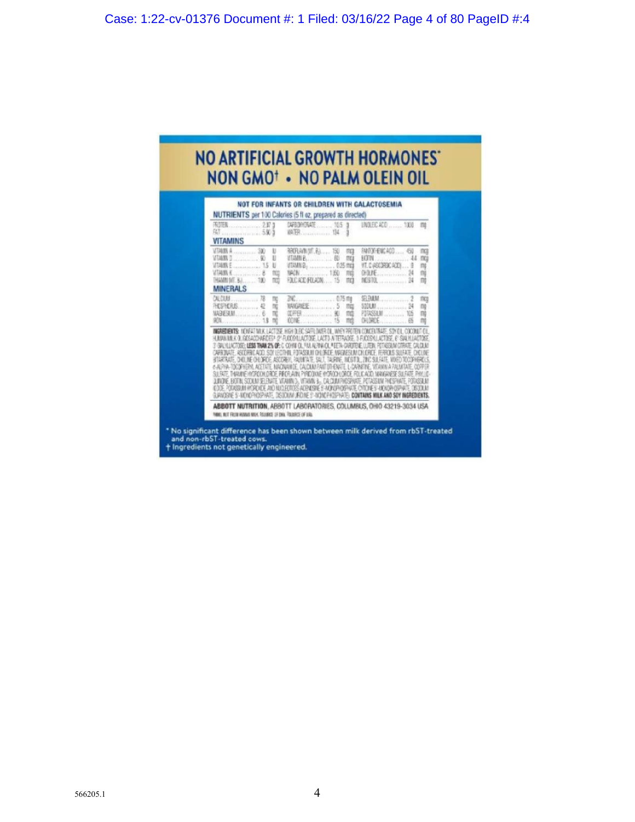# NO ARTIFICIAL GROWTH HORMONES' NON GMO<sup>+</sup> · NO PALM OLEIN OIL

| <b>VITAMINS</b>                                                                   | <b>INTER</b> 134                                                                                                                                                                                                                                                                                                                                                                                                                                                                                                                                                                                                                                                                                                                                                                                                                                                                                                                                                            | LINDLEG ACD  1300 mg                                                                                      |                 |
|-----------------------------------------------------------------------------------|-----------------------------------------------------------------------------------------------------------------------------------------------------------------------------------------------------------------------------------------------------------------------------------------------------------------------------------------------------------------------------------------------------------------------------------------------------------------------------------------------------------------------------------------------------------------------------------------------------------------------------------------------------------------------------------------------------------------------------------------------------------------------------------------------------------------------------------------------------------------------------------------------------------------------------------------------------------------------------|-----------------------------------------------------------------------------------------------------------|-----------------|
| VERMIN A  300 U<br>VERMIN D  90 U<br>WHAINE  15 U<br>TCD<br>加加<br><b>MINERALS</b> | 张阳和如果,孔 150 页<br>VTAMN B <sub>2</sub> 0.25 mg<br>MACN  1350 FEB<br>FAICACD FELADA  15 ITCL                                                                                                                                                                                                                                                                                                                                                                                                                                                                                                                                                                                                                                                                                                                                                                                                                                                                                  | FRIDEEKADD 60 mg<br>VT. C (ASCORDC ACC)  9<br><b><i>DOME</i></b>                                          | $\frac{m}{m}$   |
|                                                                                   | ाट                                                                                                                                                                                                                                                                                                                                                                                                                                                                                                                                                                                                                                                                                                                                                                                                                                                                                                                                                                          | <b>POTASSIUM</b> 105<br><b>CHLORDE</b>                                                                    | <b>DO</b><br>ng |
|                                                                                   | INGREDIENTS: HONFAT MEK LACTOSE, HEH OLEC SAFFEDATER OL, WHEY FROTEN CONCENTRATE, SOY OL, ODCONLIT OIL<br>HUNN NEK OLGOSACOVARDES! (2' FLOOSYLLACTOSE, LACTO AFTETNAKSE, O FLOOSYLLACTOSE, 6' SALYLLACTOSE<br>3' SIALHUACTOSEY <b>LESS THAN 25 OF:</b> C COHW OL FIX ALPINA OL MEETA CARDTENE LUTEIN POTASTAM CORATE CALCLIN<br>CARBONATE, ASCORBO, ACIO, SOY LECTIVIL, POTASSIUNI CHLOROE, MAGNESLIM CHLOROE, FERROLIS SULFATE, CHOLINE<br>BTARTAJTE, CHOUNE CHUDEDE, ASCOREN, PAUNTATE, SALT, TAURINE, INCISTOL, ZINC SULFATE, MIXED TOCOPHEROUS<br>6-ALPHA-TOCOFHERN, ACETATE, MACIANATE, CALCUM FANTOTHENATE, L-CAPATINE, VITAMIN A PALMITATE, COPPER<br>SUSSTE, THAWINE HYSPOCH ORDE, RIFOR AINL PYRIDONIE HYSPOCH ORDE, FOLICIACO, MANGANESE SUSATE, PHYLIC<br>JUNDIE, EDTIN, SODUM SELENATE, VITAMIN D., VITAMIN B., CALCUM PHOSPHATE, POTASSUN PHOSPHATE, POTASSUN<br>ODDE POTASSUM WORDIER AND NICLIOTES ACENDSHES MONOPHOSPIATE COTONIES HIENOPHOSPIATE OIS SOLIA | GJANDSKE S'-NOKOFHOSPAATE, DISIONINA URDINE S'-NOVICPHOSPHATEI, <b>Contains Milk and Soy Ingredients.</b> |                 |

t Ingredients not genetically engineered.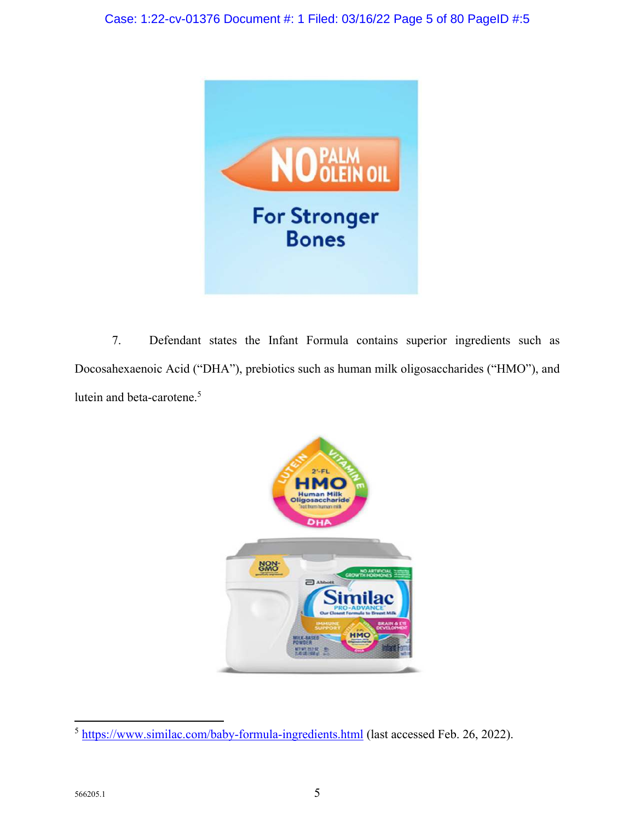

7. Defendant states the Infant Formula contains superior ingredients such as Docosahexaenoic Acid ("DHA"), prebiotics such as human milk oligosaccharides ("HMO"), and lutein and beta-carotene.<sup>5</sup>



<sup>5</sup> https://www.similac.com/baby-formula-ingredients.html (last accessed Feb. 26, 2022).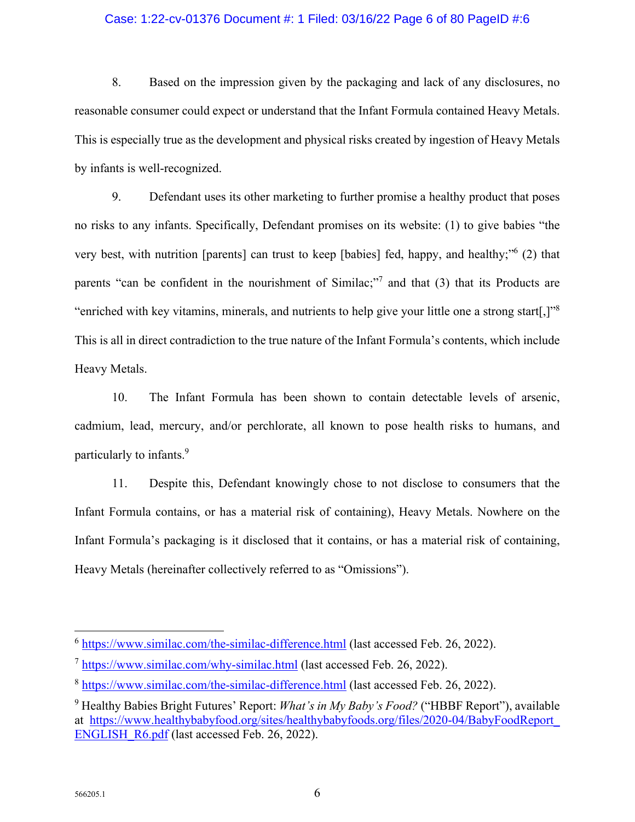## Case: 1:22-cv-01376 Document #: 1 Filed: 03/16/22 Page 6 of 80 PageID #:6

8. Based on the impression given by the packaging and lack of any disclosures, no reasonable consumer could expect or understand that the Infant Formula contained Heavy Metals. This is especially true as the development and physical risks created by ingestion of Heavy Metals by infants is well-recognized.

9. Defendant uses its other marketing to further promise a healthy product that poses no risks to any infants. Specifically, Defendant promises on its website: (1) to give babies "the very best, with nutrition [parents] can trust to keep [babies] fed, happy, and healthy;"<sup>6</sup> (2) that parents "can be confident in the nourishment of Similac;"<sup>7</sup> and that (3) that its Products are "enriched with key vitamins, minerals, and nutrients to help give your little one a strong start[,]"<sup>8</sup> This is all in direct contradiction to the true nature of the Infant Formula's contents, which include Heavy Metals.

10. The Infant Formula has been shown to contain detectable levels of arsenic, cadmium, lead, mercury, and/or perchlorate, all known to pose health risks to humans, and particularly to infants.<sup>9</sup>

11. Despite this, Defendant knowingly chose to not disclose to consumers that the Infant Formula contains, or has a material risk of containing), Heavy Metals. Nowhere on the Infant Formula's packaging is it disclosed that it contains, or has a material risk of containing, Heavy Metals (hereinafter collectively referred to as "Omissions").

<sup>6</sup> https://www.similac.com/the-similac-difference.html (last accessed Feb. 26, 2022).

 $^7$  https://www.similac.com/why-similac.html (last accessed Feb. 26, 2022).

<sup>8</sup> https://www.similac.com/the-similac-difference.html (last accessed Feb. 26, 2022).

<sup>9</sup> Healthy Babies Bright Futures' Report: *What's in My Baby's Food?* ("HBBF Report"), available at https://www.healthybabyfood.org/sites/healthybabyfoods.org/files/2020-04/BabyFoodReport\_ ENGLISH\_R6.pdf (last accessed Feb. 26, 2022).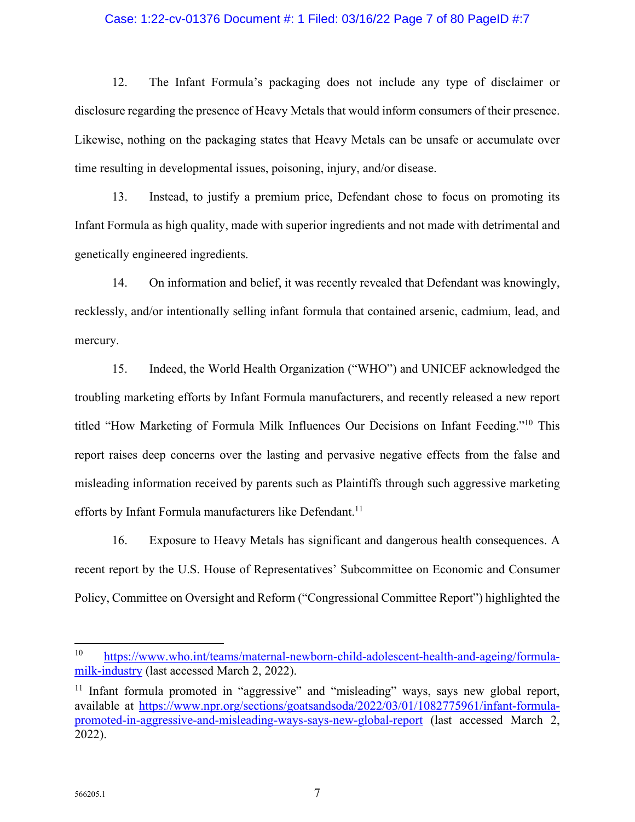## Case: 1:22-cv-01376 Document #: 1 Filed: 03/16/22 Page 7 of 80 PageID #:7

12. The Infant Formula's packaging does not include any type of disclaimer or disclosure regarding the presence of Heavy Metals that would inform consumers of their presence. Likewise, nothing on the packaging states that Heavy Metals can be unsafe or accumulate over time resulting in developmental issues, poisoning, injury, and/or disease.

13. Instead, to justify a premium price, Defendant chose to focus on promoting its Infant Formula as high quality, made with superior ingredients and not made with detrimental and genetically engineered ingredients.

14. On information and belief, it was recently revealed that Defendant was knowingly, recklessly, and/or intentionally selling infant formula that contained arsenic, cadmium, lead, and mercury.

15. Indeed, the World Health Organization ("WHO") and UNICEF acknowledged the troubling marketing efforts by Infant Formula manufacturers, and recently released a new report titled "How Marketing of Formula Milk Influences Our Decisions on Infant Feeding."<sup>10</sup> This report raises deep concerns over the lasting and pervasive negative effects from the false and misleading information received by parents such as Plaintiffs through such aggressive marketing efforts by Infant Formula manufacturers like Defendant.<sup>11</sup>

16. Exposure to Heavy Metals has significant and dangerous health consequences. A recent report by the U.S. House of Representatives' Subcommittee on Economic and Consumer Policy, Committee on Oversight and Reform ("Congressional Committee Report") highlighted the

<sup>10</sup> https://www.who.int/teams/maternal-newborn-child-adolescent-health-and-ageing/formulamilk-industry (last accessed March 2, 2022).

<sup>&</sup>lt;sup>11</sup> Infant formula promoted in "aggressive" and "misleading" ways, says new global report, available at https://www.npr.org/sections/goatsandsoda/2022/03/01/1082775961/infant-formulapromoted-in-aggressive-and-misleading-ways-says-new-global-report (last accessed March 2, 2022).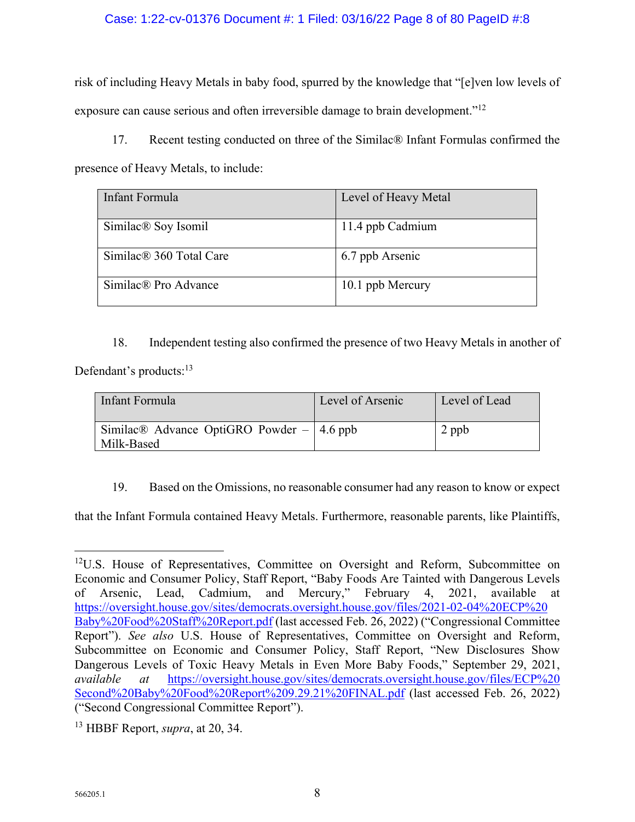## Case: 1:22-cv-01376 Document #: 1 Filed: 03/16/22 Page 8 of 80 PageID #:8

risk of including Heavy Metals in baby food, spurred by the knowledge that "[e]ven low levels of exposure can cause serious and often irreversible damage to brain development."<sup>12</sup>

17. Recent testing conducted on three of the Similac® Infant Formulas confirmed the presence of Heavy Metals, to include:

| Infant Formula                      | Level of Heavy Metal |
|-------------------------------------|----------------------|
| Similac <sup>®</sup> Soy Isomil     | 11.4 ppb Cadmium     |
| Similac <sup>®</sup> 360 Total Care | 6.7 ppb Arsenic      |
| Similac® Pro Advance                | 10.1 ppb Mercury     |

18. Independent testing also confirmed the presence of two Heavy Metals in another of

Defendant's products:<sup>13</sup>

| Infant Formula                                                          | Level of Arsenic | Level of Lead |
|-------------------------------------------------------------------------|------------------|---------------|
| Similac <sup>®</sup> Advance OptiGRO Powder $-$   4.6 ppb<br>Milk-Based |                  | $2$ ppb       |

19. Based on the Omissions, no reasonable consumer had any reason to know or expect

that the Infant Formula contained Heavy Metals. Furthermore, reasonable parents, like Plaintiffs,

<sup>&</sup>lt;sup>12</sup>U.S. House of Representatives, Committee on Oversight and Reform, Subcommittee on Economic and Consumer Policy, Staff Report, "Baby Foods Are Tainted with Dangerous Levels of Arsenic, Lead, Cadmium, and Mercury," February 4, 2021, available at https://oversight.house.gov/sites/democrats.oversight.house.gov/files/2021-02-04%20ECP%20 Baby%20Food%20Staff%20Report.pdf (last accessed Feb. 26, 2022) ("Congressional Committee Report"). *See also* U.S. House of Representatives, Committee on Oversight and Reform, Subcommittee on Economic and Consumer Policy, Staff Report, "New Disclosures Show Dangerous Levels of Toxic Heavy Metals in Even More Baby Foods," September 29, 2021, *available at* https://oversight.house.gov/sites/democrats.oversight.house.gov/files/ECP%20 Second%20Baby%20Food%20Report%209.29.21%20FINAL.pdf (last accessed Feb. 26, 2022) ("Second Congressional Committee Report").

<sup>13</sup> HBBF Report, *supra*, at 20, 34.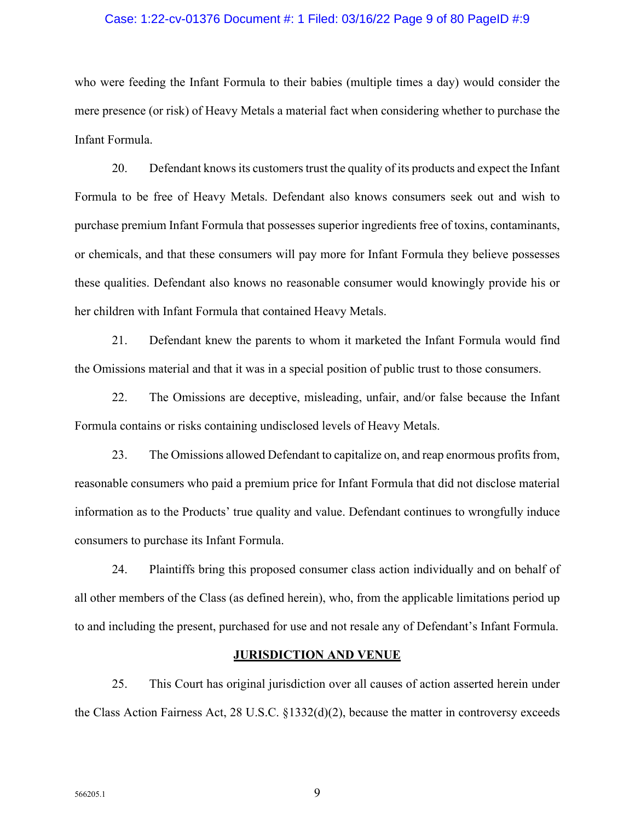#### Case: 1:22-cv-01376 Document #: 1 Filed: 03/16/22 Page 9 of 80 PageID #:9

who were feeding the Infant Formula to their babies (multiple times a day) would consider the mere presence (or risk) of Heavy Metals a material fact when considering whether to purchase the Infant Formula.

20. Defendant knows its customers trust the quality of its products and expect the Infant Formula to be free of Heavy Metals. Defendant also knows consumers seek out and wish to purchase premium Infant Formula that possesses superior ingredients free of toxins, contaminants, or chemicals, and that these consumers will pay more for Infant Formula they believe possesses these qualities. Defendant also knows no reasonable consumer would knowingly provide his or her children with Infant Formula that contained Heavy Metals.

21. Defendant knew the parents to whom it marketed the Infant Formula would find the Omissions material and that it was in a special position of public trust to those consumers.

22. The Omissions are deceptive, misleading, unfair, and/or false because the Infant Formula contains or risks containing undisclosed levels of Heavy Metals.

23. The Omissions allowed Defendant to capitalize on, and reap enormous profits from, reasonable consumers who paid a premium price for Infant Formula that did not disclose material information as to the Products' true quality and value. Defendant continues to wrongfully induce consumers to purchase its Infant Formula.

24. Plaintiffs bring this proposed consumer class action individually and on behalf of all other members of the Class (as defined herein), who, from the applicable limitations period up to and including the present, purchased for use and not resale any of Defendant's Infant Formula.

## **JURISDICTION AND VENUE**

25. This Court has original jurisdiction over all causes of action asserted herein under the Class Action Fairness Act, 28 U.S.C. §1332(d)(2), because the matter in controversy exceeds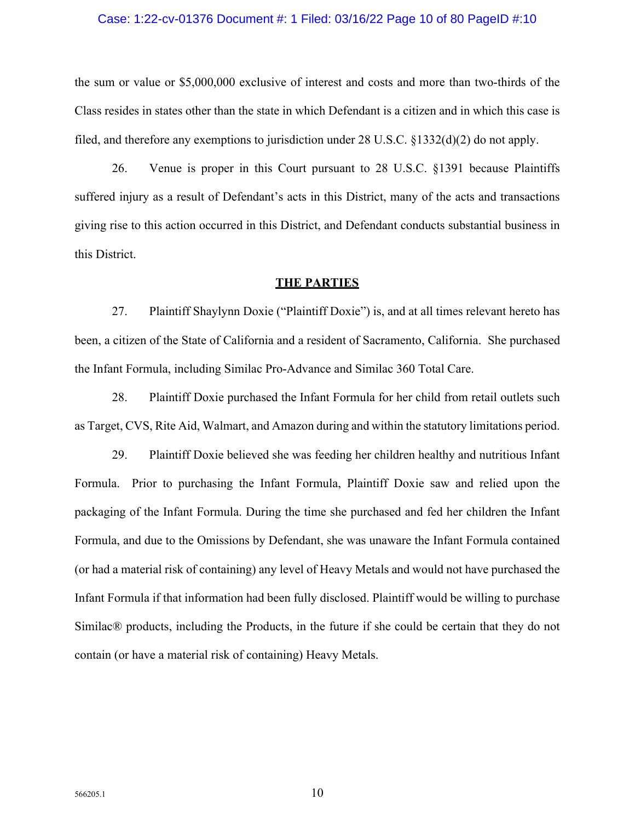## Case: 1:22-cv-01376 Document #: 1 Filed: 03/16/22 Page 10 of 80 PageID #:10

the sum or value or \$5,000,000 exclusive of interest and costs and more than two-thirds of the Class resides in states other than the state in which Defendant is a citizen and in which this case is filed, and therefore any exemptions to jurisdiction under 28 U.S.C. §1332(d)(2) do not apply.

26. Venue is proper in this Court pursuant to 28 U.S.C. §1391 because Plaintiffs suffered injury as a result of Defendant's acts in this District, many of the acts and transactions giving rise to this action occurred in this District, and Defendant conducts substantial business in this District.

#### **THE PARTIES**

27. Plaintiff Shaylynn Doxie ("Plaintiff Doxie") is, and at all times relevant hereto has been, a citizen of the State of California and a resident of Sacramento, California. She purchased the Infant Formula, including Similac Pro-Advance and Similac 360 Total Care.

28. Plaintiff Doxie purchased the Infant Formula for her child from retail outlets such as Target, CVS, Rite Aid, Walmart, and Amazon during and within the statutory limitations period.

29. Plaintiff Doxie believed she was feeding her children healthy and nutritious Infant Formula. Prior to purchasing the Infant Formula, Plaintiff Doxie saw and relied upon the packaging of the Infant Formula. During the time she purchased and fed her children the Infant Formula, and due to the Omissions by Defendant, she was unaware the Infant Formula contained (or had a material risk of containing) any level of Heavy Metals and would not have purchased the Infant Formula if that information had been fully disclosed. Plaintiff would be willing to purchase Similac® products, including the Products, in the future if she could be certain that they do not contain (or have a material risk of containing) Heavy Metals.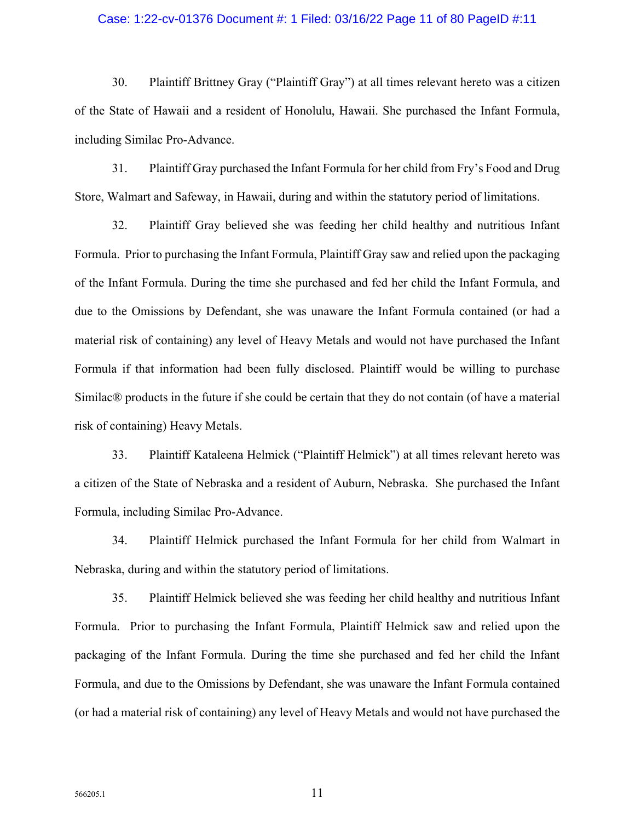## Case: 1:22-cv-01376 Document #: 1 Filed: 03/16/22 Page 11 of 80 PageID #:11

30. Plaintiff Brittney Gray ("Plaintiff Gray") at all times relevant hereto was a citizen of the State of Hawaii and a resident of Honolulu, Hawaii. She purchased the Infant Formula, including Similac Pro-Advance.

31. Plaintiff Gray purchased the Infant Formula for her child from Fry's Food and Drug Store, Walmart and Safeway, in Hawaii, during and within the statutory period of limitations.

32. Plaintiff Gray believed she was feeding her child healthy and nutritious Infant Formula. Prior to purchasing the Infant Formula, Plaintiff Gray saw and relied upon the packaging of the Infant Formula. During the time she purchased and fed her child the Infant Formula, and due to the Omissions by Defendant, she was unaware the Infant Formula contained (or had a material risk of containing) any level of Heavy Metals and would not have purchased the Infant Formula if that information had been fully disclosed. Plaintiff would be willing to purchase Similac® products in the future if she could be certain that they do not contain (of have a material risk of containing) Heavy Metals.

33. Plaintiff Kataleena Helmick ("Plaintiff Helmick") at all times relevant hereto was a citizen of the State of Nebraska and a resident of Auburn, Nebraska. She purchased the Infant Formula, including Similac Pro-Advance.

34. Plaintiff Helmick purchased the Infant Formula for her child from Walmart in Nebraska, during and within the statutory period of limitations.

35. Plaintiff Helmick believed she was feeding her child healthy and nutritious Infant Formula. Prior to purchasing the Infant Formula, Plaintiff Helmick saw and relied upon the packaging of the Infant Formula. During the time she purchased and fed her child the Infant Formula, and due to the Omissions by Defendant, she was unaware the Infant Formula contained (or had a material risk of containing) any level of Heavy Metals and would not have purchased the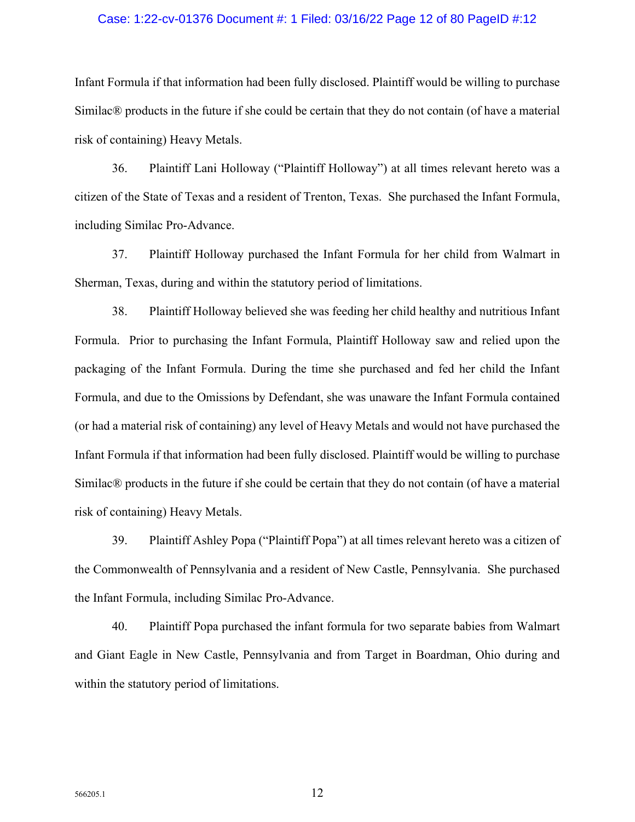## Case: 1:22-cv-01376 Document #: 1 Filed: 03/16/22 Page 12 of 80 PageID #:12

Infant Formula if that information had been fully disclosed. Plaintiff would be willing to purchase Similac® products in the future if she could be certain that they do not contain (of have a material risk of containing) Heavy Metals.

36. Plaintiff Lani Holloway ("Plaintiff Holloway") at all times relevant hereto was a citizen of the State of Texas and a resident of Trenton, Texas. She purchased the Infant Formula, including Similac Pro-Advance.

37. Plaintiff Holloway purchased the Infant Formula for her child from Walmart in Sherman, Texas, during and within the statutory period of limitations.

38. Plaintiff Holloway believed she was feeding her child healthy and nutritious Infant Formula. Prior to purchasing the Infant Formula, Plaintiff Holloway saw and relied upon the packaging of the Infant Formula. During the time she purchased and fed her child the Infant Formula, and due to the Omissions by Defendant, she was unaware the Infant Formula contained (or had a material risk of containing) any level of Heavy Metals and would not have purchased the Infant Formula if that information had been fully disclosed. Plaintiff would be willing to purchase Similac® products in the future if she could be certain that they do not contain (of have a material risk of containing) Heavy Metals.

39. Plaintiff Ashley Popa ("Plaintiff Popa") at all times relevant hereto was a citizen of the Commonwealth of Pennsylvania and a resident of New Castle, Pennsylvania. She purchased the Infant Formula, including Similac Pro-Advance.

40. Plaintiff Popa purchased the infant formula for two separate babies from Walmart and Giant Eagle in New Castle, Pennsylvania and from Target in Boardman, Ohio during and within the statutory period of limitations.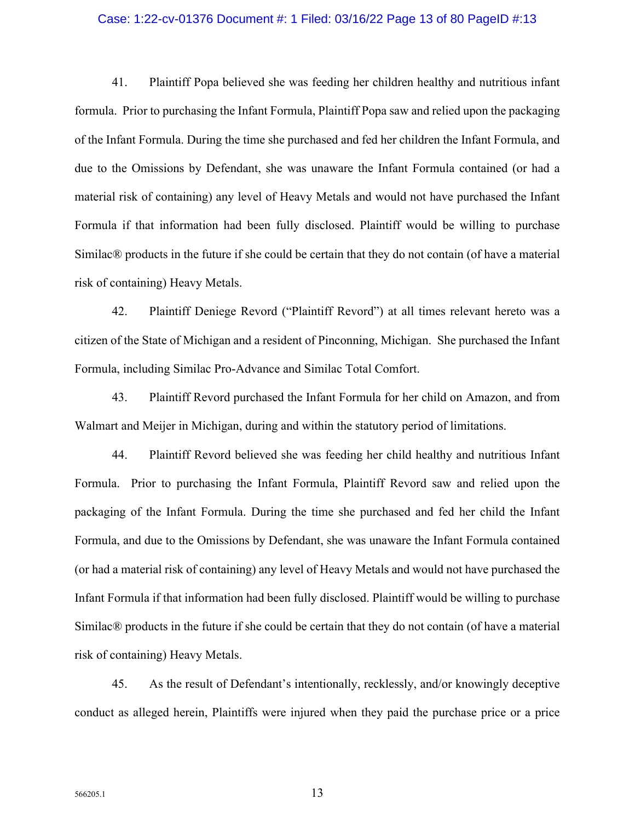#### Case: 1:22-cv-01376 Document #: 1 Filed: 03/16/22 Page 13 of 80 PageID #:13

41. Plaintiff Popa believed she was feeding her children healthy and nutritious infant formula. Prior to purchasing the Infant Formula, Plaintiff Popa saw and relied upon the packaging of the Infant Formula. During the time she purchased and fed her children the Infant Formula, and due to the Omissions by Defendant, she was unaware the Infant Formula contained (or had a material risk of containing) any level of Heavy Metals and would not have purchased the Infant Formula if that information had been fully disclosed. Plaintiff would be willing to purchase Similac® products in the future if she could be certain that they do not contain (of have a material risk of containing) Heavy Metals.

42. Plaintiff Deniege Revord ("Plaintiff Revord") at all times relevant hereto was a citizen of the State of Michigan and a resident of Pinconning, Michigan. She purchased the Infant Formula, including Similac Pro-Advance and Similac Total Comfort.

43. Plaintiff Revord purchased the Infant Formula for her child on Amazon, and from Walmart and Meijer in Michigan, during and within the statutory period of limitations.

44. Plaintiff Revord believed she was feeding her child healthy and nutritious Infant Formula. Prior to purchasing the Infant Formula, Plaintiff Revord saw and relied upon the packaging of the Infant Formula. During the time she purchased and fed her child the Infant Formula, and due to the Omissions by Defendant, she was unaware the Infant Formula contained (or had a material risk of containing) any level of Heavy Metals and would not have purchased the Infant Formula if that information had been fully disclosed. Plaintiff would be willing to purchase Similac® products in the future if she could be certain that they do not contain (of have a material risk of containing) Heavy Metals.

45. As the result of Defendant's intentionally, recklessly, and/or knowingly deceptive conduct as alleged herein, Plaintiffs were injured when they paid the purchase price or a price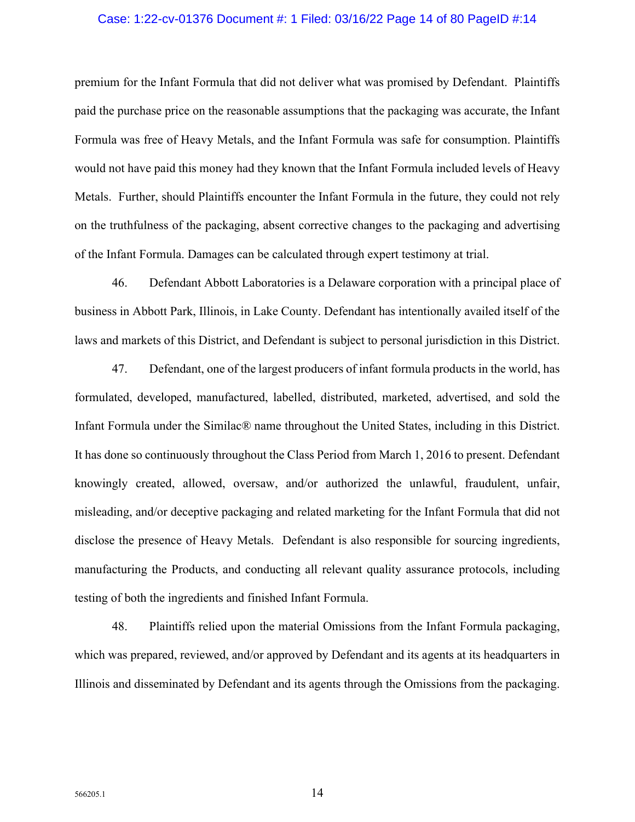## Case: 1:22-cv-01376 Document #: 1 Filed: 03/16/22 Page 14 of 80 PageID #:14

premium for the Infant Formula that did not deliver what was promised by Defendant. Plaintiffs paid the purchase price on the reasonable assumptions that the packaging was accurate, the Infant Formula was free of Heavy Metals, and the Infant Formula was safe for consumption. Plaintiffs would not have paid this money had they known that the Infant Formula included levels of Heavy Metals. Further, should Plaintiffs encounter the Infant Formula in the future, they could not rely on the truthfulness of the packaging, absent corrective changes to the packaging and advertising of the Infant Formula. Damages can be calculated through expert testimony at trial.

46. Defendant Abbott Laboratories is a Delaware corporation with a principal place of business in Abbott Park, Illinois, in Lake County. Defendant has intentionally availed itself of the laws and markets of this District, and Defendant is subject to personal jurisdiction in this District.

47. Defendant, one of the largest producers of infant formula products in the world, has formulated, developed, manufactured, labelled, distributed, marketed, advertised, and sold the Infant Formula under the Similac® name throughout the United States, including in this District. It has done so continuously throughout the Class Period from March 1, 2016 to present. Defendant knowingly created, allowed, oversaw, and/or authorized the unlawful, fraudulent, unfair, misleading, and/or deceptive packaging and related marketing for the Infant Formula that did not disclose the presence of Heavy Metals. Defendant is also responsible for sourcing ingredients, manufacturing the Products, and conducting all relevant quality assurance protocols, including testing of both the ingredients and finished Infant Formula.

48. Plaintiffs relied upon the material Omissions from the Infant Formula packaging, which was prepared, reviewed, and/or approved by Defendant and its agents at its headquarters in Illinois and disseminated by Defendant and its agents through the Omissions from the packaging.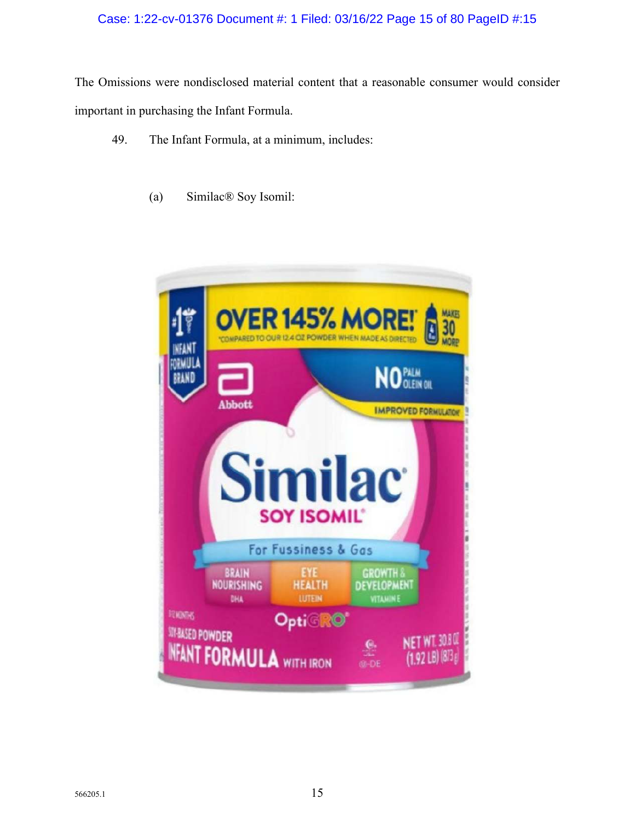# Case: 1:22-cv-01376 Document #: 1 Filed: 03/16/22 Page 15 of 80 PageID #:15

The Omissions were nondisclosed material content that a reasonable consumer would consider important in purchasing the Infant Formula.

- 49. The Infant Formula, at a minimum, includes:
	- (a) Similac® Soy Isomil:

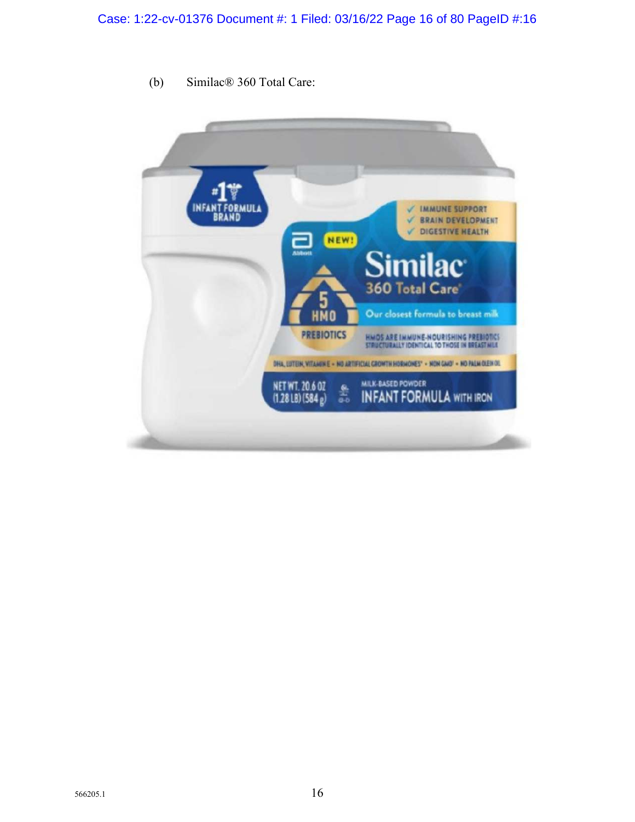- **NFANT FORMULA IMMUNE SUPPORT BRAND BRAIN DEVELOPMENT** ✓ DIGESTIVE HEALTH NEW! **Similac 360 Total Care** 5 Our closest formula to breast milk **HMO PREBIOTICS** HMOS ARE IMMUNE-NOURISHING PREBIOTICS<br>STRUCTURALLY IDENTICAL TO THOSE IN BREAST NILE DHA, LUTEIN, VITAHIN E - NO ARTIFICIAL GROWTH HORMONES' - NON GMO' - NO PALM OLEN OL **MILK-BASED POWDER** NET WT. 20.6 0Z 418 **INFANT FORMULA WITH IRON**  $(1.2818)(584g)$
- (b) Similac® 360 Total Care: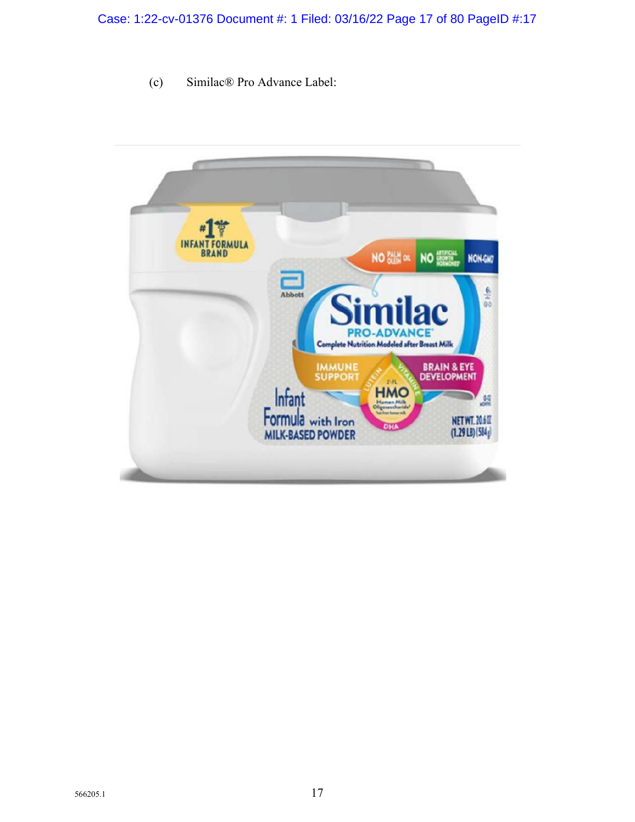(c) Similac® Pro Advance Label:

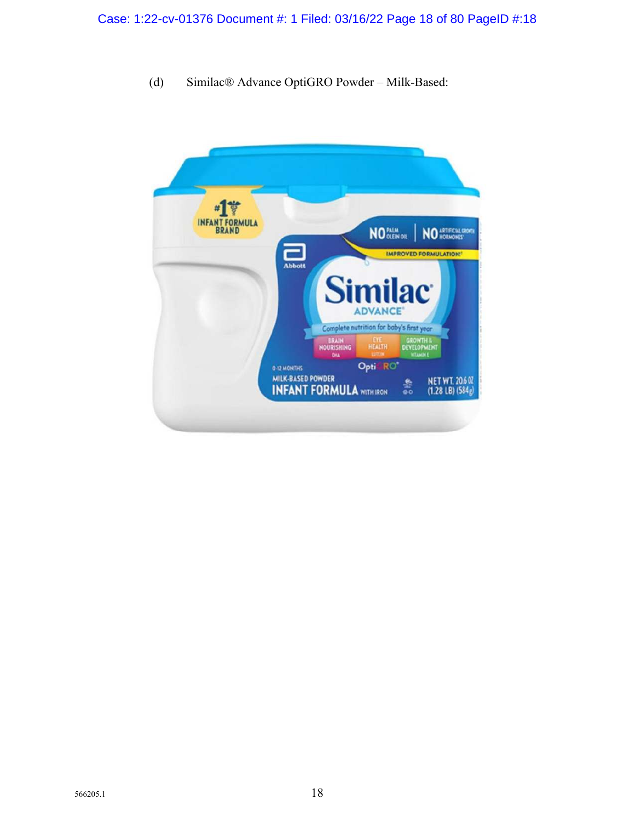(d) Similac® Advance OptiGRO Powder – Milk-Based:

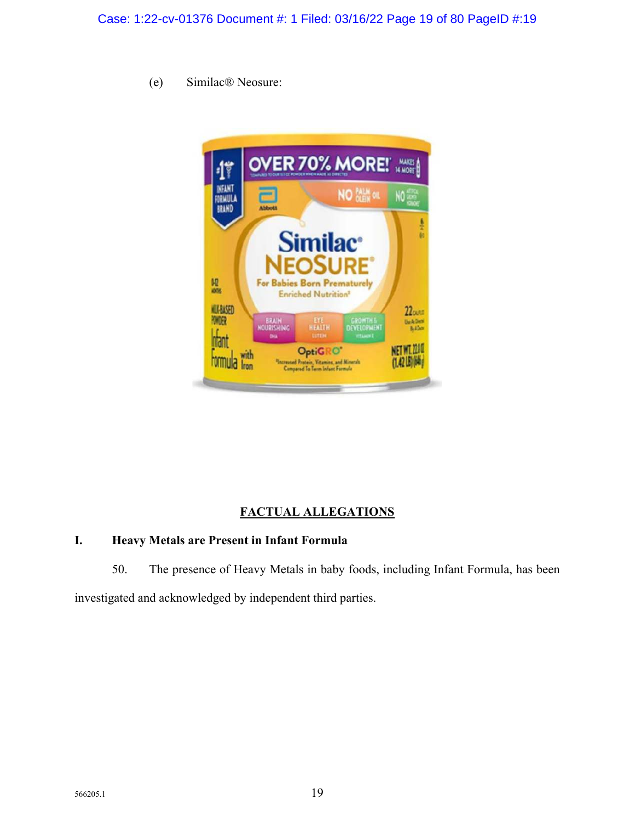(e) Similac® Neosure:



# **FACTUAL ALLEGATIONS**

## **I. Heavy Metals are Present in Infant Formula**

50. The presence of Heavy Metals in baby foods, including Infant Formula, has been

investigated and acknowledged by independent third parties.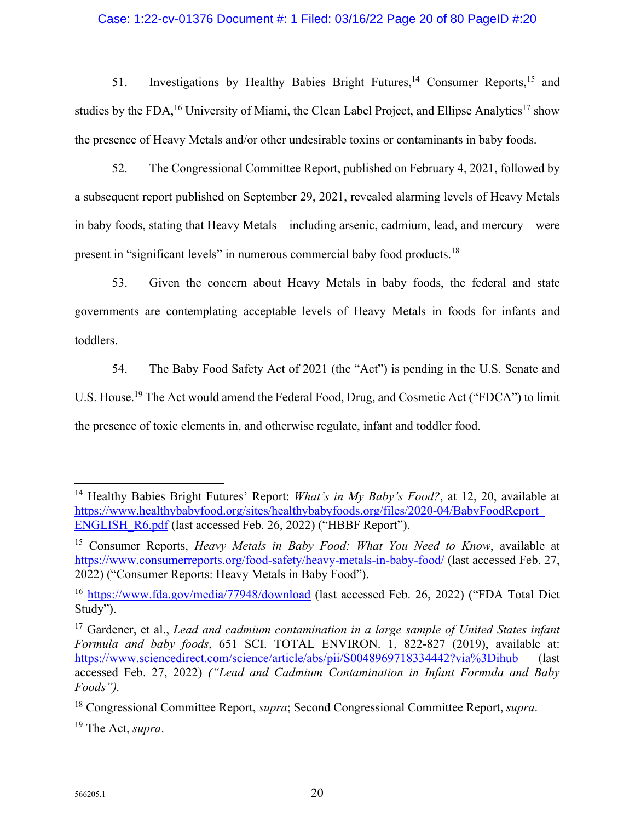## Case: 1:22-cv-01376 Document #: 1 Filed: 03/16/22 Page 20 of 80 PageID #:20

51. Investigations by Healthy Babies Bright Futures,<sup>14</sup> Consumer Reports,<sup>15</sup> and studies by the FDA,<sup>16</sup> University of Miami, the Clean Label Project, and Ellipse Analytics<sup>17</sup> show the presence of Heavy Metals and/or other undesirable toxins or contaminants in baby foods.

52. The Congressional Committee Report, published on February 4, 2021, followed by a subsequent report published on September 29, 2021, revealed alarming levels of Heavy Metals in baby foods, stating that Heavy Metals—including arsenic, cadmium, lead, and mercury—were present in "significant levels" in numerous commercial baby food products.<sup>18</sup>

53. Given the concern about Heavy Metals in baby foods, the federal and state governments are contemplating acceptable levels of Heavy Metals in foods for infants and toddlers.

54. The Baby Food Safety Act of 2021 (the "Act") is pending in the U.S. Senate and U.S. House.<sup>19</sup> The Act would amend the Federal Food, Drug, and Cosmetic Act ("FDCA") to limit the presence of toxic elements in, and otherwise regulate, infant and toddler food.

<sup>19</sup> The Act, *supra*.

<sup>&</sup>lt;sup>14</sup> Healthy Babies Bright Futures' Report: *What's in My Baby's Food?*, at 12, 20, available at https://www.healthybabyfood.org/sites/healthybabyfoods.org/files/2020-04/BabyFoodReport\_ ENGLISH\_R6.pdf (last accessed Feb. 26, 2022) ("HBBF Report").

<sup>15</sup> Consumer Reports, *Heavy Metals in Baby Food: What You Need to Know*, available at https://www.consumerreports.org/food-safety/heavy-metals-in-baby-food/ (last accessed Feb. 27, 2022) ("Consumer Reports: Heavy Metals in Baby Food").

<sup>16</sup> https://www.fda.gov/media/77948/download (last accessed Feb. 26, 2022) ("FDA Total Diet Study").

<sup>17</sup> Gardener, et al., *Lead and cadmium contamination in a large sample of United States infant Formula and baby foods*, 651 SCI. TOTAL ENVIRON. 1, 822-827 (2019), available at: https://www.sciencedirect.com/science/article/abs/pii/S0048969718334442?via%3Dihub (last accessed Feb. 27, 2022) *("Lead and Cadmium Contamination in Infant Formula and Baby Foods").*

<sup>18</sup> Congressional Committee Report, *supra*; Second Congressional Committee Report, *supra*.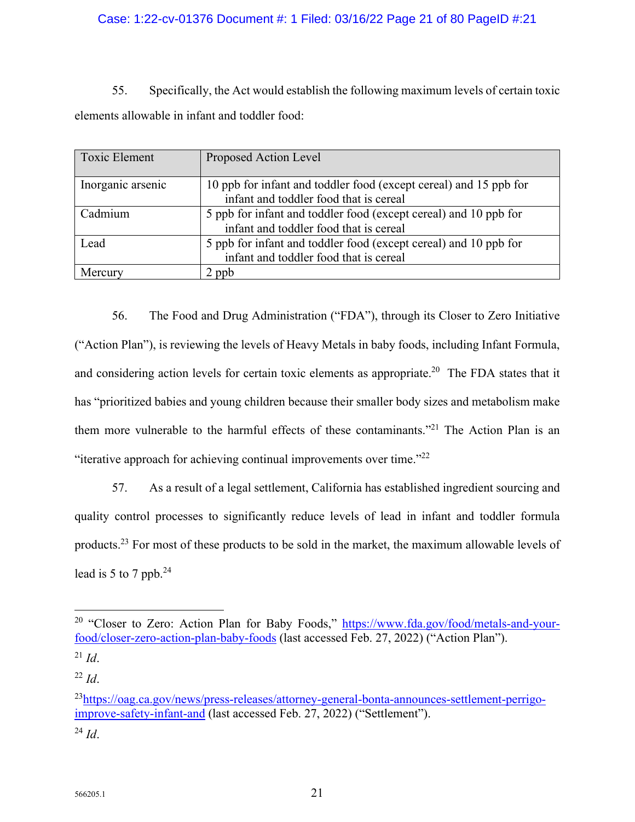## Case: 1:22-cv-01376 Document #: 1 Filed: 03/16/22 Page 21 of 80 PageID #:21

55. Specifically, the Act would establish the following maximum levels of certain toxic elements allowable in infant and toddler food:

| <b>Toxic Element</b> | Proposed Action Level                                                                                       |
|----------------------|-------------------------------------------------------------------------------------------------------------|
| Inorganic arsenic    | 10 ppb for infant and toddler food (except cereal) and 15 ppb for<br>infant and toddler food that is cereal |
| Cadmium              | 5 ppb for infant and toddler food (except cereal) and 10 ppb for<br>infant and toddler food that is cereal  |
| Lead                 | 5 ppb for infant and toddler food (except cereal) and 10 ppb for<br>infant and toddler food that is cereal  |
| Mercury              | $\angle$ ppb                                                                                                |

56. The Food and Drug Administration ("FDA"), through its Closer to Zero Initiative ("Action Plan"), is reviewing the levels of Heavy Metals in baby foods, including Infant Formula, and considering action levels for certain toxic elements as appropriate.<sup>20</sup> The FDA states that it has "prioritized babies and young children because their smaller body sizes and metabolism make them more vulnerable to the harmful effects of these contaminants."<sup>21</sup> The Action Plan is an "iterative approach for achieving continual improvements over time."<sup>22</sup>

57. As a result of a legal settlement, California has established ingredient sourcing and quality control processes to significantly reduce levels of lead in infant and toddler formula products.<sup>23</sup> For most of these products to be sold in the market, the maximum allowable levels of lead is 5 to 7 ppb. $^{24}$ 

 $^{24}$  *Id.* 

<sup>&</sup>lt;sup>20</sup> "Closer to Zero: Action Plan for Baby Foods," https://www.fda.gov/food/metals-and-yourfood/closer-zero-action-plan-baby-foods (last accessed Feb. 27, 2022) ("Action Plan").

 $^{21}$  *Id.* 

 $^{22}$  *Id.* 

<sup>&</sup>lt;sup>23</sup>https://oag.ca.gov/news/press-releases/attorney-general-bonta-announces-settlement-perrigoimprove-safety-infant-and (last accessed Feb. 27, 2022) ("Settlement").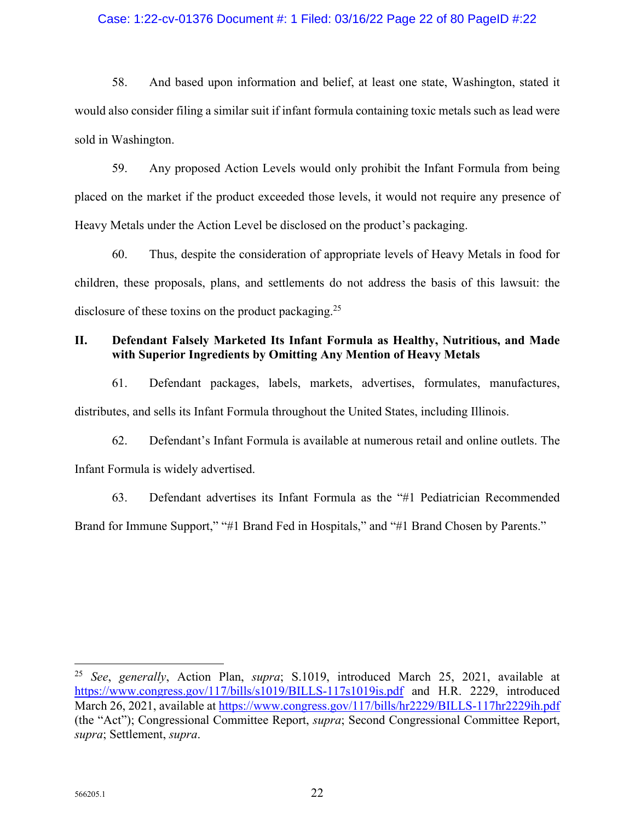## Case: 1:22-cv-01376 Document #: 1 Filed: 03/16/22 Page 22 of 80 PageID #:22

58. And based upon information and belief, at least one state, Washington, stated it would also consider filing a similar suit if infant formula containing toxic metals such as lead were sold in Washington.

59. Any proposed Action Levels would only prohibit the Infant Formula from being placed on the market if the product exceeded those levels, it would not require any presence of Heavy Metals under the Action Level be disclosed on the product's packaging.

60. Thus, despite the consideration of appropriate levels of Heavy Metals in food for children, these proposals, plans, and settlements do not address the basis of this lawsuit: the disclosure of these toxins on the product packaging.<sup>25</sup>

## **II. Defendant Falsely Marketed Its Infant Formula as Healthy, Nutritious, and Made with Superior Ingredients by Omitting Any Mention of Heavy Metals**

61. Defendant packages, labels, markets, advertises, formulates, manufactures, distributes, and sells its Infant Formula throughout the United States, including Illinois.

62. Defendant's Infant Formula is available at numerous retail and online outlets. The Infant Formula is widely advertised.

63. Defendant advertises its Infant Formula as the "#1 Pediatrician Recommended Brand for Immune Support," "#1 Brand Fed in Hospitals," and "#1 Brand Chosen by Parents."

<sup>25</sup> *See*, *generally*, Action Plan, *supra*; S.1019, introduced March 25, 2021, available at https://www.congress.gov/117/bills/s1019/BILLS-117s1019is.pdf and H.R. 2229, introduced March 26, 2021, available at https://www.congress.gov/117/bills/hr2229/BILLS-117hr2229ih.pdf (the "Act"); Congressional Committee Report, *supra*; Second Congressional Committee Report, *supra*; Settlement, *supra*.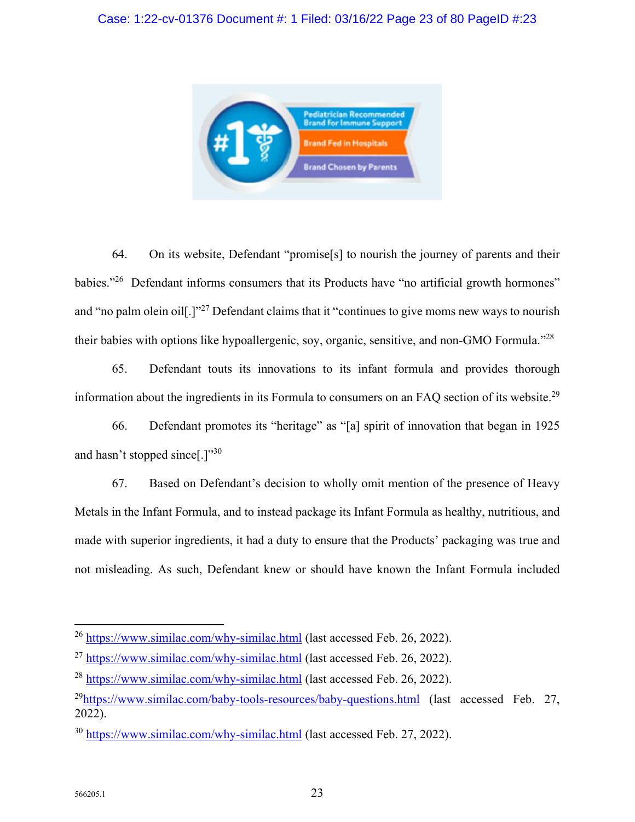

64. On its website, Defendant "promise[s] to nourish the journey of parents and their babies."<sup>26</sup> Defendant informs consumers that its Products have "no artificial growth hormones" and "no palm olein oil[.]"<sup>27</sup> Defendant claims that it "continues to give moms new ways to nourish their babies with options like hypoallergenic, soy, organic, sensitive, and non-GMO Formula."<sup>28</sup>

65. Defendant touts its innovations to its infant formula and provides thorough information about the ingredients in its Formula to consumers on an FAQ section of its website.<sup>29</sup>

66. Defendant promotes its "heritage" as "[a] spirit of innovation that began in 1925 and hasn't stopped since[.] $"30$ 

67. Based on Defendant's decision to wholly omit mention of the presence of Heavy Metals in the Infant Formula, and to instead package its Infant Formula as healthy, nutritious, and made with superior ingredients, it had a duty to ensure that the Products' packaging was true and not misleading. As such, Defendant knew or should have known the Infant Formula included

<sup>&</sup>lt;sup>26</sup> https://www.similac.com/why-similac.html (last accessed Feb. 26, 2022).

<sup>27</sup> https://www.similac.com/why-similac.html (last accessed Feb. 26, 2022).

<sup>&</sup>lt;sup>28</sup> https://www.similac.com/why-similac.html (last accessed Feb. 26, 2022).

 $^{29}$ https://www.similac.com/baby-tools-resources/baby-questions.html (last accessed Feb. 27, 2022).

<sup>30</sup> https://www.similac.com/why-similac.html (last accessed Feb. 27, 2022).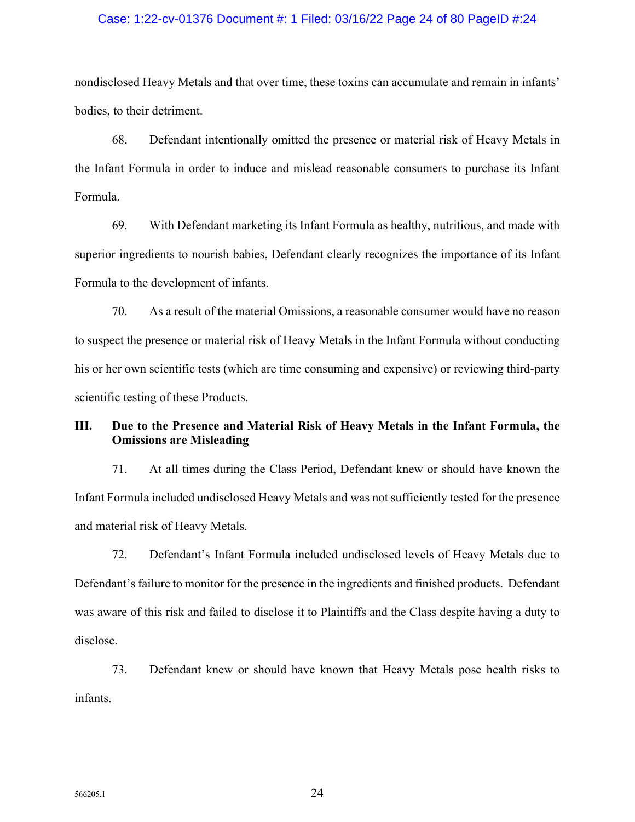## Case: 1:22-cv-01376 Document #: 1 Filed: 03/16/22 Page 24 of 80 PageID #:24

nondisclosed Heavy Metals and that over time, these toxins can accumulate and remain in infants' bodies, to their detriment.

68. Defendant intentionally omitted the presence or material risk of Heavy Metals in the Infant Formula in order to induce and mislead reasonable consumers to purchase its Infant Formula.

69. With Defendant marketing its Infant Formula as healthy, nutritious, and made with superior ingredients to nourish babies, Defendant clearly recognizes the importance of its Infant Formula to the development of infants.

70. As a result of the material Omissions, a reasonable consumer would have no reason to suspect the presence or material risk of Heavy Metals in the Infant Formula without conducting his or her own scientific tests (which are time consuming and expensive) or reviewing third-party scientific testing of these Products.

## **III. Due to the Presence and Material Risk of Heavy Metals in the Infant Formula, the Omissions are Misleading**

71. At all times during the Class Period, Defendant knew or should have known the Infant Formula included undisclosed Heavy Metals and was not sufficiently tested for the presence and material risk of Heavy Metals.

72. Defendant's Infant Formula included undisclosed levels of Heavy Metals due to Defendant's failure to monitor for the presence in the ingredients and finished products. Defendant was aware of this risk and failed to disclose it to Plaintiffs and the Class despite having a duty to disclose.

73. Defendant knew or should have known that Heavy Metals pose health risks to infants.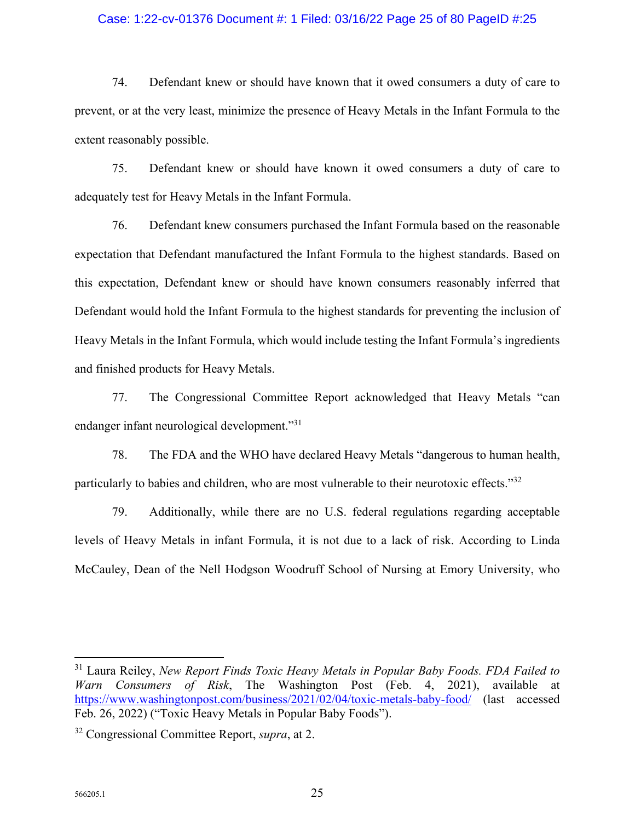## Case: 1:22-cv-01376 Document #: 1 Filed: 03/16/22 Page 25 of 80 PageID #:25

74. Defendant knew or should have known that it owed consumers a duty of care to prevent, or at the very least, minimize the presence of Heavy Metals in the Infant Formula to the extent reasonably possible.

75. Defendant knew or should have known it owed consumers a duty of care to adequately test for Heavy Metals in the Infant Formula.

76. Defendant knew consumers purchased the Infant Formula based on the reasonable expectation that Defendant manufactured the Infant Formula to the highest standards. Based on this expectation, Defendant knew or should have known consumers reasonably inferred that Defendant would hold the Infant Formula to the highest standards for preventing the inclusion of Heavy Metals in the Infant Formula, which would include testing the Infant Formula's ingredients and finished products for Heavy Metals.

77. The Congressional Committee Report acknowledged that Heavy Metals "can endanger infant neurological development."<sup>31</sup>

78. The FDA and the WHO have declared Heavy Metals "dangerous to human health, particularly to babies and children, who are most vulnerable to their neurotoxic effects."32

79. Additionally, while there are no U.S. federal regulations regarding acceptable levels of Heavy Metals in infant Formula, it is not due to a lack of risk. According to Linda McCauley, Dean of the Nell Hodgson Woodruff School of Nursing at Emory University, who

<sup>31</sup> Laura Reiley, *New Report Finds Toxic Heavy Metals in Popular Baby Foods. FDA Failed to Warn Consumers of Risk*, The Washington Post (Feb. 4, 2021), available at https://www.washingtonpost.com/business/2021/02/04/toxic-metals-baby-food/ (last accessed Feb. 26, 2022) ("Toxic Heavy Metals in Popular Baby Foods").

<sup>32</sup> Congressional Committee Report, *supra*, at 2.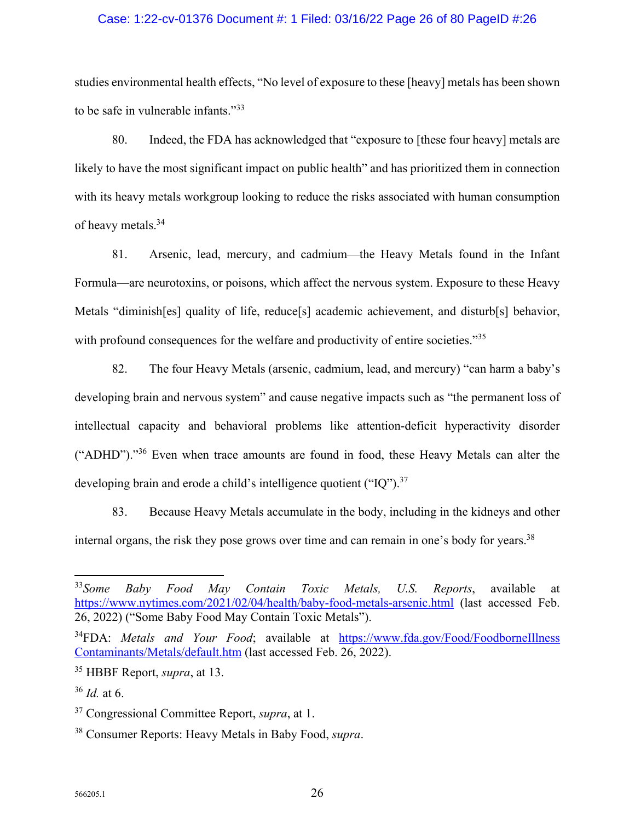## Case: 1:22-cv-01376 Document #: 1 Filed: 03/16/22 Page 26 of 80 PageID #:26

studies environmental health effects, "No level of exposure to these [heavy] metals has been shown to be safe in vulnerable infants."<sup>33</sup>

80. Indeed, the FDA has acknowledged that "exposure to [these four heavy] metals are likely to have the most significant impact on public health" and has prioritized them in connection with its heavy metals workgroup looking to reduce the risks associated with human consumption of heavy metals.<sup>34</sup>

81. Arsenic, lead, mercury, and cadmium—the Heavy Metals found in the Infant Formula—are neurotoxins, or poisons, which affect the nervous system. Exposure to these Heavy Metals "diminish[es] quality of life, reduce[s] academic achievement, and disturb[s] behavior, with profound consequences for the welfare and productivity of entire societies."<sup>35</sup>

82. The four Heavy Metals (arsenic, cadmium, lead, and mercury) "can harm a baby's developing brain and nervous system" and cause negative impacts such as "the permanent loss of intellectual capacity and behavioral problems like attention-deficit hyperactivity disorder ("ADHD")."<sup>36</sup> Even when trace amounts are found in food, these Heavy Metals can alter the developing brain and erode a child's intelligence quotient ("IQ").<sup>37</sup>

83. Because Heavy Metals accumulate in the body, including in the kidneys and other internal organs, the risk they pose grows over time and can remain in one's body for years. $38$ 

<sup>33</sup>*Some Baby Food May Contain Toxic Metals, U.S. Reports*, available at https://www.nytimes.com/2021/02/04/health/baby-food-metals-arsenic.html (last accessed Feb. 26, 2022) ("Some Baby Food May Contain Toxic Metals").

<sup>&</sup>lt;sup>34</sup>FDA: *Metals and Your Food*; available at https://www.fda.gov/Food/FoodborneIllness Contaminants/Metals/default.htm (last accessed Feb. 26, 2022).

<sup>35</sup> HBBF Report, *supra*, at 13.

<sup>36</sup> *Id.* at 6.

<sup>37</sup> Congressional Committee Report, *supra*, at 1.

<sup>38</sup> Consumer Reports: Heavy Metals in Baby Food, *supra*.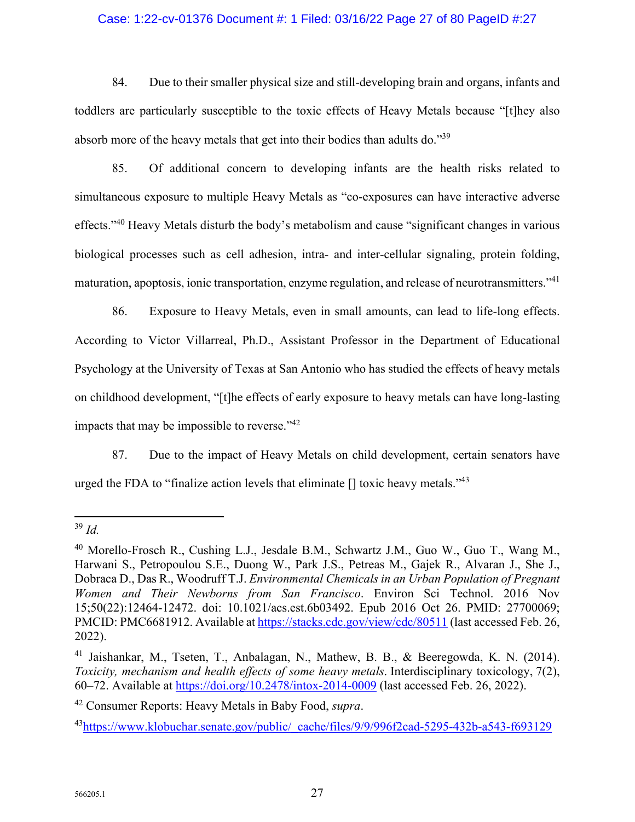## Case: 1:22-cv-01376 Document #: 1 Filed: 03/16/22 Page 27 of 80 PageID #:27

84. Due to their smaller physical size and still-developing brain and organs, infants and toddlers are particularly susceptible to the toxic effects of Heavy Metals because "[t]hey also absorb more of the heavy metals that get into their bodies than adults do."<sup>39</sup>

85. Of additional concern to developing infants are the health risks related to simultaneous exposure to multiple Heavy Metals as "co-exposures can have interactive adverse effects."<sup>40</sup> Heavy Metals disturb the body's metabolism and cause "significant changes in various biological processes such as cell adhesion, intra- and inter-cellular signaling, protein folding, maturation, apoptosis, ionic transportation, enzyme regulation, and release of neurotransmitters."<sup>41</sup>

86. Exposure to Heavy Metals, even in small amounts, can lead to life-long effects. According to Victor Villarreal, Ph.D., Assistant Professor in the Department of Educational Psychology at the University of Texas at San Antonio who has studied the effects of heavy metals on childhood development, "[t]he effects of early exposure to heavy metals can have long-lasting impacts that may be impossible to reverse."<sup>42</sup>

87. Due to the impact of Heavy Metals on child development, certain senators have urged the FDA to "finalize action levels that eliminate  $[]$  toxic heavy metals." $43$ 

<sup>39</sup> *Id.*

<sup>40</sup> Morello-Frosch R., Cushing L.J., Jesdale B.M., Schwartz J.M., Guo W., Guo T., Wang M., Harwani S., Petropoulou S.E., Duong W., Park J.S., Petreas M., Gajek R., Alvaran J., She J., Dobraca D., Das R., Woodruff T.J. *Environmental Chemicals in an Urban Population of Pregnant Women and Their Newborns from San Francisco*. Environ Sci Technol. 2016 Nov 15;50(22):12464-12472. doi: 10.1021/acs.est.6b03492. Epub 2016 Oct 26. PMID: 27700069; PMCID: PMC6681912. Available at https://stacks.cdc.gov/view/cdc/80511 (last accessed Feb. 26, 2022).

<sup>&</sup>lt;sup>41</sup> Jaishankar, M., Tseten, T., Anbalagan, N., Mathew, B. B., & Beeregowda, K. N. (2014). *Toxicity, mechanism and health effects of some heavy metals*. Interdisciplinary toxicology, 7(2), 60–72. Available at https://doi.org/10.2478/intox-2014-0009 (last accessed Feb. 26, 2022).

<sup>42</sup> Consumer Reports: Heavy Metals in Baby Food, *supra*.

<sup>&</sup>lt;sup>43</sup>https://www.klobuchar.senate.gov/public/\_cache/files/9/9/996f2cad-5295-432b-a543-f693129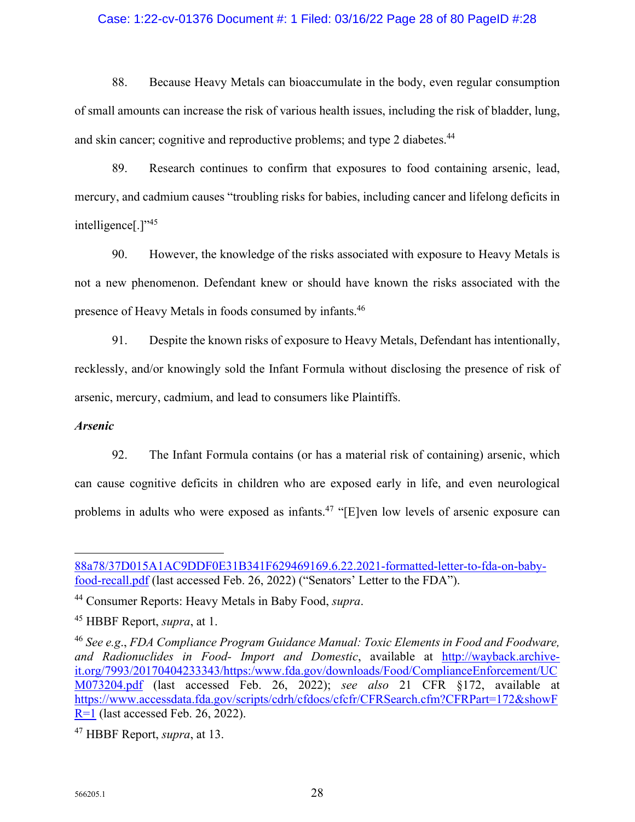## Case: 1:22-cv-01376 Document #: 1 Filed: 03/16/22 Page 28 of 80 PageID #:28

88. Because Heavy Metals can bioaccumulate in the body, even regular consumption of small amounts can increase the risk of various health issues, including the risk of bladder, lung, and skin cancer; cognitive and reproductive problems; and type 2 diabetes.<sup>44</sup>

89. Research continues to confirm that exposures to food containing arsenic, lead, mercury, and cadmium causes "troubling risks for babies, including cancer and lifelong deficits in intelligence<sup>[1,1,45</sup>]

90. However, the knowledge of the risks associated with exposure to Heavy Metals is not a new phenomenon. Defendant knew or should have known the risks associated with the presence of Heavy Metals in foods consumed by infants.<sup>46</sup>

91. Despite the known risks of exposure to Heavy Metals, Defendant has intentionally, recklessly, and/or knowingly sold the Infant Formula without disclosing the presence of risk of arsenic, mercury, cadmium, and lead to consumers like Plaintiffs.

## *Arsenic*

92. The Infant Formula contains (or has a material risk of containing) arsenic, which can cause cognitive deficits in children who are exposed early in life, and even neurological problems in adults who were exposed as infants.<sup>47</sup> "[E]ven low levels of arsenic exposure can

<sup>88</sup>a78/37D015A1AC9DDF0E31B341F629469169.6.22.2021-formatted-letter-to-fda-on-babyfood-recall.pdf (last accessed Feb. 26, 2022) ("Senators' Letter to the FDA").

<sup>44</sup> Consumer Reports: Heavy Metals in Baby Food, *supra*.

<sup>45</sup> HBBF Report, *supra*, at 1.

<sup>46</sup> *See e.g*., *FDA Compliance Program Guidance Manual: Toxic Elements in Food and Foodware, and Radionuclides in Food- Import and Domestic*, available at http://wayback.archiveit.org/7993/20170404233343/https:/www.fda.gov/downloads/Food/ComplianceEnforcement/UC M073204.pdf (last accessed Feb. 26, 2022); *see also* 21 CFR §172, available at https://www.accessdata.fda.gov/scripts/cdrh/cfdocs/cfcfr/CFRSearch.cfm?CFRPart=172&showF R=1 (last accessed Feb. 26, 2022).

<sup>47</sup> HBBF Report, *supra*, at 13.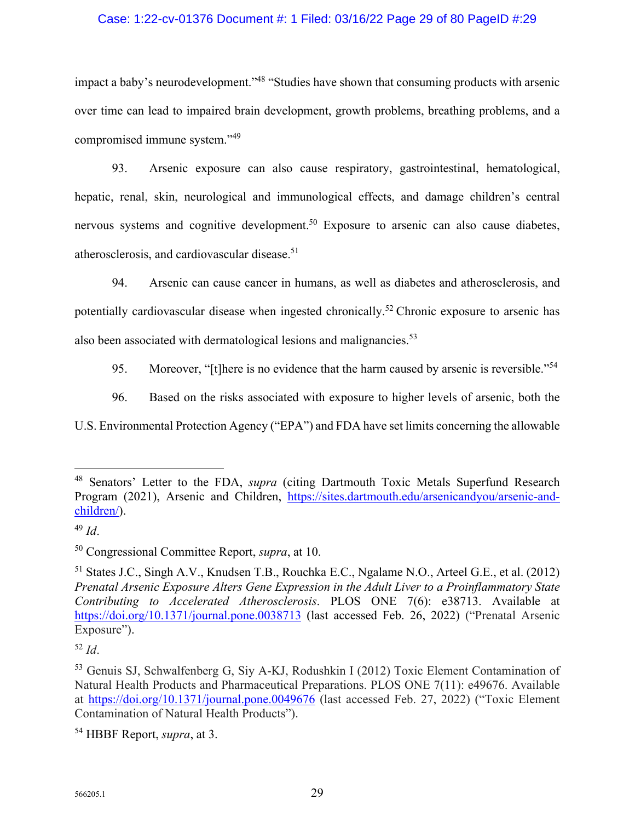## Case: 1:22-cv-01376 Document #: 1 Filed: 03/16/22 Page 29 of 80 PageID #:29

impact a baby's neurodevelopment."<sup>48</sup> "Studies have shown that consuming products with arsenic over time can lead to impaired brain development, growth problems, breathing problems, and a compromised immune system."<sup>49</sup>

93. Arsenic exposure can also cause respiratory, gastrointestinal, hematological, hepatic, renal, skin, neurological and immunological effects, and damage children's central nervous systems and cognitive development.<sup>50</sup> Exposure to arsenic can also cause diabetes, atherosclerosis, and cardiovascular disease.<sup>51</sup>

94. Arsenic can cause cancer in humans, as well as diabetes and atherosclerosis, and potentially cardiovascular disease when ingested chronically.<sup>52</sup> Chronic exposure to arsenic has also been associated with dermatological lesions and malignancies. $53$ 

95. Moreover, "[t]here is no evidence that the harm caused by arsenic is reversible."<sup>54</sup>

96. Based on the risks associated with exposure to higher levels of arsenic, both the

U.S. Environmental Protection Agency ("EPA") and FDA have set limits concerning the allowable

<sup>52</sup> *Id*.

<sup>48</sup> Senators' Letter to the FDA, *supra* (citing Dartmouth Toxic Metals Superfund Research Program (2021), Arsenic and Children, https://sites.dartmouth.edu/arsenicandyou/arsenic-andchildren/).

<sup>49</sup> *Id*.

<sup>50</sup> Congressional Committee Report, *supra*, at 10.

<sup>51</sup> States J.C., Singh A.V., Knudsen T.B., Rouchka E.C., Ngalame N.O., Arteel G.E., et al. (2012) *Prenatal Arsenic Exposure Alters Gene Expression in the Adult Liver to a Proinflammatory State Contributing to Accelerated Atherosclerosis*. PLOS ONE 7(6): e38713. Available at https://doi.org/10.1371/journal.pone.0038713 (last accessed Feb. 26, 2022) ("Prenatal Arsenic Exposure").

<sup>53</sup> Genuis SJ, Schwalfenberg G, Siy A-KJ, Rodushkin I (2012) Toxic Element Contamination of Natural Health Products and Pharmaceutical Preparations. PLOS ONE 7(11): e49676. Available at https://doi.org/10.1371/journal.pone.0049676 (last accessed Feb. 27, 2022) ("Toxic Element Contamination of Natural Health Products").

<sup>54</sup> HBBF Report, *supra*, at 3.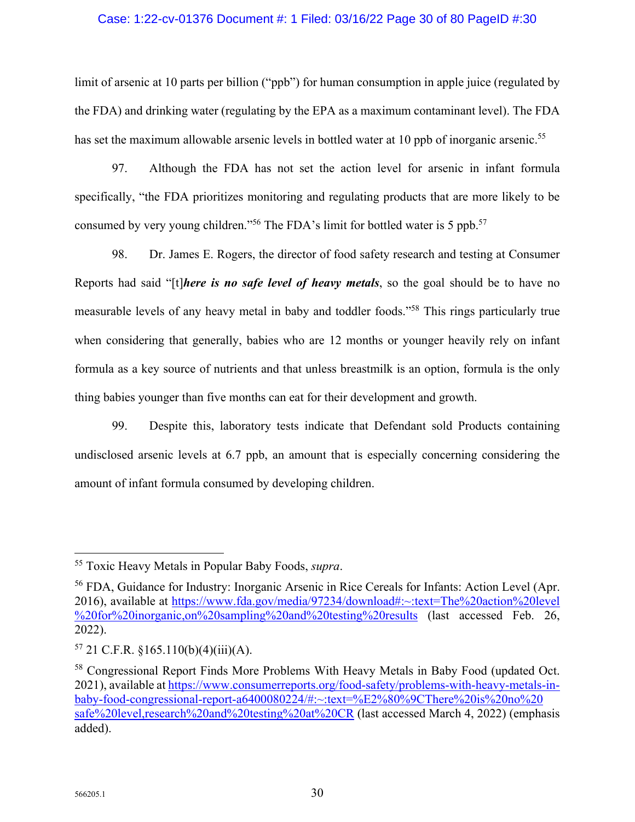## Case: 1:22-cv-01376 Document #: 1 Filed: 03/16/22 Page 30 of 80 PageID #:30

limit of arsenic at 10 parts per billion ("ppb") for human consumption in apple juice (regulated by the FDA) and drinking water (regulating by the EPA as a maximum contaminant level). The FDA has set the maximum allowable arsenic levels in bottled water at 10 ppb of inorganic arsenic.<sup>55</sup>

97. Although the FDA has not set the action level for arsenic in infant formula specifically, "the FDA prioritizes monitoring and regulating products that are more likely to be consumed by very young children."<sup>56</sup> The FDA's limit for bottled water is 5 ppb.<sup>57</sup>

98. Dr. James E. Rogers, the director of food safety research and testing at Consumer Reports had said "[t]*here is no safe level of heavy metals*, so the goal should be to have no measurable levels of any heavy metal in baby and toddler foods."<sup>58</sup> This rings particularly true when considering that generally, babies who are 12 months or younger heavily rely on infant formula as a key source of nutrients and that unless breastmilk is an option, formula is the only thing babies younger than five months can eat for their development and growth.

99. Despite this, laboratory tests indicate that Defendant sold Products containing undisclosed arsenic levels at 6.7 ppb, an amount that is especially concerning considering the amount of infant formula consumed by developing children.

<sup>55</sup> Toxic Heavy Metals in Popular Baby Foods, *supra*.

<sup>56</sup> FDA, Guidance for Industry: Inorganic Arsenic in Rice Cereals for Infants: Action Level (Apr. 2016), available at https://www.fda.gov/media/97234/download#:~:text=The%20action%20level %20for%20inorganic,on%20sampling%20and%20testing%20results (last accessed Feb. 26, 2022).

 $57$  21 C.F.R. §165.110(b)(4)(iii)(A).

<sup>58</sup> Congressional Report Finds More Problems With Heavy Metals in Baby Food (updated Oct. 2021), available at https://www.consumerreports.org/food-safety/problems-with-heavy-metals-inbaby-food-congressional-report-a6400080224/#:~:text=%E2%80%9CThere%20is%20no%20 safe%20level,research%20and%20testing%20at%20CR (last accessed March 4, 2022) (emphasis added).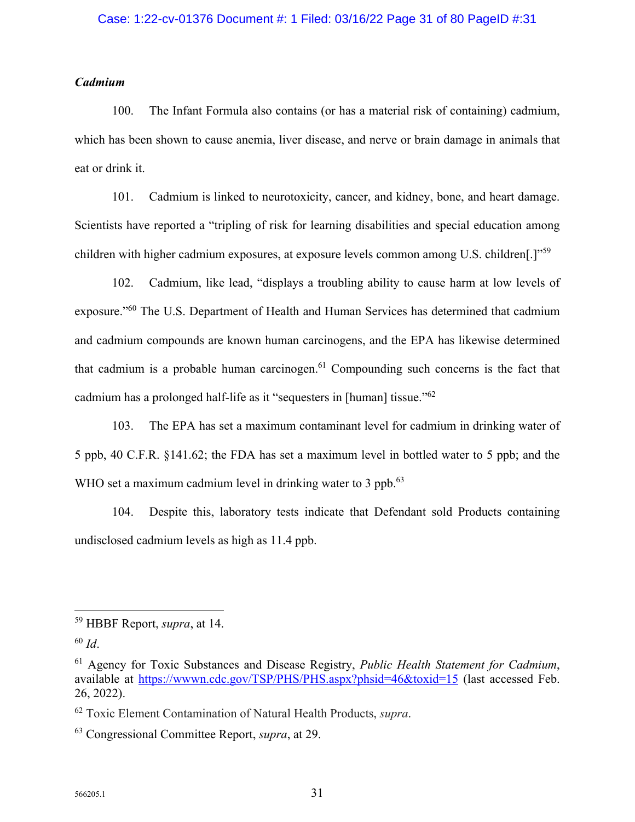## *Cadmium*

100. The Infant Formula also contains (or has a material risk of containing) cadmium, which has been shown to cause anemia, liver disease, and nerve or brain damage in animals that eat or drink it.

101. Cadmium is linked to neurotoxicity, cancer, and kidney, bone, and heart damage. Scientists have reported a "tripling of risk for learning disabilities and special education among children with higher cadmium exposures, at exposure levels common among U.S. children[.]"<sup>59</sup>

102. Cadmium, like lead, "displays a troubling ability to cause harm at low levels of exposure."<sup>60</sup> The U.S. Department of Health and Human Services has determined that cadmium and cadmium compounds are known human carcinogens, and the EPA has likewise determined that cadmium is a probable human carcinogen. $61$  Compounding such concerns is the fact that cadmium has a prolonged half-life as it "sequesters in [human] tissue."<sup>62</sup>

103. The EPA has set a maximum contaminant level for cadmium in drinking water of 5 ppb, 40 C.F.R. §141.62; the FDA has set a maximum level in bottled water to 5 ppb; and the WHO set a maximum cadmium level in drinking water to 3 ppb.<sup>63</sup>

104. Despite this, laboratory tests indicate that Defendant sold Products containing undisclosed cadmium levels as high as 11.4 ppb.

<sup>59</sup> HBBF Report, *supra*, at 14.

<sup>60</sup> *Id*.

<sup>61</sup> Agency for Toxic Substances and Disease Registry, *Public Health Statement for Cadmium*, available at https://wwwn.cdc.gov/TSP/PHS/PHS.aspx?phsid=46&toxid=15 (last accessed Feb. 26, 2022).

<sup>62</sup> Toxic Element Contamination of Natural Health Products, *supra*.

<sup>63</sup> Congressional Committee Report, *supra*, at 29.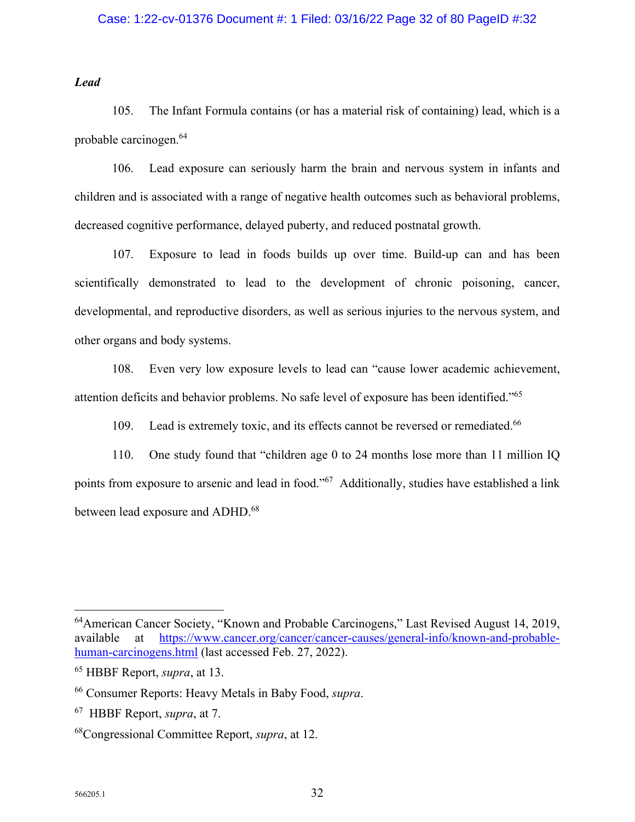## Case: 1:22-cv-01376 Document #: 1 Filed: 03/16/22 Page 32 of 80 PageID #:32

*Lead* 

105. The Infant Formula contains (or has a material risk of containing) lead, which is a probable carcinogen.<sup>64</sup>

106. Lead exposure can seriously harm the brain and nervous system in infants and children and is associated with a range of negative health outcomes such as behavioral problems, decreased cognitive performance, delayed puberty, and reduced postnatal growth.

107. Exposure to lead in foods builds up over time. Build-up can and has been scientifically demonstrated to lead to the development of chronic poisoning, cancer, developmental, and reproductive disorders, as well as serious injuries to the nervous system, and other organs and body systems.

108. Even very low exposure levels to lead can "cause lower academic achievement, attention deficits and behavior problems. No safe level of exposure has been identified."<sup>65</sup>

109. Lead is extremely toxic, and its effects cannot be reversed or remediated.<sup>66</sup>

110. One study found that "children age 0 to 24 months lose more than 11 million IQ points from exposure to arsenic and lead in food."<sup>67</sup> Additionally, studies have established a link between lead exposure and ADHD.<sup>68</sup>

<sup>64</sup>American Cancer Society, "Known and Probable Carcinogens," Last Revised August 14, 2019, available at https://www.cancer.org/cancer/cancer-causes/general-info/known-and-probablehuman-carcinogens.html (last accessed Feb. 27, 2022).

<sup>65</sup> HBBF Report, *supra*, at 13.

<sup>66</sup> Consumer Reports: Heavy Metals in Baby Food, *supra*.

<sup>67</sup> HBBF Report, *supra*, at 7.

<sup>68</sup>Congressional Committee Report, *supra*, at 12.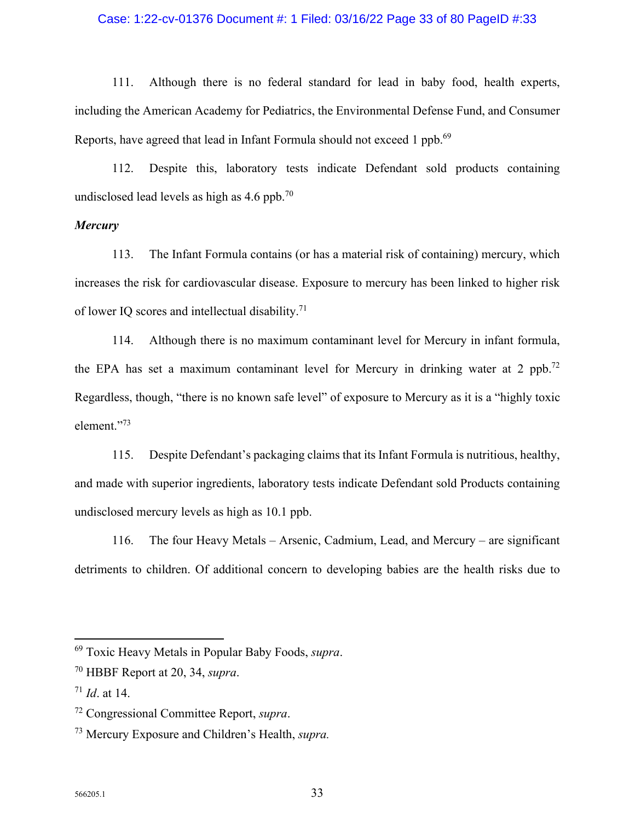## Case: 1:22-cv-01376 Document #: 1 Filed: 03/16/22 Page 33 of 80 PageID #:33

111. Although there is no federal standard for lead in baby food, health experts, including the American Academy for Pediatrics, the Environmental Defense Fund, and Consumer Reports, have agreed that lead in Infant Formula should not exceed 1 ppb.<sup>69</sup>

112. Despite this, laboratory tests indicate Defendant sold products containing undisclosed lead levels as high as  $4.6$  ppb.<sup>70</sup>

## *Mercury*

113. The Infant Formula contains (or has a material risk of containing) mercury, which increases the risk for cardiovascular disease. Exposure to mercury has been linked to higher risk of lower IQ scores and intellectual disability.<sup>71</sup>

114. Although there is no maximum contaminant level for Mercury in infant formula, the EPA has set a maximum contaminant level for Mercury in drinking water at 2 ppb.<sup>72</sup> Regardless, though, "there is no known safe level" of exposure to Mercury as it is a "highly toxic element."<sup>73</sup>

115. Despite Defendant's packaging claims that its Infant Formula is nutritious, healthy, and made with superior ingredients, laboratory tests indicate Defendant sold Products containing undisclosed mercury levels as high as 10.1 ppb.

116. The four Heavy Metals – Arsenic, Cadmium, Lead, and Mercury – are significant detriments to children. Of additional concern to developing babies are the health risks due to

<sup>69</sup> Toxic Heavy Metals in Popular Baby Foods, *supra*.

<sup>70</sup> HBBF Report at 20, 34, *supra*.

<sup>71</sup> *Id*. at 14.

<sup>72</sup> Congressional Committee Report, *supra*.

<sup>73</sup> Mercury Exposure and Children's Health, *supra.*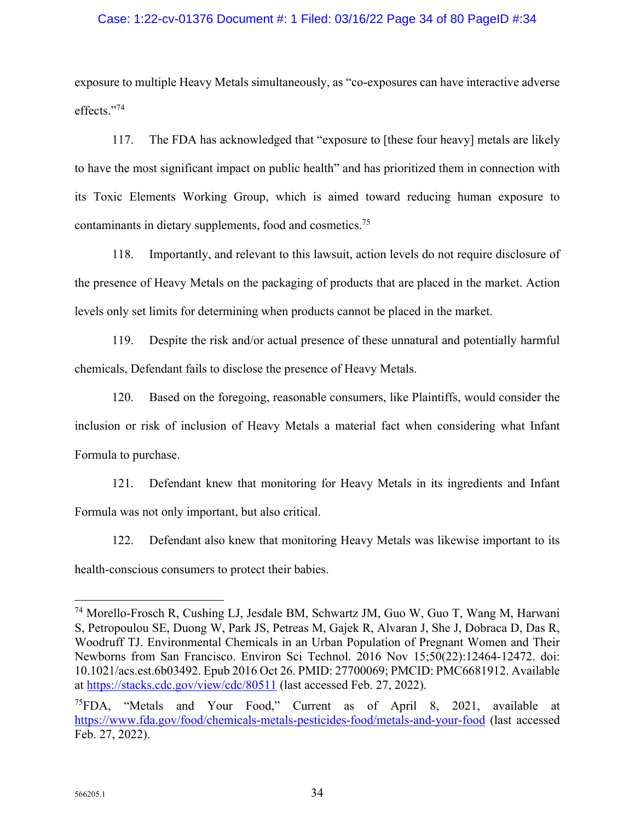## Case: 1:22-cv-01376 Document #: 1 Filed: 03/16/22 Page 34 of 80 PageID #:34

exposure to multiple Heavy Metals simultaneously, as "co-exposures can have interactive adverse effects."<sup>74</sup>

117. The FDA has acknowledged that "exposure to [these four heavy] metals are likely to have the most significant impact on public health" and has prioritized them in connection with its Toxic Elements Working Group, which is aimed toward reducing human exposure to contaminants in dietary supplements, food and cosmetics.<sup>75</sup>

118. Importantly, and relevant to this lawsuit, action levels do not require disclosure of the presence of Heavy Metals on the packaging of products that are placed in the market. Action levels only set limits for determining when products cannot be placed in the market.

119. Despite the risk and/or actual presence of these unnatural and potentially harmful chemicals, Defendant fails to disclose the presence of Heavy Metals.

120. Based on the foregoing, reasonable consumers, like Plaintiffs, would consider the inclusion or risk of inclusion of Heavy Metals a material fact when considering what Infant Formula to purchase.

121. Defendant knew that monitoring for Heavy Metals in its ingredients and Infant Formula was not only important, but also critical.

122. Defendant also knew that monitoring Heavy Metals was likewise important to its health-conscious consumers to protect their babies.

<sup>74</sup> Morello-Frosch R, Cushing LJ, Jesdale BM, Schwartz JM, Guo W, Guo T, Wang M, Harwani S, Petropoulou SE, Duong W, Park JS, Petreas M, Gajek R, Alvaran J, She J, Dobraca D, Das R, Woodruff TJ. Environmental Chemicals in an Urban Population of Pregnant Women and Their Newborns from San Francisco. Environ Sci Technol. 2016 Nov 15;50(22):12464-12472. doi: 10.1021/acs.est.6b03492. Epub 2016 Oct 26. PMID: 27700069; PMCID: PMC6681912. Available at https://stacks.cdc.gov/view/cdc/80511 (last accessed Feb. 27, 2022).

<sup>&</sup>lt;sup>75</sup>FDA, "Metals and Your Food," Current as of April 8, 2021, available at https://www.fda.gov/food/chemicals-metals-pesticides-food/metals-and-your-food (last accessed Feb. 27, 2022).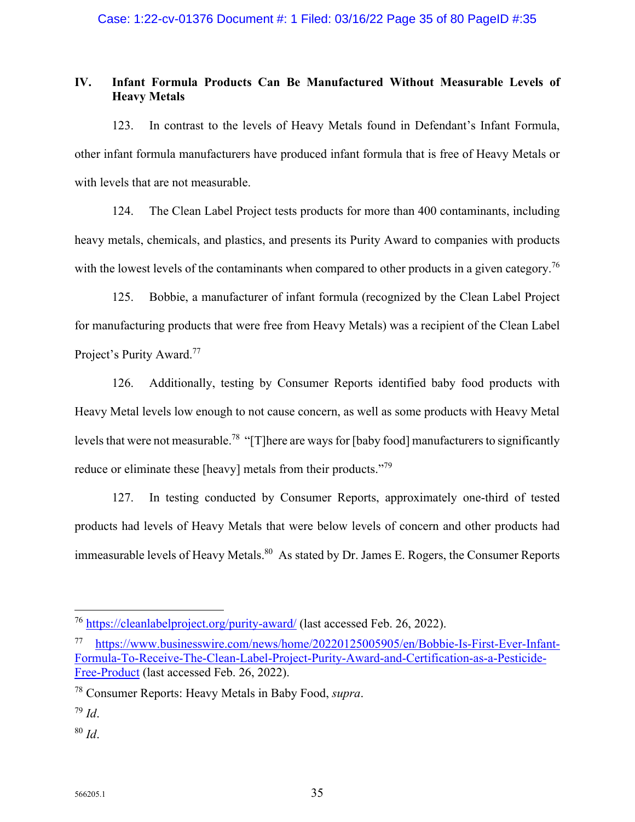## **IV. Infant Formula Products Can Be Manufactured Without Measurable Levels of Heavy Metals**

123. In contrast to the levels of Heavy Metals found in Defendant's Infant Formula, other infant formula manufacturers have produced infant formula that is free of Heavy Metals or with levels that are not measurable.

124. The Clean Label Project tests products for more than 400 contaminants, including heavy metals, chemicals, and plastics, and presents its Purity Award to companies with products with the lowest levels of the contaminants when compared to other products in a given category.<sup>76</sup>

125. Bobbie, a manufacturer of infant formula (recognized by the Clean Label Project for manufacturing products that were free from Heavy Metals) was a recipient of the Clean Label Project's Purity Award.<sup>77</sup>

126. Additionally, testing by Consumer Reports identified baby food products with Heavy Metal levels low enough to not cause concern, as well as some products with Heavy Metal levels that were not measurable.<sup>78</sup> "[T]here are ways for [baby food] manufacturers to significantly reduce or eliminate these [heavy] metals from their products."<sup>79</sup>

127. In testing conducted by Consumer Reports, approximately one-third of tested products had levels of Heavy Metals that were below levels of concern and other products had immeasurable levels of Heavy Metals.<sup>80</sup> As stated by Dr. James E. Rogers, the Consumer Reports

<sup>76</sup> https://cleanlabelproject.org/purity-award/ (last accessed Feb. 26, 2022).

https://www.businesswire.com/news/home/20220125005905/en/Bobbie-Is-First-Ever-Infant-Formula-To-Receive-The-Clean-Label-Project-Purity-Award-and-Certification-as-a-Pesticide-Free-Product (last accessed Feb. 26, 2022).

<sup>78</sup> Consumer Reports: Heavy Metals in Baby Food, *supra*.

<sup>79</sup> *Id*.

<sup>80</sup> *Id*.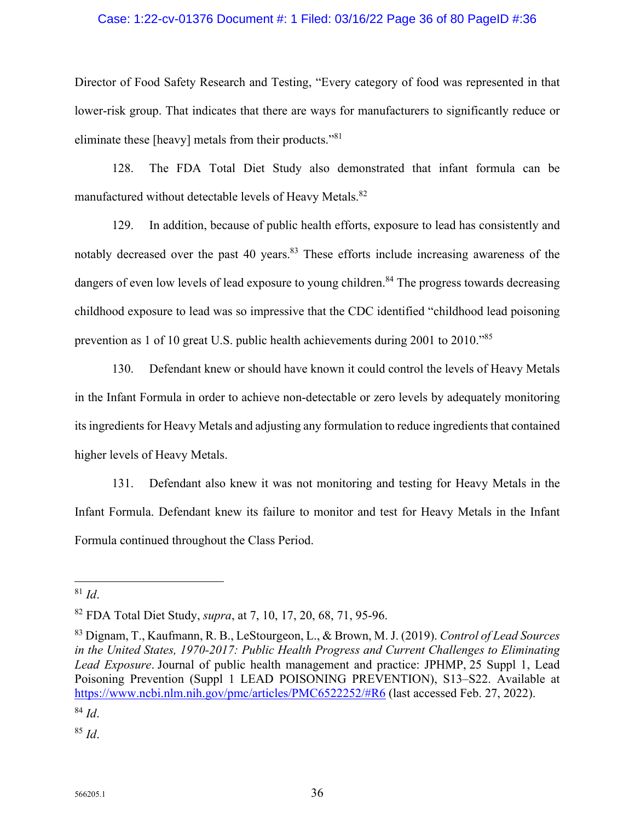## Case: 1:22-cv-01376 Document #: 1 Filed: 03/16/22 Page 36 of 80 PageID #:36

Director of Food Safety Research and Testing, "Every category of food was represented in that lower-risk group. That indicates that there are ways for manufacturers to significantly reduce or eliminate these [heavy] metals from their products."<sup>81</sup>

128. The FDA Total Diet Study also demonstrated that infant formula can be manufactured without detectable levels of Heavy Metals.<sup>82</sup>

129. In addition, because of public health efforts, exposure to lead has consistently and notably decreased over the past 40 years.<sup>83</sup> These efforts include increasing awareness of the dangers of even low levels of lead exposure to young children.<sup>84</sup> The progress towards decreasing childhood exposure to lead was so impressive that the CDC identified "childhood lead poisoning prevention as 1 of 10 great U.S. public health achievements during 2001 to 2010."<sup>85</sup>

130. Defendant knew or should have known it could control the levels of Heavy Metals in the Infant Formula in order to achieve non-detectable or zero levels by adequately monitoring its ingredients for Heavy Metals and adjusting any formulation to reduce ingredients that contained higher levels of Heavy Metals.

131. Defendant also knew it was not monitoring and testing for Heavy Metals in the Infant Formula. Defendant knew its failure to monitor and test for Heavy Metals in the Infant Formula continued throughout the Class Period.

<sup>84</sup> *Id*.

<sup>85</sup> *Id*.

 $81$  *Id.* 

<sup>82</sup> FDA Total Diet Study, *supra*, at 7, 10, 17, 20, 68, 71, 95-96.

<sup>83</sup> Dignam, T., Kaufmann, R. B., LeStourgeon, L., & Brown, M. J. (2019). *Control of Lead Sources in the United States, 1970-2017: Public Health Progress and Current Challenges to Eliminating Lead Exposure*. Journal of public health management and practice: JPHMP, 25 Suppl 1, Lead Poisoning Prevention (Suppl 1 LEAD POISONING PREVENTION), S13–S22. Available at https://www.ncbi.nlm.nih.gov/pmc/articles/PMC6522252/#R6 (last accessed Feb. 27, 2022).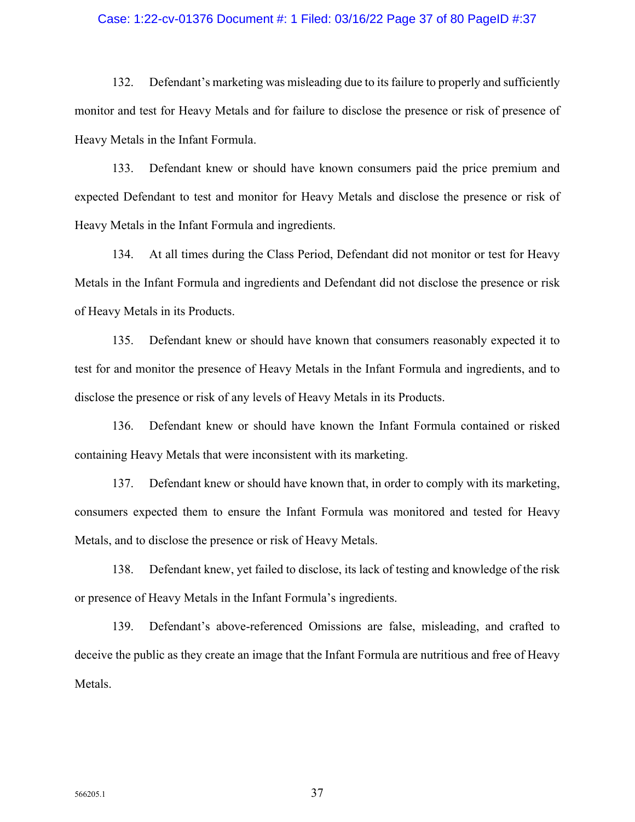### Case: 1:22-cv-01376 Document #: 1 Filed: 03/16/22 Page 37 of 80 PageID #:37

132. Defendant's marketing was misleading due to its failure to properly and sufficiently monitor and test for Heavy Metals and for failure to disclose the presence or risk of presence of Heavy Metals in the Infant Formula.

133. Defendant knew or should have known consumers paid the price premium and expected Defendant to test and monitor for Heavy Metals and disclose the presence or risk of Heavy Metals in the Infant Formula and ingredients.

134. At all times during the Class Period, Defendant did not monitor or test for Heavy Metals in the Infant Formula and ingredients and Defendant did not disclose the presence or risk of Heavy Metals in its Products.

135. Defendant knew or should have known that consumers reasonably expected it to test for and monitor the presence of Heavy Metals in the Infant Formula and ingredients, and to disclose the presence or risk of any levels of Heavy Metals in its Products.

136. Defendant knew or should have known the Infant Formula contained or risked containing Heavy Metals that were inconsistent with its marketing.

137. Defendant knew or should have known that, in order to comply with its marketing, consumers expected them to ensure the Infant Formula was monitored and tested for Heavy Metals, and to disclose the presence or risk of Heavy Metals.

138. Defendant knew, yet failed to disclose, its lack of testing and knowledge of the risk or presence of Heavy Metals in the Infant Formula's ingredients.

139. Defendant's above-referenced Omissions are false, misleading, and crafted to deceive the public as they create an image that the Infant Formula are nutritious and free of Heavy Metals.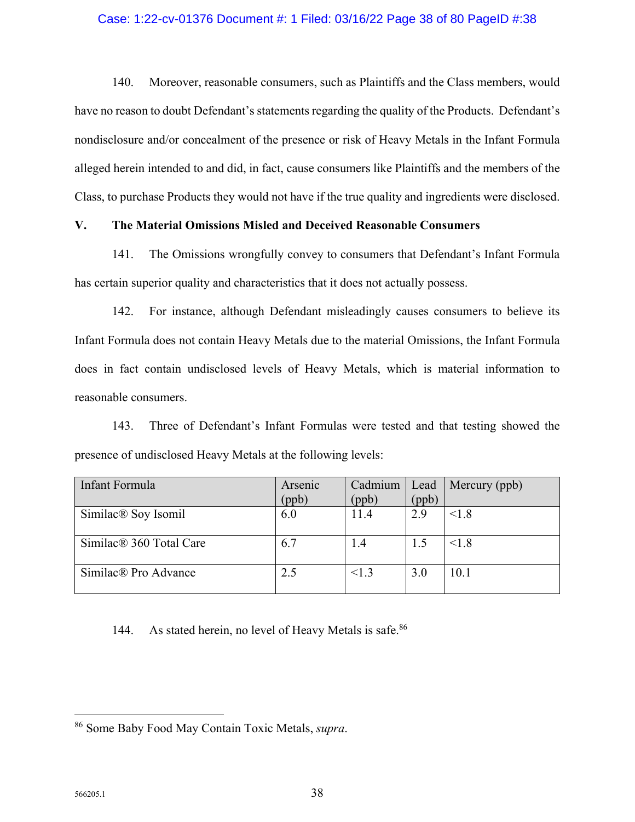## Case: 1:22-cv-01376 Document #: 1 Filed: 03/16/22 Page 38 of 80 PageID #:38

140. Moreover, reasonable consumers, such as Plaintiffs and the Class members, would have no reason to doubt Defendant's statements regarding the quality of the Products. Defendant's nondisclosure and/or concealment of the presence or risk of Heavy Metals in the Infant Formula alleged herein intended to and did, in fact, cause consumers like Plaintiffs and the members of the Class, to purchase Products they would not have if the true quality and ingredients were disclosed.

# **V. The Material Omissions Misled and Deceived Reasonable Consumers**

141. The Omissions wrongfully convey to consumers that Defendant's Infant Formula has certain superior quality and characteristics that it does not actually possess.

142. For instance, although Defendant misleadingly causes consumers to believe its Infant Formula does not contain Heavy Metals due to the material Omissions, the Infant Formula does in fact contain undisclosed levels of Heavy Metals, which is material information to reasonable consumers.

143. Three of Defendant's Infant Formulas were tested and that testing showed the presence of undisclosed Heavy Metals at the following levels:

| Infant Formula                      | Arsenic<br>(ppb) | Cadmium<br>(ppb) | Lead<br>(ppb) | Mercury (ppb) |
|-------------------------------------|------------------|------------------|---------------|---------------|
| Similac <sup>®</sup> Soy Isomil     | 6.0              | 11.4             | 2.9           | < 1.8         |
| Similac <sup>®</sup> 360 Total Care | 6.7              | 1.4              | 1.5           | < 1.8         |
| Similac® Pro Advance                | 2.5              | < 1.3            | 3.0           | 10.1          |

# 144. As stated herein, no level of Heavy Metals is safe.<sup>86</sup>

<sup>86</sup> Some Baby Food May Contain Toxic Metals, *supra*.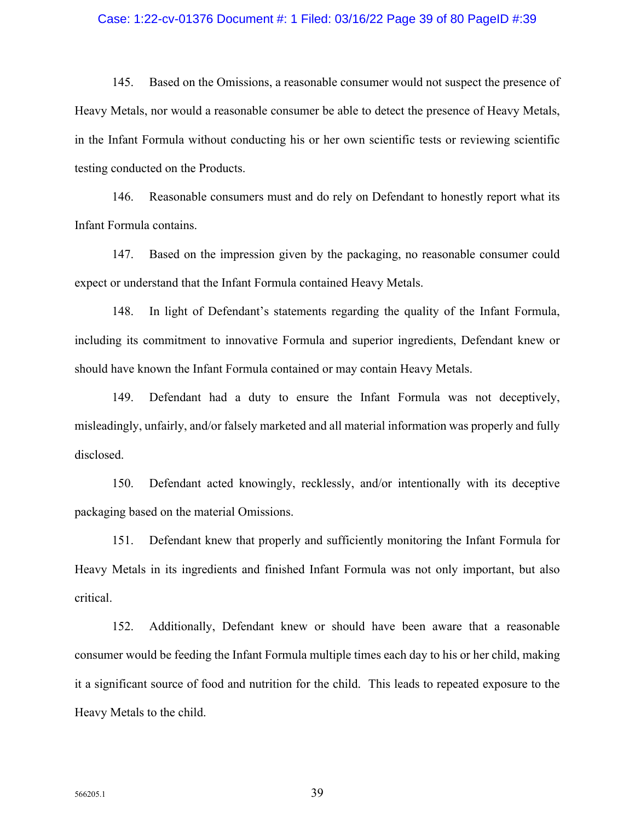### Case: 1:22-cv-01376 Document #: 1 Filed: 03/16/22 Page 39 of 80 PageID #:39

145. Based on the Omissions, a reasonable consumer would not suspect the presence of Heavy Metals, nor would a reasonable consumer be able to detect the presence of Heavy Metals, in the Infant Formula without conducting his or her own scientific tests or reviewing scientific testing conducted on the Products.

146. Reasonable consumers must and do rely on Defendant to honestly report what its Infant Formula contains.

147. Based on the impression given by the packaging, no reasonable consumer could expect or understand that the Infant Formula contained Heavy Metals.

148. In light of Defendant's statements regarding the quality of the Infant Formula, including its commitment to innovative Formula and superior ingredients, Defendant knew or should have known the Infant Formula contained or may contain Heavy Metals.

149. Defendant had a duty to ensure the Infant Formula was not deceptively, misleadingly, unfairly, and/or falsely marketed and all material information was properly and fully disclosed.

150. Defendant acted knowingly, recklessly, and/or intentionally with its deceptive packaging based on the material Omissions.

151. Defendant knew that properly and sufficiently monitoring the Infant Formula for Heavy Metals in its ingredients and finished Infant Formula was not only important, but also critical.

152. Additionally, Defendant knew or should have been aware that a reasonable consumer would be feeding the Infant Formula multiple times each day to his or her child, making it a significant source of food and nutrition for the child. This leads to repeated exposure to the Heavy Metals to the child.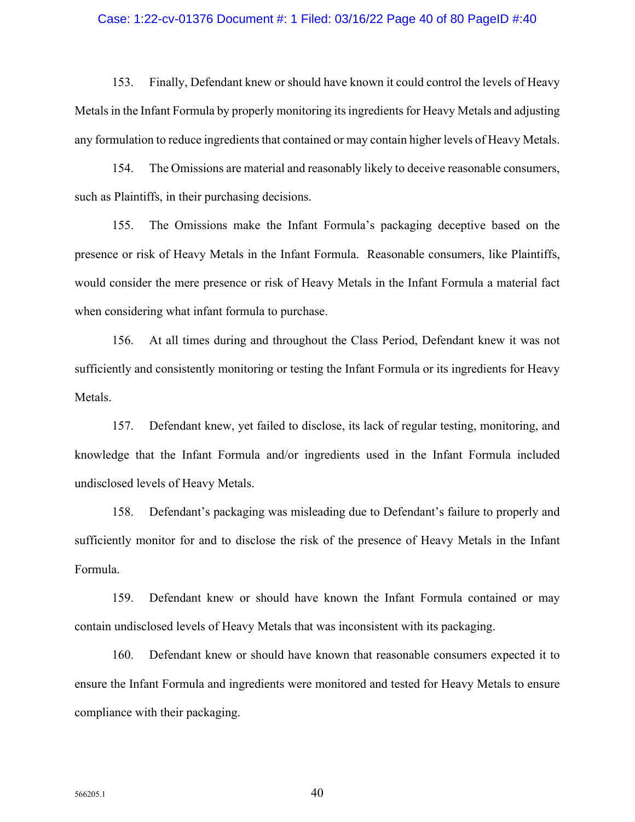### Case: 1:22-cv-01376 Document #: 1 Filed: 03/16/22 Page 40 of 80 PageID #:40

153. Finally, Defendant knew or should have known it could control the levels of Heavy Metals in the Infant Formula by properly monitoring its ingredients for Heavy Metals and adjusting any formulation to reduce ingredients that contained or may contain higher levels of Heavy Metals.

154. The Omissions are material and reasonably likely to deceive reasonable consumers, such as Plaintiffs, in their purchasing decisions.

155. The Omissions make the Infant Formula's packaging deceptive based on the presence or risk of Heavy Metals in the Infant Formula. Reasonable consumers, like Plaintiffs, would consider the mere presence or risk of Heavy Metals in the Infant Formula a material fact when considering what infant formula to purchase.

156. At all times during and throughout the Class Period, Defendant knew it was not sufficiently and consistently monitoring or testing the Infant Formula or its ingredients for Heavy Metals.

157. Defendant knew, yet failed to disclose, its lack of regular testing, monitoring, and knowledge that the Infant Formula and/or ingredients used in the Infant Formula included undisclosed levels of Heavy Metals.

158. Defendant's packaging was misleading due to Defendant's failure to properly and sufficiently monitor for and to disclose the risk of the presence of Heavy Metals in the Infant Formula.

159. Defendant knew or should have known the Infant Formula contained or may contain undisclosed levels of Heavy Metals that was inconsistent with its packaging.

160. Defendant knew or should have known that reasonable consumers expected it to ensure the Infant Formula and ingredients were monitored and tested for Heavy Metals to ensure compliance with their packaging.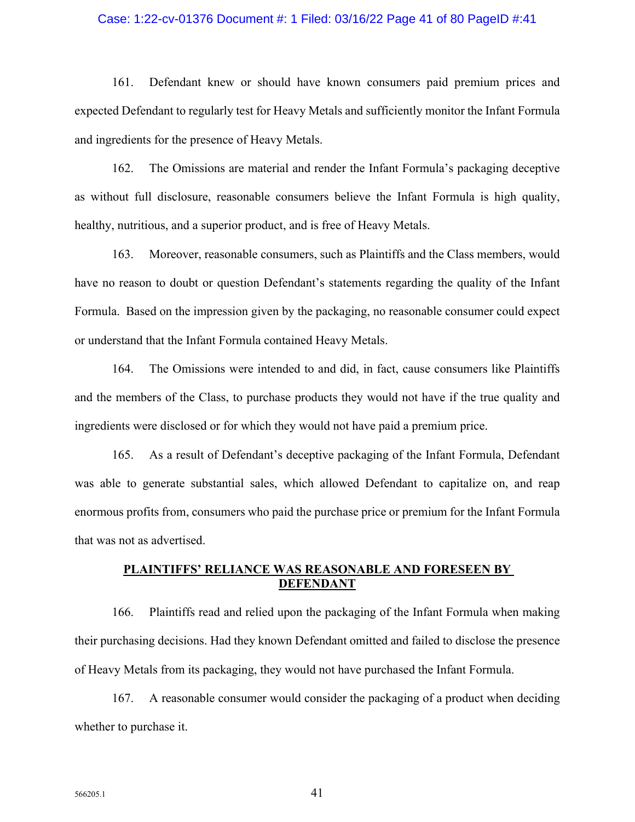### Case: 1:22-cv-01376 Document #: 1 Filed: 03/16/22 Page 41 of 80 PageID #:41

161. Defendant knew or should have known consumers paid premium prices and expected Defendant to regularly test for Heavy Metals and sufficiently monitor the Infant Formula and ingredients for the presence of Heavy Metals.

162. The Omissions are material and render the Infant Formula's packaging deceptive as without full disclosure, reasonable consumers believe the Infant Formula is high quality, healthy, nutritious, and a superior product, and is free of Heavy Metals.

163. Moreover, reasonable consumers, such as Plaintiffs and the Class members, would have no reason to doubt or question Defendant's statements regarding the quality of the Infant Formula. Based on the impression given by the packaging, no reasonable consumer could expect or understand that the Infant Formula contained Heavy Metals.

164. The Omissions were intended to and did, in fact, cause consumers like Plaintiffs and the members of the Class, to purchase products they would not have if the true quality and ingredients were disclosed or for which they would not have paid a premium price.

165. As a result of Defendant's deceptive packaging of the Infant Formula, Defendant was able to generate substantial sales, which allowed Defendant to capitalize on, and reap enormous profits from, consumers who paid the purchase price or premium for the Infant Formula that was not as advertised.

## **PLAINTIFFS' RELIANCE WAS REASONABLE AND FORESEEN BY DEFENDANT**

166. Plaintiffs read and relied upon the packaging of the Infant Formula when making their purchasing decisions. Had they known Defendant omitted and failed to disclose the presence of Heavy Metals from its packaging, they would not have purchased the Infant Formula.

167. A reasonable consumer would consider the packaging of a product when deciding whether to purchase it.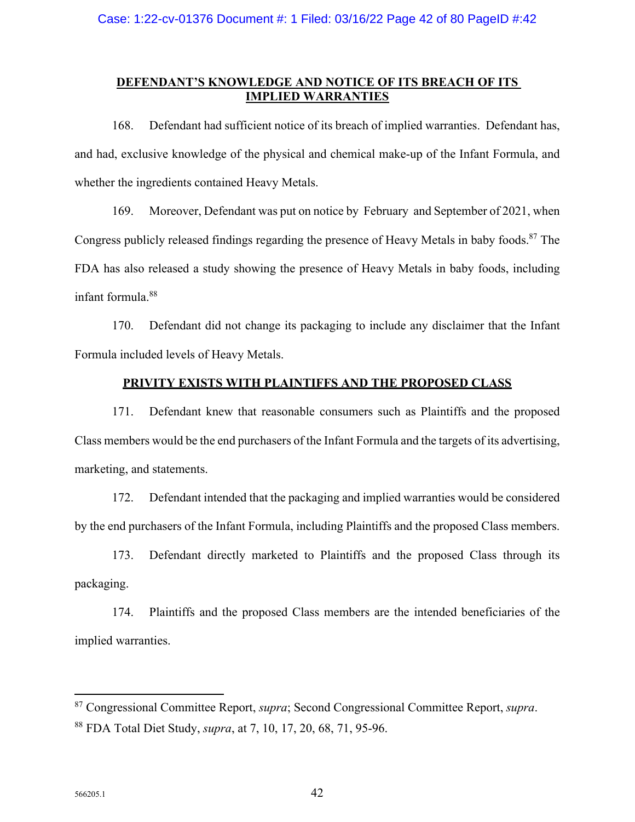## **DEFENDANT'S KNOWLEDGE AND NOTICE OF ITS BREACH OF ITS IMPLIED WARRANTIES**

168. Defendant had sufficient notice of its breach of implied warranties. Defendant has, and had, exclusive knowledge of the physical and chemical make-up of the Infant Formula, and whether the ingredients contained Heavy Metals.

169. Moreover, Defendant was put on notice by February and September of 2021, when Congress publicly released findings regarding the presence of Heavy Metals in baby foods.<sup>87</sup> The FDA has also released a study showing the presence of Heavy Metals in baby foods, including infant formula.<sup>88</sup>

170. Defendant did not change its packaging to include any disclaimer that the Infant Formula included levels of Heavy Metals.

## **PRIVITY EXISTS WITH PLAINTIFFS AND THE PROPOSED CLASS**

171. Defendant knew that reasonable consumers such as Plaintiffs and the proposed Class members would be the end purchasers of the Infant Formula and the targets of its advertising, marketing, and statements.

172. Defendant intended that the packaging and implied warranties would be considered by the end purchasers of the Infant Formula, including Plaintiffs and the proposed Class members.

173. Defendant directly marketed to Plaintiffs and the proposed Class through its packaging.

174. Plaintiffs and the proposed Class members are the intended beneficiaries of the implied warranties.

<sup>87</sup> Congressional Committee Report, *supra*; Second Congressional Committee Report, *supra*. <sup>88</sup> FDA Total Diet Study, *supra*, at 7, 10, 17, 20, 68, 71, 95-96.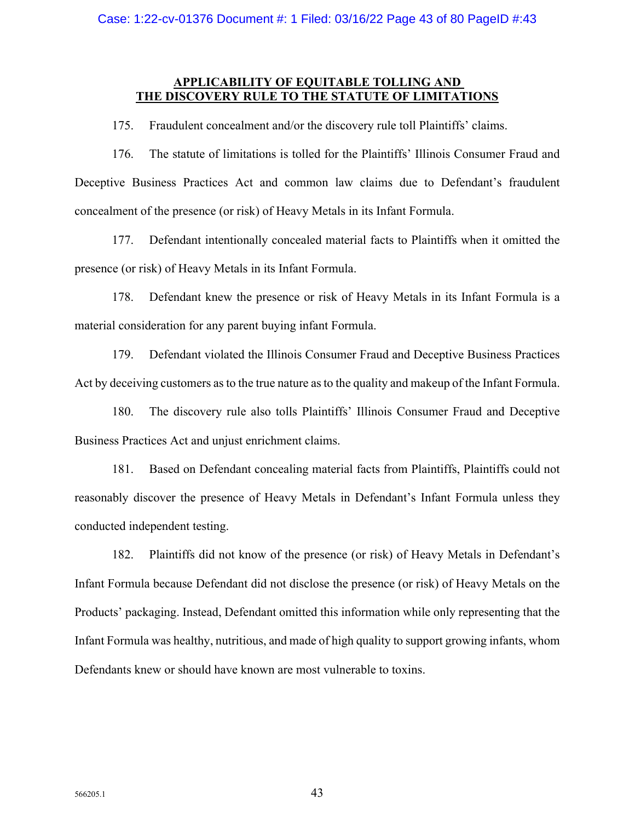## **APPLICABILITY OF EQUITABLE TOLLING AND THE DISCOVERY RULE TO THE STATUTE OF LIMITATIONS**

175. Fraudulent concealment and/or the discovery rule toll Plaintiffs' claims.

176. The statute of limitations is tolled for the Plaintiffs' Illinois Consumer Fraud and Deceptive Business Practices Act and common law claims due to Defendant's fraudulent concealment of the presence (or risk) of Heavy Metals in its Infant Formula.

177. Defendant intentionally concealed material facts to Plaintiffs when it omitted the presence (or risk) of Heavy Metals in its Infant Formula.

178. Defendant knew the presence or risk of Heavy Metals in its Infant Formula is a material consideration for any parent buying infant Formula.

179. Defendant violated the Illinois Consumer Fraud and Deceptive Business Practices Act by deceiving customers as to the true nature as to the quality and makeup of the Infant Formula.

180. The discovery rule also tolls Plaintiffs' Illinois Consumer Fraud and Deceptive Business Practices Act and unjust enrichment claims.

181. Based on Defendant concealing material facts from Plaintiffs, Plaintiffs could not reasonably discover the presence of Heavy Metals in Defendant's Infant Formula unless they conducted independent testing.

182. Plaintiffs did not know of the presence (or risk) of Heavy Metals in Defendant's Infant Formula because Defendant did not disclose the presence (or risk) of Heavy Metals on the Products' packaging. Instead, Defendant omitted this information while only representing that the Infant Formula was healthy, nutritious, and made of high quality to support growing infants, whom Defendants knew or should have known are most vulnerable to toxins.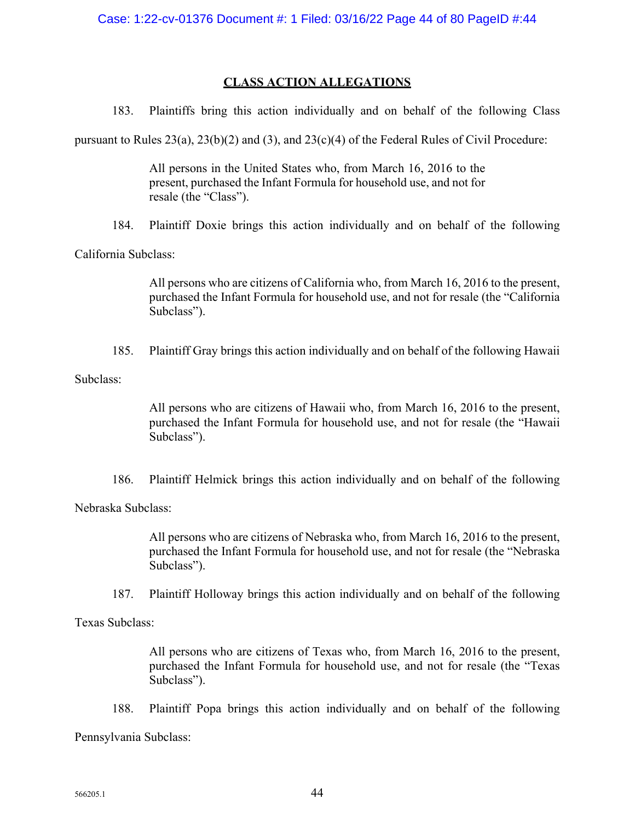# **CLASS ACTION ALLEGATIONS**

183. Plaintiffs bring this action individually and on behalf of the following Class

pursuant to Rules 23(a), 23(b)(2) and (3), and 23(c)(4) of the Federal Rules of Civil Procedure:

All persons in the United States who, from March 16, 2016 to the present, purchased the Infant Formula for household use, and not for resale (the "Class").

184. Plaintiff Doxie brings this action individually and on behalf of the following

California Subclass:

All persons who are citizens of California who, from March 16, 2016 to the present, purchased the Infant Formula for household use, and not for resale (the "California Subclass").

185. Plaintiff Gray brings this action individually and on behalf of the following Hawaii

Subclass:

All persons who are citizens of Hawaii who, from March 16, 2016 to the present, purchased the Infant Formula for household use, and not for resale (the "Hawaii Subclass").

186. Plaintiff Helmick brings this action individually and on behalf of the following

Nebraska Subclass:

All persons who are citizens of Nebraska who, from March 16, 2016 to the present, purchased the Infant Formula for household use, and not for resale (the "Nebraska Subclass").

187. Plaintiff Holloway brings this action individually and on behalf of the following

Texas Subclass:

All persons who are citizens of Texas who, from March 16, 2016 to the present, purchased the Infant Formula for household use, and not for resale (the "Texas Subclass").

188. Plaintiff Popa brings this action individually and on behalf of the following

Pennsylvania Subclass: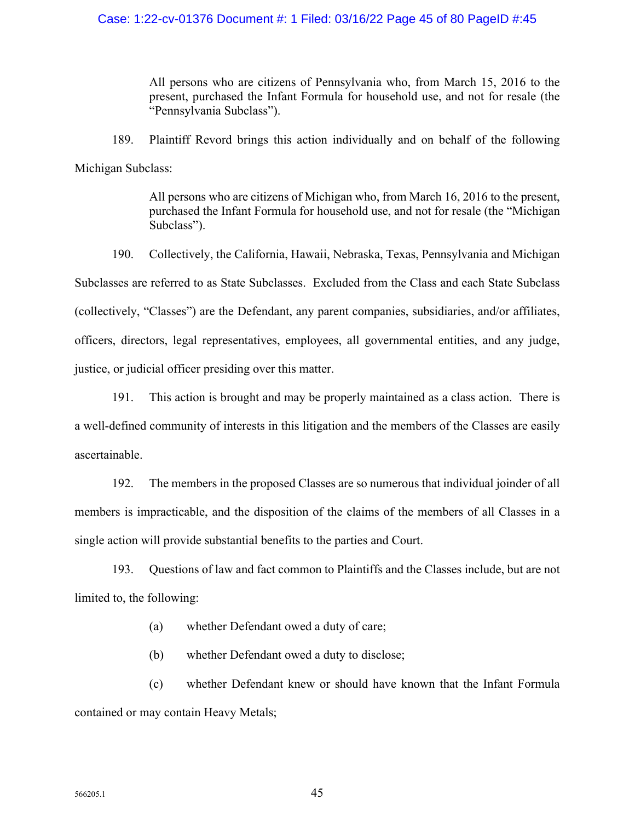## Case: 1:22-cv-01376 Document #: 1 Filed: 03/16/22 Page 45 of 80 PageID #:45

All persons who are citizens of Pennsylvania who, from March 15, 2016 to the present, purchased the Infant Formula for household use, and not for resale (the "Pennsylvania Subclass").

189. Plaintiff Revord brings this action individually and on behalf of the following Michigan Subclass:

> All persons who are citizens of Michigan who, from March 16, 2016 to the present, purchased the Infant Formula for household use, and not for resale (the "Michigan Subclass").

190. Collectively, the California, Hawaii, Nebraska, Texas, Pennsylvania and Michigan Subclasses are referred to as State Subclasses. Excluded from the Class and each State Subclass (collectively, "Classes") are the Defendant, any parent companies, subsidiaries, and/or affiliates, officers, directors, legal representatives, employees, all governmental entities, and any judge, justice, or judicial officer presiding over this matter.

191. This action is brought and may be properly maintained as a class action. There is a well-defined community of interests in this litigation and the members of the Classes are easily ascertainable.

192. The members in the proposed Classes are so numerous that individual joinder of all members is impracticable, and the disposition of the claims of the members of all Classes in a single action will provide substantial benefits to the parties and Court.

193. Questions of law and fact common to Plaintiffs and the Classes include, but are not limited to, the following:

(a) whether Defendant owed a duty of care;

(b) whether Defendant owed a duty to disclose;

(c) whether Defendant knew or should have known that the Infant Formula contained or may contain Heavy Metals;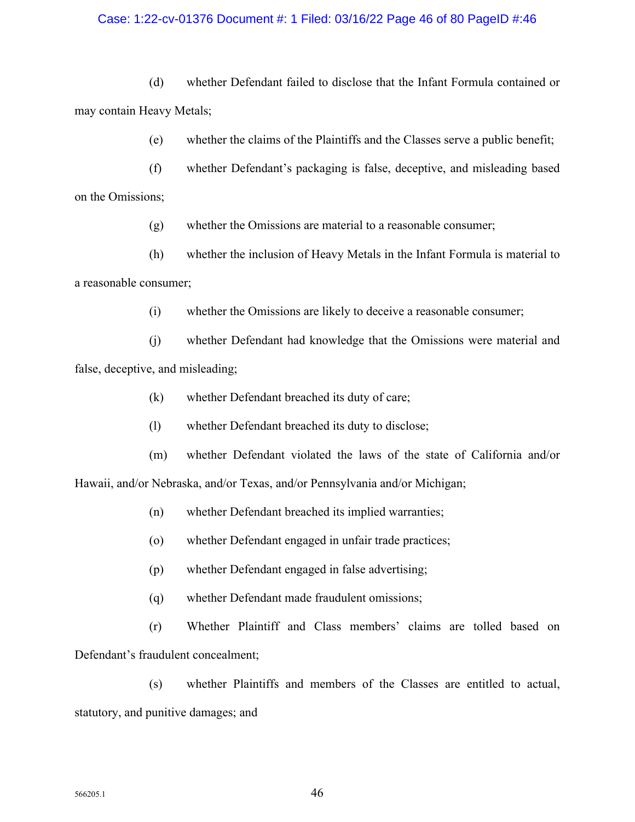## Case: 1:22-cv-01376 Document #: 1 Filed: 03/16/22 Page 46 of 80 PageID #:46

(d) whether Defendant failed to disclose that the Infant Formula contained or may contain Heavy Metals;

(e) whether the claims of the Plaintiffs and the Classes serve a public benefit;

(f) whether Defendant's packaging is false, deceptive, and misleading based on the Omissions;

(g) whether the Omissions are material to a reasonable consumer;

(h) whether the inclusion of Heavy Metals in the Infant Formula is material to a reasonable consumer;

(i) whether the Omissions are likely to deceive a reasonable consumer;

(j) whether Defendant had knowledge that the Omissions were material and false, deceptive, and misleading;

- (k) whether Defendant breached its duty of care;
- (l) whether Defendant breached its duty to disclose;
- (m) whether Defendant violated the laws of the state of California and/or Hawaii, and/or Nebraska, and/or Texas, and/or Pennsylvania and/or Michigan;
	- (n) whether Defendant breached its implied warranties;
	- (o) whether Defendant engaged in unfair trade practices;
	- (p) whether Defendant engaged in false advertising;
	- (q) whether Defendant made fraudulent omissions;

(r) Whether Plaintiff and Class members' claims are tolled based on Defendant's fraudulent concealment;

(s) whether Plaintiffs and members of the Classes are entitled to actual, statutory, and punitive damages; and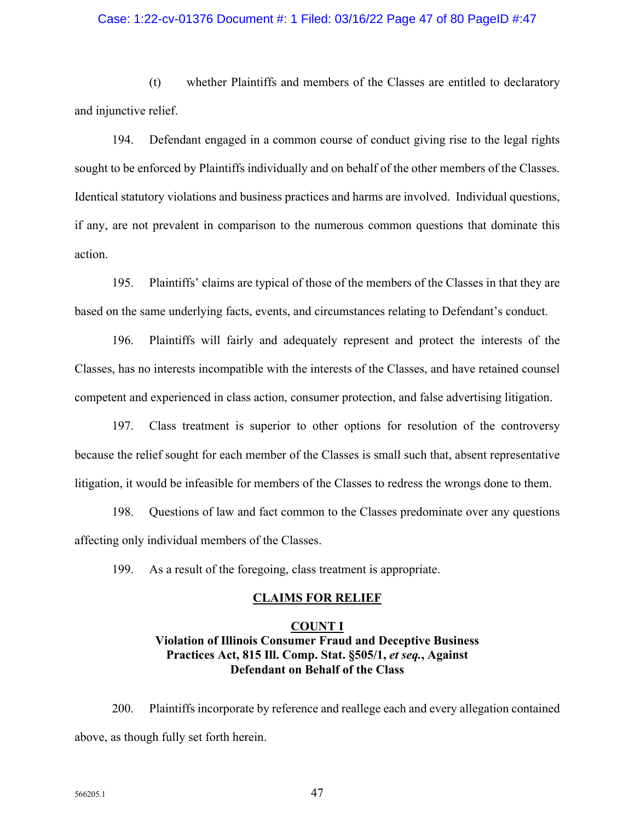## Case: 1:22-cv-01376 Document #: 1 Filed: 03/16/22 Page 47 of 80 PageID #:47

(t) whether Plaintiffs and members of the Classes are entitled to declaratory and injunctive relief.

194. Defendant engaged in a common course of conduct giving rise to the legal rights sought to be enforced by Plaintiffs individually and on behalf of the other members of the Classes. Identical statutory violations and business practices and harms are involved. Individual questions, if any, are not prevalent in comparison to the numerous common questions that dominate this action.

195. Plaintiffs' claims are typical of those of the members of the Classes in that they are based on the same underlying facts, events, and circumstances relating to Defendant's conduct.

196. Plaintiffs will fairly and adequately represent and protect the interests of the Classes, has no interests incompatible with the interests of the Classes, and have retained counsel competent and experienced in class action, consumer protection, and false advertising litigation.

197. Class treatment is superior to other options for resolution of the controversy because the relief sought for each member of the Classes is small such that, absent representative litigation, it would be infeasible for members of the Classes to redress the wrongs done to them.

198. Questions of law and fact common to the Classes predominate over any questions affecting only individual members of the Classes.

199. As a result of the foregoing, class treatment is appropriate.

#### **CLAIMS FOR RELIEF**

# **COUNT I Violation of Illinois Consumer Fraud and Deceptive Business Practices Act, 815 Ill. Comp. Stat. §505/1,** *et seq.***, Against Defendant on Behalf of the Class**

200. Plaintiffs incorporate by reference and reallege each and every allegation contained above, as though fully set forth herein.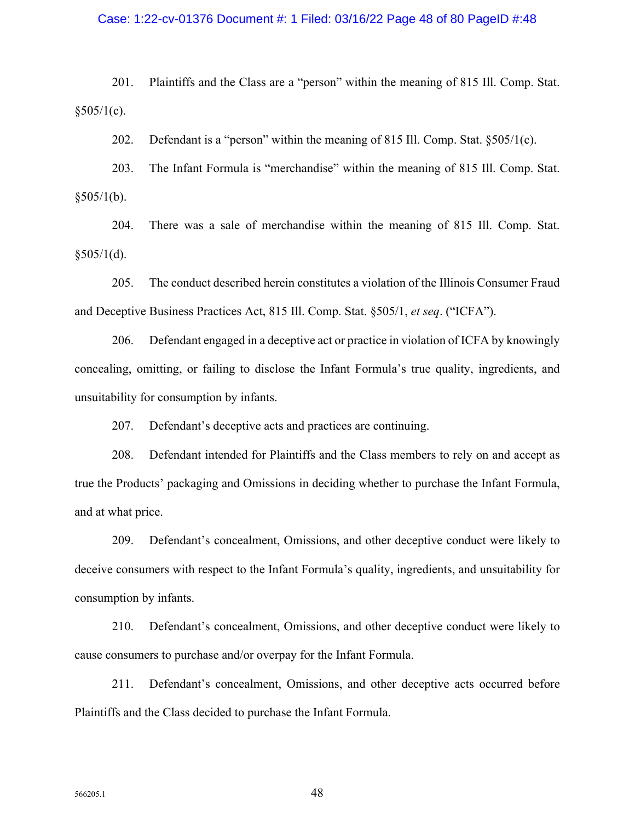### Case: 1:22-cv-01376 Document #: 1 Filed: 03/16/22 Page 48 of 80 PageID #:48

201. Plaintiffs and the Class are a "person" within the meaning of 815 Ill. Comp. Stat.  $§505/1(c)$ .

202. Defendant is a "person" within the meaning of 815 Ill. Comp. Stat. §505/1(c).

203. The Infant Formula is "merchandise" within the meaning of 815 Ill. Comp. Stat.  $§505/1(b).$ 

204. There was a sale of merchandise within the meaning of 815 Ill. Comp. Stat.  $$505/1(d).$ 

205. The conduct described herein constitutes a violation of the Illinois Consumer Fraud and Deceptive Business Practices Act, 815 Ill. Comp. Stat. §505/1, *et seq*. ("ICFA").

206. Defendant engaged in a deceptive act or practice in violation of ICFA by knowingly concealing, omitting, or failing to disclose the Infant Formula's true quality, ingredients, and unsuitability for consumption by infants.

207. Defendant's deceptive acts and practices are continuing.

208. Defendant intended for Plaintiffs and the Class members to rely on and accept as true the Products' packaging and Omissions in deciding whether to purchase the Infant Formula, and at what price.

209. Defendant's concealment, Omissions, and other deceptive conduct were likely to deceive consumers with respect to the Infant Formula's quality, ingredients, and unsuitability for consumption by infants.

210. Defendant's concealment, Omissions, and other deceptive conduct were likely to cause consumers to purchase and/or overpay for the Infant Formula.

211. Defendant's concealment, Omissions, and other deceptive acts occurred before Plaintiffs and the Class decided to purchase the Infant Formula.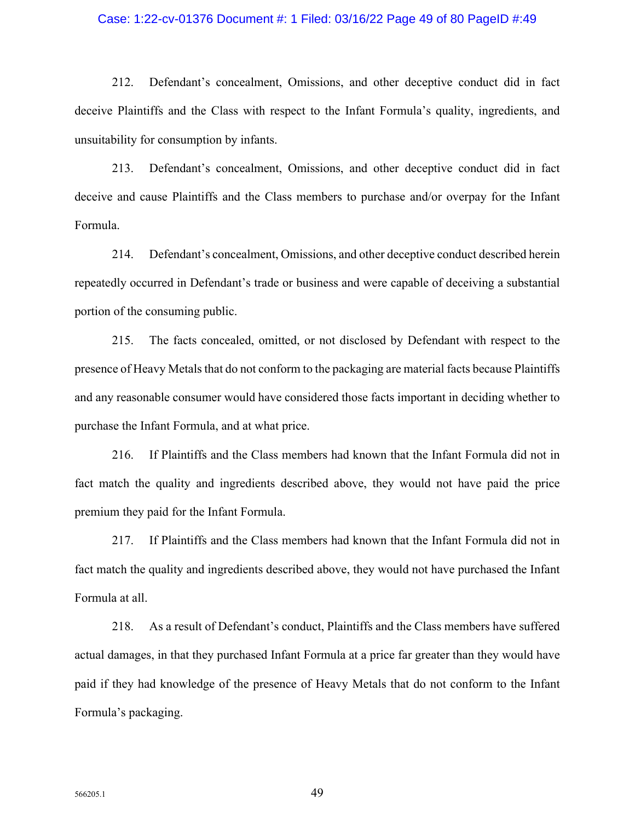### Case: 1:22-cv-01376 Document #: 1 Filed: 03/16/22 Page 49 of 80 PageID #:49

212. Defendant's concealment, Omissions, and other deceptive conduct did in fact deceive Plaintiffs and the Class with respect to the Infant Formula's quality, ingredients, and unsuitability for consumption by infants.

213. Defendant's concealment, Omissions, and other deceptive conduct did in fact deceive and cause Plaintiffs and the Class members to purchase and/or overpay for the Infant Formula.

214. Defendant's concealment, Omissions, and other deceptive conduct described herein repeatedly occurred in Defendant's trade or business and were capable of deceiving a substantial portion of the consuming public.

215. The facts concealed, omitted, or not disclosed by Defendant with respect to the presence of Heavy Metals that do not conform to the packaging are material facts because Plaintiffs and any reasonable consumer would have considered those facts important in deciding whether to purchase the Infant Formula, and at what price.

216. If Plaintiffs and the Class members had known that the Infant Formula did not in fact match the quality and ingredients described above, they would not have paid the price premium they paid for the Infant Formula.

217. If Plaintiffs and the Class members had known that the Infant Formula did not in fact match the quality and ingredients described above, they would not have purchased the Infant Formula at all.

218. As a result of Defendant's conduct, Plaintiffs and the Class members have suffered actual damages, in that they purchased Infant Formula at a price far greater than they would have paid if they had knowledge of the presence of Heavy Metals that do not conform to the Infant Formula's packaging.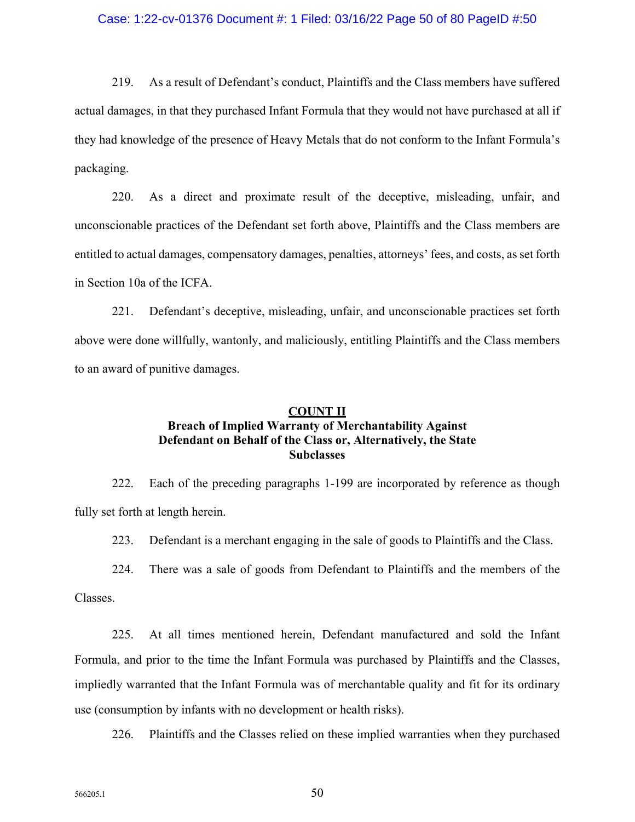### Case: 1:22-cv-01376 Document #: 1 Filed: 03/16/22 Page 50 of 80 PageID #:50

219. As a result of Defendant's conduct, Plaintiffs and the Class members have suffered actual damages, in that they purchased Infant Formula that they would not have purchased at all if they had knowledge of the presence of Heavy Metals that do not conform to the Infant Formula's packaging.

220. As a direct and proximate result of the deceptive, misleading, unfair, and unconscionable practices of the Defendant set forth above, Plaintiffs and the Class members are entitled to actual damages, compensatory damages, penalties, attorneys' fees, and costs, as set forth in Section 10a of the ICFA.

221. Defendant's deceptive, misleading, unfair, and unconscionable practices set forth above were done willfully, wantonly, and maliciously, entitling Plaintiffs and the Class members to an award of punitive damages.

# **COUNT II Breach of Implied Warranty of Merchantability Against Defendant on Behalf of the Class or, Alternatively, the State Subclasses**

222. Each of the preceding paragraphs 1-199 are incorporated by reference as though fully set forth at length herein.

223. Defendant is a merchant engaging in the sale of goods to Plaintiffs and the Class.

224. There was a sale of goods from Defendant to Plaintiffs and the members of the

Classes.

225. At all times mentioned herein, Defendant manufactured and sold the Infant Formula, and prior to the time the Infant Formula was purchased by Plaintiffs and the Classes, impliedly warranted that the Infant Formula was of merchantable quality and fit for its ordinary use (consumption by infants with no development or health risks).

226. Plaintiffs and the Classes relied on these implied warranties when they purchased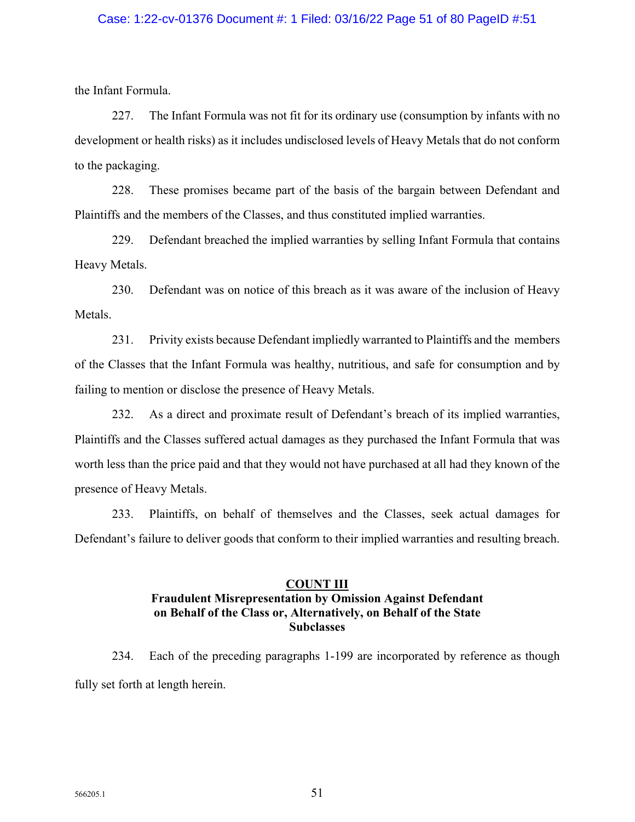## Case: 1:22-cv-01376 Document #: 1 Filed: 03/16/22 Page 51 of 80 PageID #:51

the Infant Formula.

227. The Infant Formula was not fit for its ordinary use (consumption by infants with no development or health risks) as it includes undisclosed levels of Heavy Metals that do not conform to the packaging.

228. These promises became part of the basis of the bargain between Defendant and Plaintiffs and the members of the Classes, and thus constituted implied warranties.

229. Defendant breached the implied warranties by selling Infant Formula that contains Heavy Metals.

230. Defendant was on notice of this breach as it was aware of the inclusion of Heavy Metals.

231. Privity exists because Defendant impliedly warranted to Plaintiffs and the members of the Classes that the Infant Formula was healthy, nutritious, and safe for consumption and by failing to mention or disclose the presence of Heavy Metals.

232. As a direct and proximate result of Defendant's breach of its implied warranties, Plaintiffs and the Classes suffered actual damages as they purchased the Infant Formula that was worth less than the price paid and that they would not have purchased at all had they known of the presence of Heavy Metals.

233. Plaintiffs, on behalf of themselves and the Classes, seek actual damages for Defendant's failure to deliver goods that conform to their implied warranties and resulting breach.

# **COUNT III Fraudulent Misrepresentation by Omission Against Defendant on Behalf of the Class or, Alternatively, on Behalf of the State Subclasses**

234. Each of the preceding paragraphs 1-199 are incorporated by reference as though fully set forth at length herein.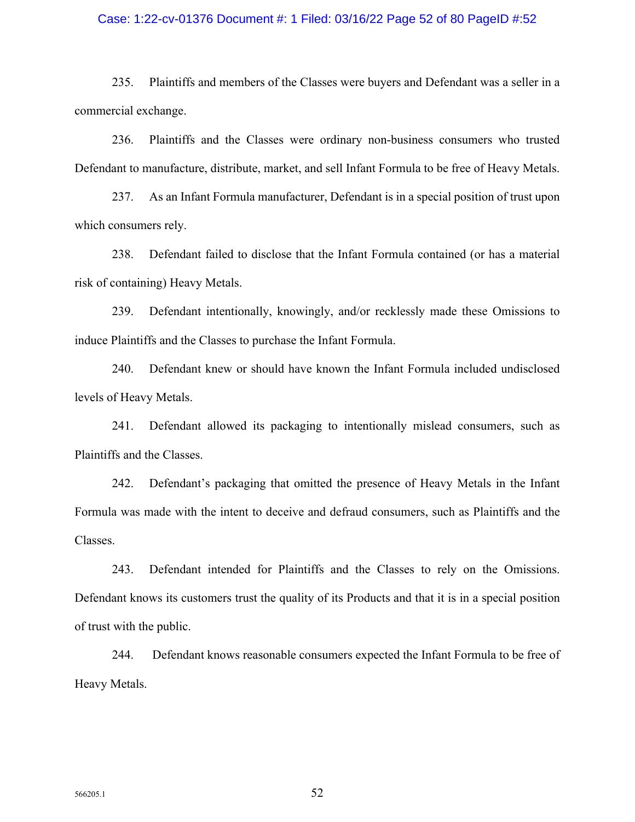## Case: 1:22-cv-01376 Document #: 1 Filed: 03/16/22 Page 52 of 80 PageID #:52

235. Plaintiffs and members of the Classes were buyers and Defendant was a seller in a commercial exchange.

236. Plaintiffs and the Classes were ordinary non-business consumers who trusted Defendant to manufacture, distribute, market, and sell Infant Formula to be free of Heavy Metals.

237. As an Infant Formula manufacturer, Defendant is in a special position of trust upon which consumers rely.

238. Defendant failed to disclose that the Infant Formula contained (or has a material risk of containing) Heavy Metals.

239. Defendant intentionally, knowingly, and/or recklessly made these Omissions to induce Plaintiffs and the Classes to purchase the Infant Formula.

240. Defendant knew or should have known the Infant Formula included undisclosed levels of Heavy Metals.

241. Defendant allowed its packaging to intentionally mislead consumers, such as Plaintiffs and the Classes.

242. Defendant's packaging that omitted the presence of Heavy Metals in the Infant Formula was made with the intent to deceive and defraud consumers, such as Plaintiffs and the Classes.

243. Defendant intended for Plaintiffs and the Classes to rely on the Omissions. Defendant knows its customers trust the quality of its Products and that it is in a special position of trust with the public.

244. Defendant knows reasonable consumers expected the Infant Formula to be free of Heavy Metals.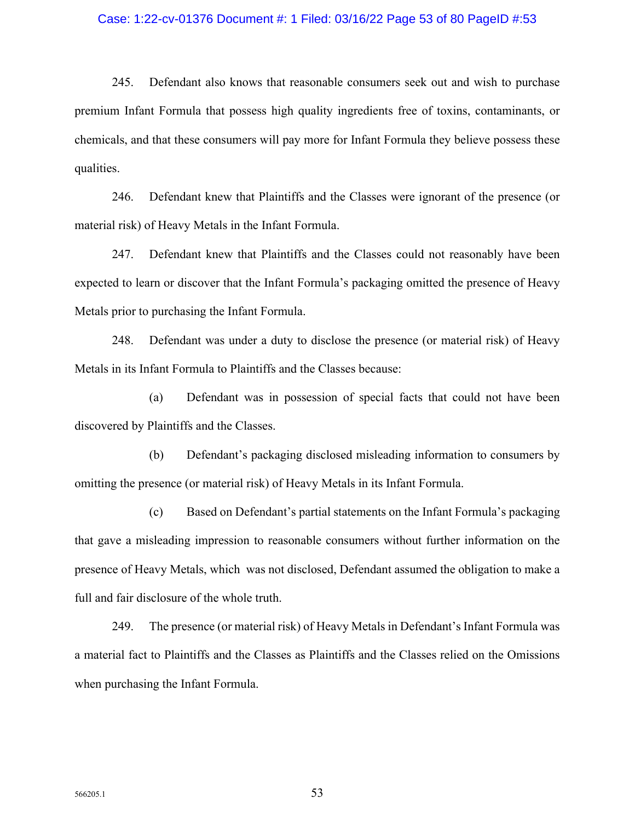### Case: 1:22-cv-01376 Document #: 1 Filed: 03/16/22 Page 53 of 80 PageID #:53

245. Defendant also knows that reasonable consumers seek out and wish to purchase premium Infant Formula that possess high quality ingredients free of toxins, contaminants, or chemicals, and that these consumers will pay more for Infant Formula they believe possess these qualities.

246. Defendant knew that Plaintiffs and the Classes were ignorant of the presence (or material risk) of Heavy Metals in the Infant Formula.

247. Defendant knew that Plaintiffs and the Classes could not reasonably have been expected to learn or discover that the Infant Formula's packaging omitted the presence of Heavy Metals prior to purchasing the Infant Formula.

248. Defendant was under a duty to disclose the presence (or material risk) of Heavy Metals in its Infant Formula to Plaintiffs and the Classes because:

(a) Defendant was in possession of special facts that could not have been discovered by Plaintiffs and the Classes.

(b) Defendant's packaging disclosed misleading information to consumers by omitting the presence (or material risk) of Heavy Metals in its Infant Formula.

(c) Based on Defendant's partial statements on the Infant Formula's packaging that gave a misleading impression to reasonable consumers without further information on the presence of Heavy Metals, which was not disclosed, Defendant assumed the obligation to make a full and fair disclosure of the whole truth.

249. The presence (or material risk) of Heavy Metals in Defendant's Infant Formula was a material fact to Plaintiffs and the Classes as Plaintiffs and the Classes relied on the Omissions when purchasing the Infant Formula.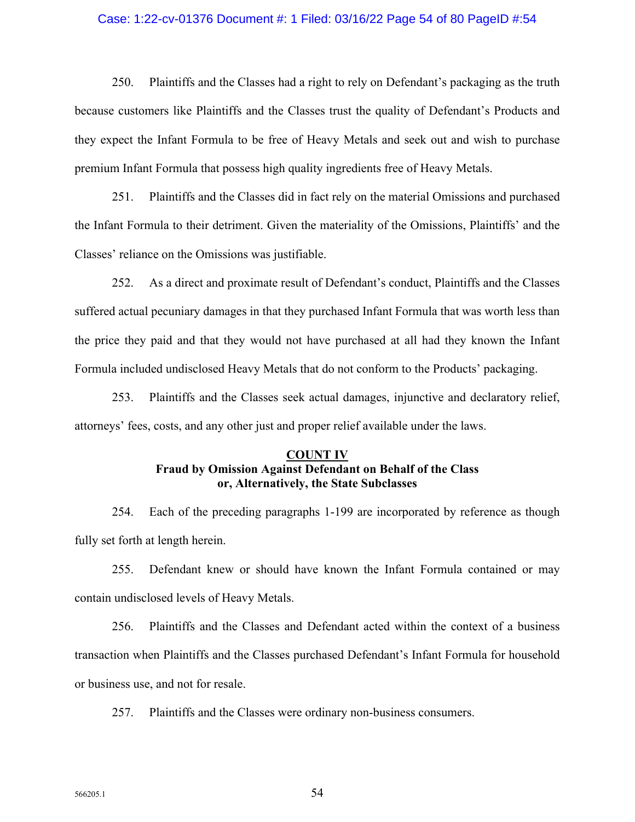## Case: 1:22-cv-01376 Document #: 1 Filed: 03/16/22 Page 54 of 80 PageID #:54

250. Plaintiffs and the Classes had a right to rely on Defendant's packaging as the truth because customers like Plaintiffs and the Classes trust the quality of Defendant's Products and they expect the Infant Formula to be free of Heavy Metals and seek out and wish to purchase premium Infant Formula that possess high quality ingredients free of Heavy Metals.

251. Plaintiffs and the Classes did in fact rely on the material Omissions and purchased the Infant Formula to their detriment. Given the materiality of the Omissions, Plaintiffs' and the Classes' reliance on the Omissions was justifiable.

252. As a direct and proximate result of Defendant's conduct, Plaintiffs and the Classes suffered actual pecuniary damages in that they purchased Infant Formula that was worth less than the price they paid and that they would not have purchased at all had they known the Infant Formula included undisclosed Heavy Metals that do not conform to the Products' packaging.

253. Plaintiffs and the Classes seek actual damages, injunctive and declaratory relief, attorneys' fees, costs, and any other just and proper relief available under the laws.

## **COUNT IV Fraud by Omission Against Defendant on Behalf of the Class or, Alternatively, the State Subclasses**

254. Each of the preceding paragraphs 1-199 are incorporated by reference as though fully set forth at length herein.

255. Defendant knew or should have known the Infant Formula contained or may contain undisclosed levels of Heavy Metals.

256. Plaintiffs and the Classes and Defendant acted within the context of a business transaction when Plaintiffs and the Classes purchased Defendant's Infant Formula for household or business use, and not for resale.

257. Plaintiffs and the Classes were ordinary non-business consumers.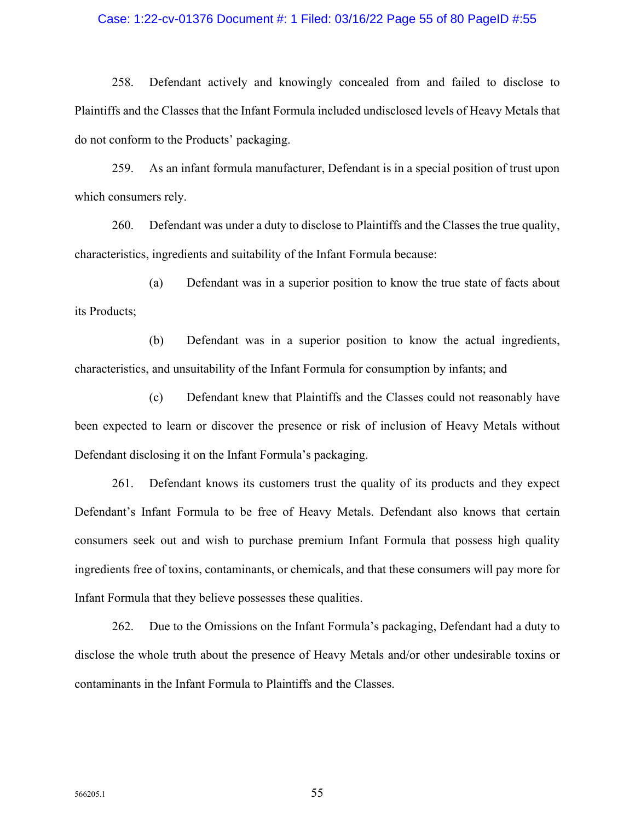### Case: 1:22-cv-01376 Document #: 1 Filed: 03/16/22 Page 55 of 80 PageID #:55

258. Defendant actively and knowingly concealed from and failed to disclose to Plaintiffs and the Classes that the Infant Formula included undisclosed levels of Heavy Metals that do not conform to the Products' packaging.

259. As an infant formula manufacturer, Defendant is in a special position of trust upon which consumers rely.

260. Defendant was under a duty to disclose to Plaintiffs and the Classes the true quality, characteristics, ingredients and suitability of the Infant Formula because:

(a) Defendant was in a superior position to know the true state of facts about its Products;

(b) Defendant was in a superior position to know the actual ingredients, characteristics, and unsuitability of the Infant Formula for consumption by infants; and

(c) Defendant knew that Plaintiffs and the Classes could not reasonably have been expected to learn or discover the presence or risk of inclusion of Heavy Metals without Defendant disclosing it on the Infant Formula's packaging.

261. Defendant knows its customers trust the quality of its products and they expect Defendant's Infant Formula to be free of Heavy Metals. Defendant also knows that certain consumers seek out and wish to purchase premium Infant Formula that possess high quality ingredients free of toxins, contaminants, or chemicals, and that these consumers will pay more for Infant Formula that they believe possesses these qualities.

262. Due to the Omissions on the Infant Formula's packaging, Defendant had a duty to disclose the whole truth about the presence of Heavy Metals and/or other undesirable toxins or contaminants in the Infant Formula to Plaintiffs and the Classes.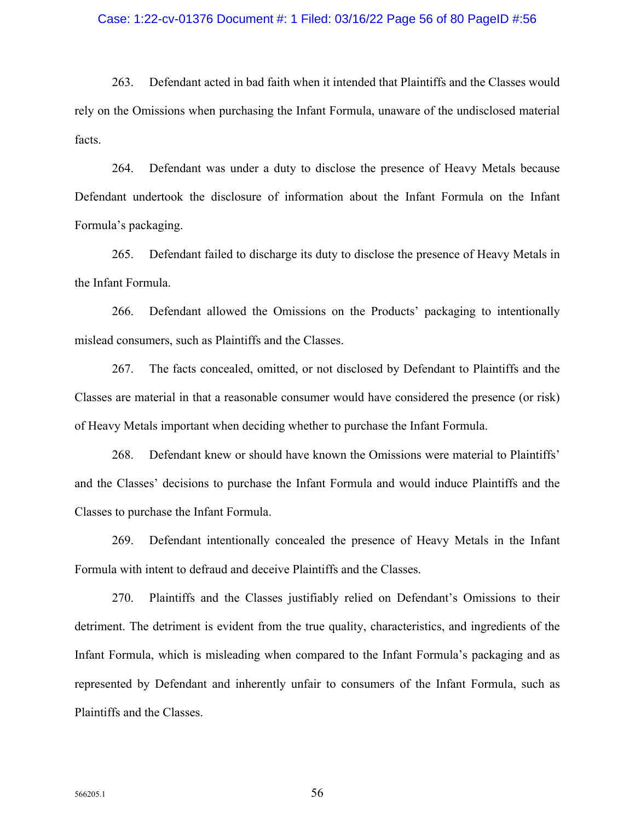### Case: 1:22-cv-01376 Document #: 1 Filed: 03/16/22 Page 56 of 80 PageID #:56

263. Defendant acted in bad faith when it intended that Plaintiffs and the Classes would rely on the Omissions when purchasing the Infant Formula, unaware of the undisclosed material facts.

264. Defendant was under a duty to disclose the presence of Heavy Metals because Defendant undertook the disclosure of information about the Infant Formula on the Infant Formula's packaging.

265. Defendant failed to discharge its duty to disclose the presence of Heavy Metals in the Infant Formula.

266. Defendant allowed the Omissions on the Products' packaging to intentionally mislead consumers, such as Plaintiffs and the Classes.

267. The facts concealed, omitted, or not disclosed by Defendant to Plaintiffs and the Classes are material in that a reasonable consumer would have considered the presence (or risk) of Heavy Metals important when deciding whether to purchase the Infant Formula.

268. Defendant knew or should have known the Omissions were material to Plaintiffs' and the Classes' decisions to purchase the Infant Formula and would induce Plaintiffs and the Classes to purchase the Infant Formula.

269. Defendant intentionally concealed the presence of Heavy Metals in the Infant Formula with intent to defraud and deceive Plaintiffs and the Classes.

270. Plaintiffs and the Classes justifiably relied on Defendant's Omissions to their detriment. The detriment is evident from the true quality, characteristics, and ingredients of the Infant Formula, which is misleading when compared to the Infant Formula's packaging and as represented by Defendant and inherently unfair to consumers of the Infant Formula, such as Plaintiffs and the Classes.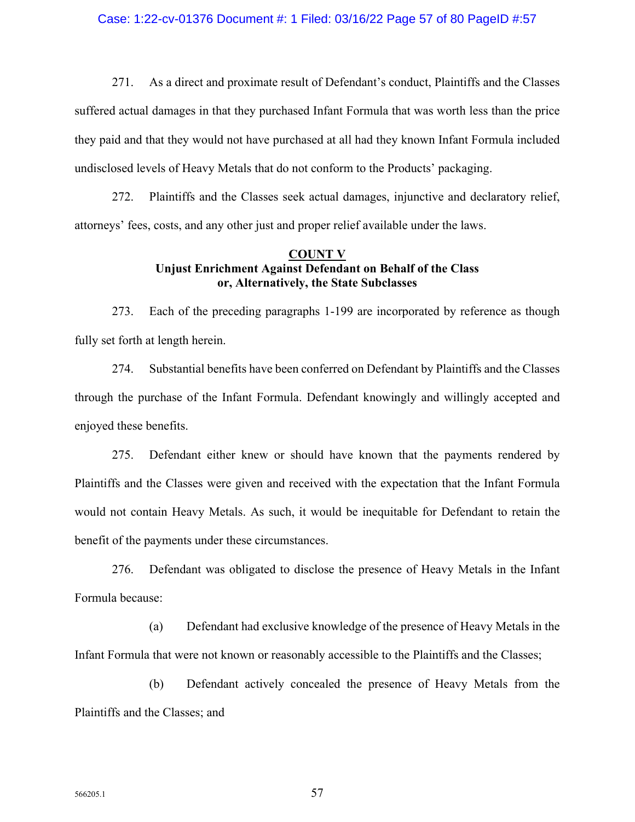271. As a direct and proximate result of Defendant's conduct, Plaintiffs and the Classes suffered actual damages in that they purchased Infant Formula that was worth less than the price they paid and that they would not have purchased at all had they known Infant Formula included undisclosed levels of Heavy Metals that do not conform to the Products' packaging.

272. Plaintiffs and the Classes seek actual damages, injunctive and declaratory relief, attorneys' fees, costs, and any other just and proper relief available under the laws.

# **COUNT V Unjust Enrichment Against Defendant on Behalf of the Class or, Alternatively, the State Subclasses**

273. Each of the preceding paragraphs 1-199 are incorporated by reference as though fully set forth at length herein.

274. Substantial benefits have been conferred on Defendant by Plaintiffs and the Classes through the purchase of the Infant Formula. Defendant knowingly and willingly accepted and enjoyed these benefits.

275. Defendant either knew or should have known that the payments rendered by Plaintiffs and the Classes were given and received with the expectation that the Infant Formula would not contain Heavy Metals. As such, it would be inequitable for Defendant to retain the benefit of the payments under these circumstances.

276. Defendant was obligated to disclose the presence of Heavy Metals in the Infant Formula because:

(a) Defendant had exclusive knowledge of the presence of Heavy Metals in the Infant Formula that were not known or reasonably accessible to the Plaintiffs and the Classes;

(b) Defendant actively concealed the presence of Heavy Metals from the Plaintiffs and the Classes; and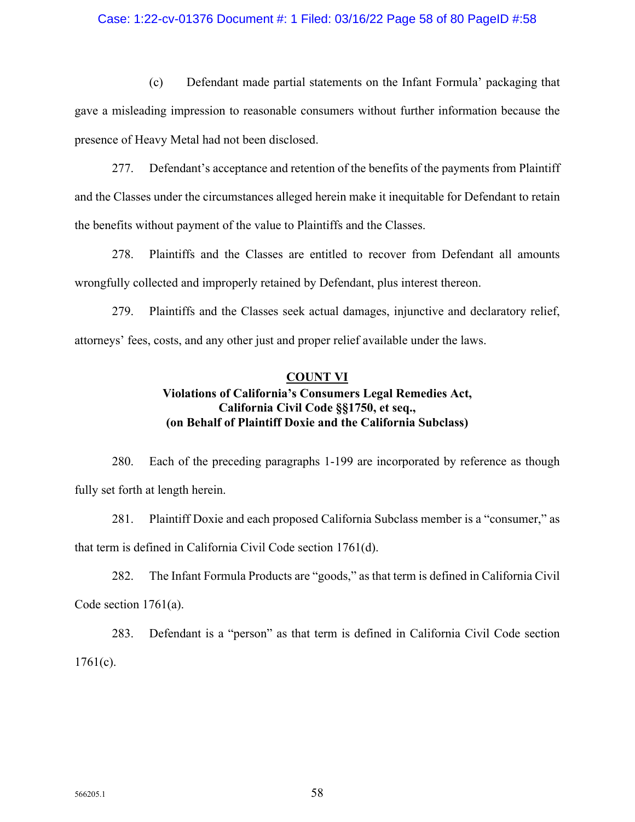## Case: 1:22-cv-01376 Document #: 1 Filed: 03/16/22 Page 58 of 80 PageID #:58

(c) Defendant made partial statements on the Infant Formula' packaging that gave a misleading impression to reasonable consumers without further information because the presence of Heavy Metal had not been disclosed.

277. Defendant's acceptance and retention of the benefits of the payments from Plaintiff and the Classes under the circumstances alleged herein make it inequitable for Defendant to retain the benefits without payment of the value to Plaintiffs and the Classes.

278. Plaintiffs and the Classes are entitled to recover from Defendant all amounts wrongfully collected and improperly retained by Defendant, plus interest thereon.

279. Plaintiffs and the Classes seek actual damages, injunctive and declaratory relief, attorneys' fees, costs, and any other just and proper relief available under the laws.

## **COUNT VI**

# **Violations of California's Consumers Legal Remedies Act, California Civil Code §§1750, et seq., (on Behalf of Plaintiff Doxie and the California Subclass)**

280. Each of the preceding paragraphs 1-199 are incorporated by reference as though fully set forth at length herein.

281. Plaintiff Doxie and each proposed California Subclass member is a "consumer," as that term is defined in California Civil Code section 1761(d).

282. The Infant Formula Products are "goods," as that term is defined in California Civil Code section 1761(a).

283. Defendant is a "person" as that term is defined in California Civil Code section  $1761(c)$ .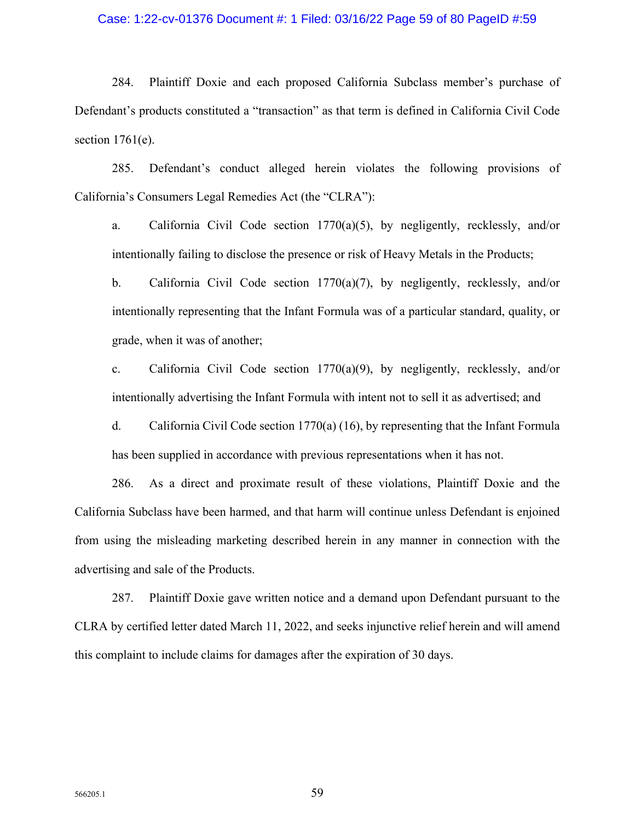## Case: 1:22-cv-01376 Document #: 1 Filed: 03/16/22 Page 59 of 80 PageID #:59

284. Plaintiff Doxie and each proposed California Subclass member's purchase of Defendant's products constituted a "transaction" as that term is defined in California Civil Code section  $1761(e)$ .

285. Defendant's conduct alleged herein violates the following provisions of California's Consumers Legal Remedies Act (the "CLRA"):

a. California Civil Code section 1770(a)(5), by negligently, recklessly, and/or intentionally failing to disclose the presence or risk of Heavy Metals in the Products;

b. California Civil Code section 1770(a)(7), by negligently, recklessly, and/or intentionally representing that the Infant Formula was of a particular standard, quality, or grade, when it was of another;

c. California Civil Code section  $1770(a)(9)$ , by negligently, recklessly, and/or intentionally advertising the Infant Formula with intent not to sell it as advertised; and

d. California Civil Code section 1770(a) (16), by representing that the Infant Formula has been supplied in accordance with previous representations when it has not.

286. As a direct and proximate result of these violations, Plaintiff Doxie and the California Subclass have been harmed, and that harm will continue unless Defendant is enjoined from using the misleading marketing described herein in any manner in connection with the advertising and sale of the Products.

287. Plaintiff Doxie gave written notice and a demand upon Defendant pursuant to the CLRA by certified letter dated March 11, 2022, and seeks injunctive relief herein and will amend this complaint to include claims for damages after the expiration of 30 days.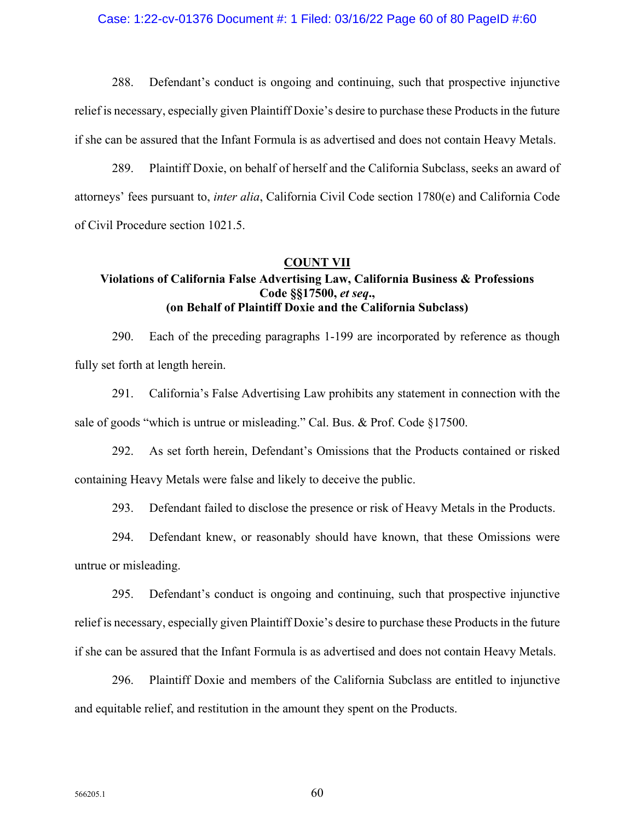### Case: 1:22-cv-01376 Document #: 1 Filed: 03/16/22 Page 60 of 80 PageID #:60

288. Defendant's conduct is ongoing and continuing, such that prospective injunctive relief is necessary, especially given Plaintiff Doxie's desire to purchase these Products in the future if she can be assured that the Infant Formula is as advertised and does not contain Heavy Metals.

289. Plaintiff Doxie, on behalf of herself and the California Subclass, seeks an award of attorneys' fees pursuant to, *inter alia*, California Civil Code section 1780(e) and California Code of Civil Procedure section 1021.5.

## **COUNT VII**

# **Violations of California False Advertising Law, California Business & Professions Code §§17500,** *et seq***., (on Behalf of Plaintiff Doxie and the California Subclass)**

290. Each of the preceding paragraphs 1-199 are incorporated by reference as though fully set forth at length herein.

291. California's False Advertising Law prohibits any statement in connection with the sale of goods "which is untrue or misleading." Cal. Bus. & Prof. Code §17500.

292. As set forth herein, Defendant's Omissions that the Products contained or risked containing Heavy Metals were false and likely to deceive the public.

293. Defendant failed to disclose the presence or risk of Heavy Metals in the Products.

294. Defendant knew, or reasonably should have known, that these Omissions were untrue or misleading.

295. Defendant's conduct is ongoing and continuing, such that prospective injunctive relief is necessary, especially given Plaintiff Doxie's desire to purchase these Products in the future if she can be assured that the Infant Formula is as advertised and does not contain Heavy Metals.

296. Plaintiff Doxie and members of the California Subclass are entitled to injunctive and equitable relief, and restitution in the amount they spent on the Products.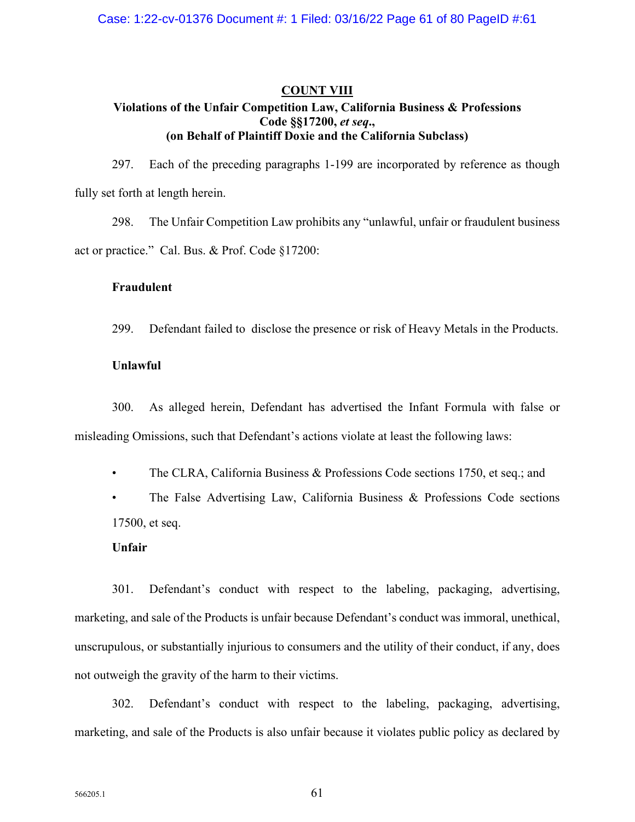# **COUNT VIII Violations of the Unfair Competition Law, California Business & Professions Code §§17200,** *et seq***., (on Behalf of Plaintiff Doxie and the California Subclass)**

297. Each of the preceding paragraphs 1-199 are incorporated by reference as though fully set forth at length herein.

298. The Unfair Competition Law prohibits any "unlawful, unfair or fraudulent business act or practice." Cal. Bus. & Prof. Code §17200:

## **Fraudulent**

299. Defendant failed to disclose the presence or risk of Heavy Metals in the Products.

## **Unlawful**

300. As alleged herein, Defendant has advertised the Infant Formula with false or misleading Omissions, such that Defendant's actions violate at least the following laws:

• The CLRA, California Business & Professions Code sections 1750, et seq.; and

The False Advertising Law, California Business & Professions Code sections 17500, et seq.

## **Unfair**

301. Defendant's conduct with respect to the labeling, packaging, advertising, marketing, and sale of the Products is unfair because Defendant's conduct was immoral, unethical, unscrupulous, or substantially injurious to consumers and the utility of their conduct, if any, does not outweigh the gravity of the harm to their victims.

302. Defendant's conduct with respect to the labeling, packaging, advertising, marketing, and sale of the Products is also unfair because it violates public policy as declared by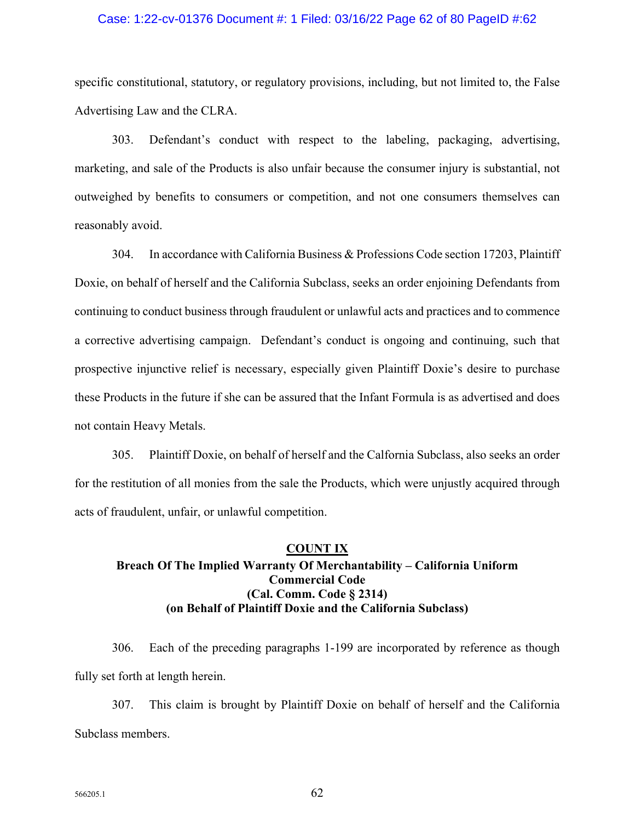## Case: 1:22-cv-01376 Document #: 1 Filed: 03/16/22 Page 62 of 80 PageID #:62

specific constitutional, statutory, or regulatory provisions, including, but not limited to, the False Advertising Law and the CLRA.

303. Defendant's conduct with respect to the labeling, packaging, advertising, marketing, and sale of the Products is also unfair because the consumer injury is substantial, not outweighed by benefits to consumers or competition, and not one consumers themselves can reasonably avoid.

304. In accordance with California Business & Professions Code section 17203, Plaintiff Doxie, on behalf of herself and the California Subclass, seeks an order enjoining Defendants from continuing to conduct business through fraudulent or unlawful acts and practices and to commence a corrective advertising campaign. Defendant's conduct is ongoing and continuing, such that prospective injunctive relief is necessary, especially given Plaintiff Doxie's desire to purchase these Products in the future if she can be assured that the Infant Formula is as advertised and does not contain Heavy Metals.

305. Plaintiff Doxie, on behalf of herself and the Calfornia Subclass, also seeks an order for the restitution of all monies from the sale the Products, which were unjustly acquired through acts of fraudulent, unfair, or unlawful competition.

# **COUNT IX Breach Of The Implied Warranty Of Merchantability – California Uniform Commercial Code (Cal. Comm. Code § 2314) (on Behalf of Plaintiff Doxie and the California Subclass)**

306. Each of the preceding paragraphs 1-199 are incorporated by reference as though fully set forth at length herein.

307. This claim is brought by Plaintiff Doxie on behalf of herself and the California Subclass members.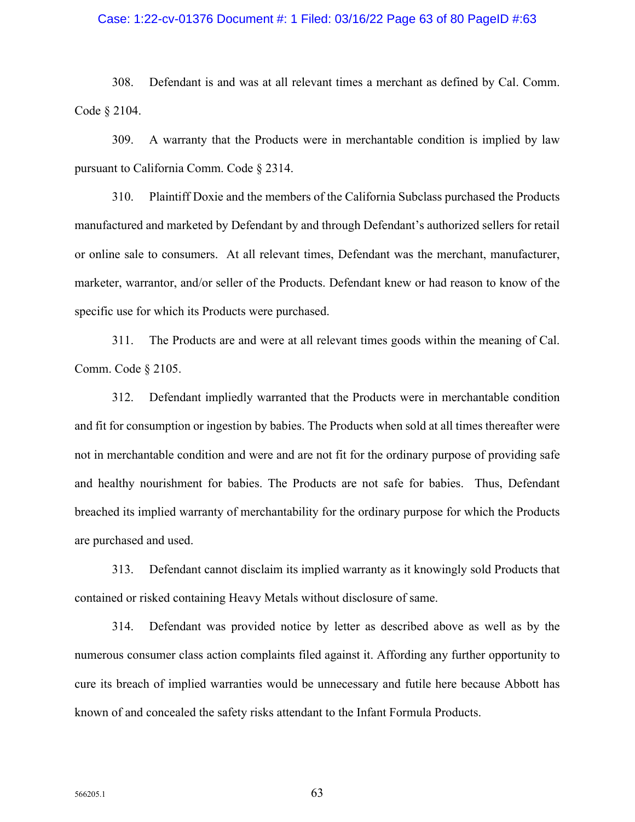## Case: 1:22-cv-01376 Document #: 1 Filed: 03/16/22 Page 63 of 80 PageID #:63

308. Defendant is and was at all relevant times a merchant as defined by Cal. Comm. Code § 2104.

309. A warranty that the Products were in merchantable condition is implied by law pursuant to California Comm. Code § 2314.

310. Plaintiff Doxie and the members of the California Subclass purchased the Products manufactured and marketed by Defendant by and through Defendant's authorized sellers for retail or online sale to consumers. At all relevant times, Defendant was the merchant, manufacturer, marketer, warrantor, and/or seller of the Products. Defendant knew or had reason to know of the specific use for which its Products were purchased.

311. The Products are and were at all relevant times goods within the meaning of Cal. Comm. Code § 2105.

312. Defendant impliedly warranted that the Products were in merchantable condition and fit for consumption or ingestion by babies. The Products when sold at all times thereafter were not in merchantable condition and were and are not fit for the ordinary purpose of providing safe and healthy nourishment for babies. The Products are not safe for babies. Thus, Defendant breached its implied warranty of merchantability for the ordinary purpose for which the Products are purchased and used.

313. Defendant cannot disclaim its implied warranty as it knowingly sold Products that contained or risked containing Heavy Metals without disclosure of same.

314. Defendant was provided notice by letter as described above as well as by the numerous consumer class action complaints filed against it. Affording any further opportunity to cure its breach of implied warranties would be unnecessary and futile here because Abbott has known of and concealed the safety risks attendant to the Infant Formula Products.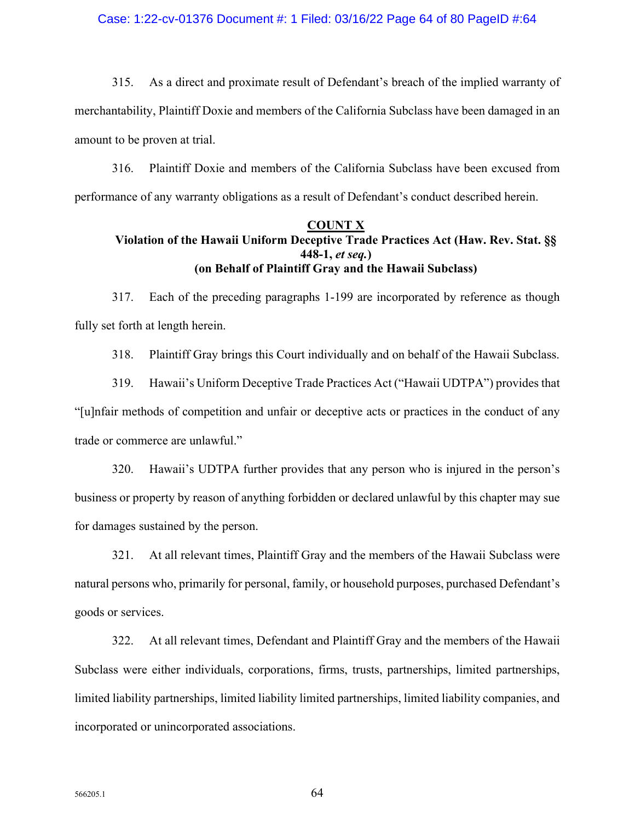## Case: 1:22-cv-01376 Document #: 1 Filed: 03/16/22 Page 64 of 80 PageID #:64

315. As a direct and proximate result of Defendant's breach of the implied warranty of merchantability, Plaintiff Doxie and members of the California Subclass have been damaged in an amount to be proven at trial.

316. Plaintiff Doxie and members of the California Subclass have been excused from performance of any warranty obligations as a result of Defendant's conduct described herein.

#### **COUNT X**

# **Violation of the Hawaii Uniform Deceptive Trade Practices Act (Haw. Rev. Stat. §§ 448-1,** *et seq.***) (on Behalf of Plaintiff Gray and the Hawaii Subclass)**

317. Each of the preceding paragraphs 1-199 are incorporated by reference as though fully set forth at length herein.

318. Plaintiff Gray brings this Court individually and on behalf of the Hawaii Subclass.

319. Hawaii's Uniform Deceptive Trade Practices Act ("Hawaii UDTPA") provides that "[u]nfair methods of competition and unfair or deceptive acts or practices in the conduct of any trade or commerce are unlawful."

320. Hawaii's UDTPA further provides that any person who is injured in the person's business or property by reason of anything forbidden or declared unlawful by this chapter may sue for damages sustained by the person.

321. At all relevant times, Plaintiff Gray and the members of the Hawaii Subclass were natural persons who, primarily for personal, family, or household purposes, purchased Defendant's goods or services.

322. At all relevant times, Defendant and Plaintiff Gray and the members of the Hawaii Subclass were either individuals, corporations, firms, trusts, partnerships, limited partnerships, limited liability partnerships, limited liability limited partnerships, limited liability companies, and incorporated or unincorporated associations.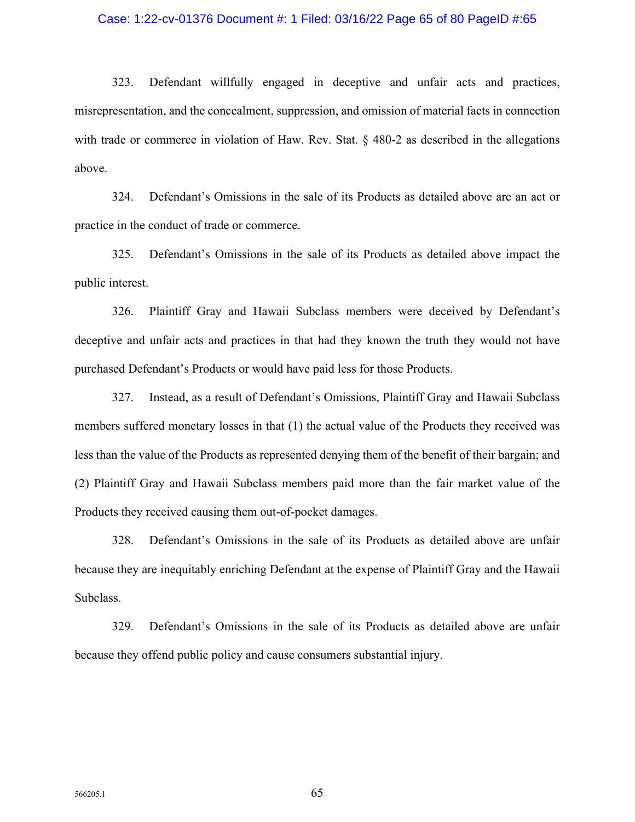### Case: 1:22-cv-01376 Document #: 1 Filed: 03/16/22 Page 65 of 80 PageID #:65

323. Defendant willfully engaged in deceptive and unfair acts and practices, misrepresentation, and the concealment, suppression, and omission of material facts in connection with trade or commerce in violation of Haw. Rev. Stat. § 480-2 as described in the allegations above.

324. Defendant's Omissions in the sale of its Products as detailed above are an act or practice in the conduct of trade or commerce.

325. Defendant's Omissions in the sale of its Products as detailed above impact the public interest.

326. Plaintiff Gray and Hawaii Subclass members were deceived by Defendant's deceptive and unfair acts and practices in that had they known the truth they would not have purchased Defendant's Products or would have paid less for those Products.

327. Instead, as a result of Defendant's Omissions, Plaintiff Gray and Hawaii Subclass members suffered monetary losses in that (1) the actual value of the Products they received was less than the value of the Products as represented denying them of the benefit of their bargain; and (2) Plaintiff Gray and Hawaii Subclass members paid more than the fair market value of the Products they received causing them out-of-pocket damages.

328. Defendant's Omissions in the sale of its Products as detailed above are unfair because they are inequitably enriching Defendant at the expense of Plaintiff Gray and the Hawaii Subclass.

329. Defendant's Omissions in the sale of its Products as detailed above are unfair because they offend public policy and cause consumers substantial injury.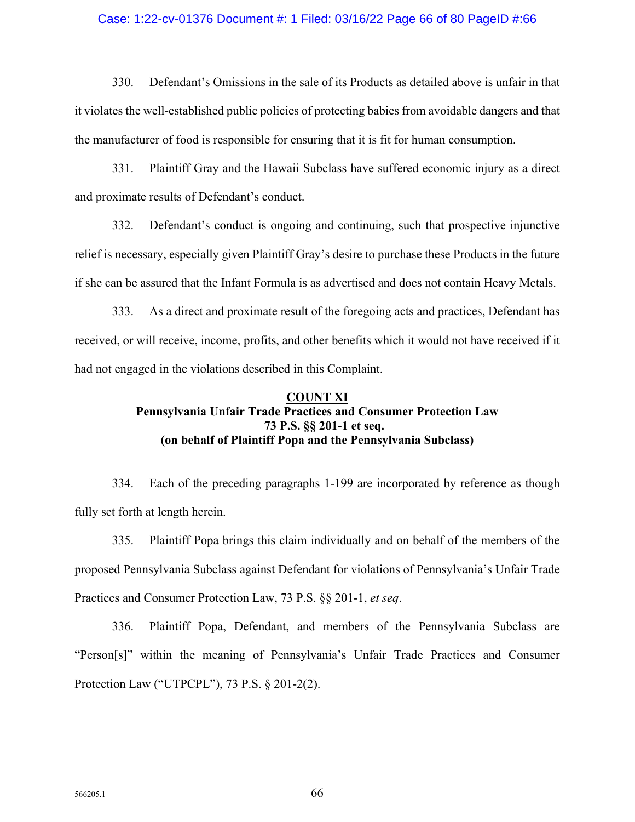## Case: 1:22-cv-01376 Document #: 1 Filed: 03/16/22 Page 66 of 80 PageID #:66

330. Defendant's Omissions in the sale of its Products as detailed above is unfair in that it violates the well-established public policies of protecting babies from avoidable dangers and that the manufacturer of food is responsible for ensuring that it is fit for human consumption.

331. Plaintiff Gray and the Hawaii Subclass have suffered economic injury as a direct and proximate results of Defendant's conduct.

332. Defendant's conduct is ongoing and continuing, such that prospective injunctive relief is necessary, especially given Plaintiff Gray's desire to purchase these Products in the future if she can be assured that the Infant Formula is as advertised and does not contain Heavy Metals.

333. As a direct and proximate result of the foregoing acts and practices, Defendant has received, or will receive, income, profits, and other benefits which it would not have received if it had not engaged in the violations described in this Complaint.

# **COUNT XI Pennsylvania Unfair Trade Practices and Consumer Protection Law 73 P.S. §§ 201-1 et seq. (on behalf of Plaintiff Popa and the Pennsylvania Subclass)**

334. Each of the preceding paragraphs 1-199 are incorporated by reference as though fully set forth at length herein.

335. Plaintiff Popa brings this claim individually and on behalf of the members of the proposed Pennsylvania Subclass against Defendant for violations of Pennsylvania's Unfair Trade Practices and Consumer Protection Law, 73 P.S. §§ 201-1, *et seq*.

336. Plaintiff Popa, Defendant, and members of the Pennsylvania Subclass are "Person[s]" within the meaning of Pennsylvania's Unfair Trade Practices and Consumer Protection Law ("UTPCPL"), 73 P.S. § 201-2(2).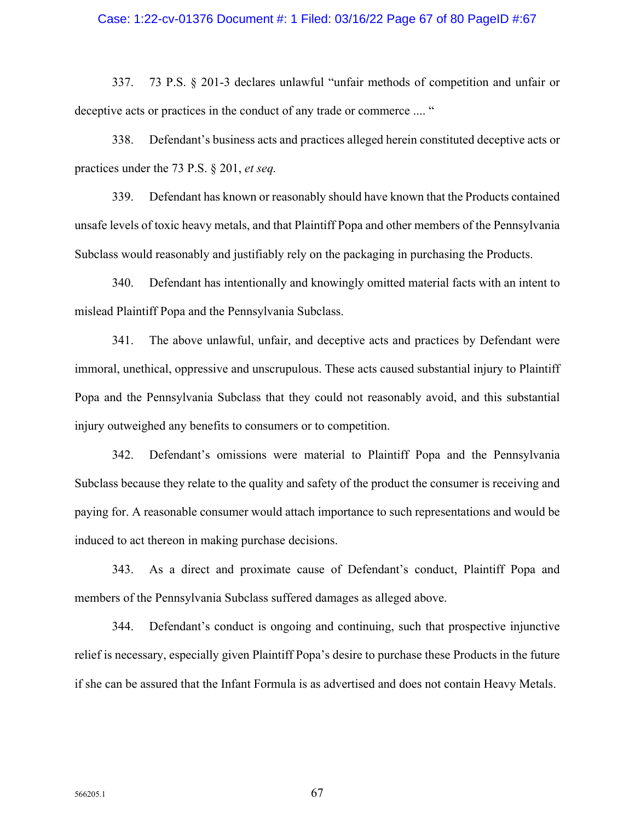### Case: 1:22-cv-01376 Document #: 1 Filed: 03/16/22 Page 67 of 80 PageID #:67

337. 73 P.S. § 201-3 declares unlawful "unfair methods of competition and unfair or deceptive acts or practices in the conduct of any trade or commerce .... "

338. Defendant's business acts and practices alleged herein constituted deceptive acts or practices under the 73 P.S. § 201, *et seq.* 

339. Defendant has known or reasonably should have known that the Products contained unsafe levels of toxic heavy metals, and that Plaintiff Popa and other members of the Pennsylvania Subclass would reasonably and justifiably rely on the packaging in purchasing the Products.

340. Defendant has intentionally and knowingly omitted material facts with an intent to mislead Plaintiff Popa and the Pennsylvania Subclass.

341. The above unlawful, unfair, and deceptive acts and practices by Defendant were immoral, unethical, oppressive and unscrupulous. These acts caused substantial injury to Plaintiff Popa and the Pennsylvania Subclass that they could not reasonably avoid, and this substantial injury outweighed any benefits to consumers or to competition.

342. Defendant's omissions were material to Plaintiff Popa and the Pennsylvania Subclass because they relate to the quality and safety of the product the consumer is receiving and paying for. A reasonable consumer would attach importance to such representations and would be induced to act thereon in making purchase decisions.

343. As a direct and proximate cause of Defendant's conduct, Plaintiff Popa and members of the Pennsylvania Subclass suffered damages as alleged above.

344. Defendant's conduct is ongoing and continuing, such that prospective injunctive relief is necessary, especially given Plaintiff Popa's desire to purchase these Products in the future if she can be assured that the Infant Formula is as advertised and does not contain Heavy Metals.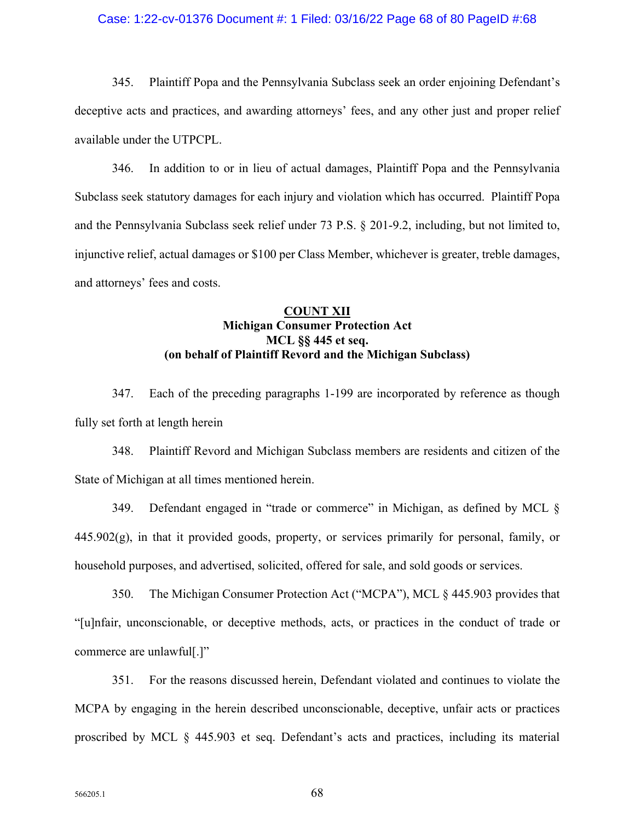## Case: 1:22-cv-01376 Document #: 1 Filed: 03/16/22 Page 68 of 80 PageID #:68

345. Plaintiff Popa and the Pennsylvania Subclass seek an order enjoining Defendant's deceptive acts and practices, and awarding attorneys' fees, and any other just and proper relief available under the UTPCPL.

346. In addition to or in lieu of actual damages, Plaintiff Popa and the Pennsylvania Subclass seek statutory damages for each injury and violation which has occurred. Plaintiff Popa and the Pennsylvania Subclass seek relief under 73 P.S. § 201-9.2, including, but not limited to, injunctive relief, actual damages or \$100 per Class Member, whichever is greater, treble damages, and attorneys' fees and costs.

# **COUNT XII Michigan Consumer Protection Act MCL §§ 445 et seq. (on behalf of Plaintiff Revord and the Michigan Subclass)**

347. Each of the preceding paragraphs 1-199 are incorporated by reference as though fully set forth at length herein

348. Plaintiff Revord and Michigan Subclass members are residents and citizen of the State of Michigan at all times mentioned herein.

349. Defendant engaged in "trade or commerce" in Michigan, as defined by MCL §  $445.902(g)$ , in that it provided goods, property, or services primarily for personal, family, or household purposes, and advertised, solicited, offered for sale, and sold goods or services.

350. The Michigan Consumer Protection Act ("MCPA"), MCL § 445.903 provides that "[u]nfair, unconscionable, or deceptive methods, acts, or practices in the conduct of trade or commerce are unlawful[.]"

351. For the reasons discussed herein, Defendant violated and continues to violate the MCPA by engaging in the herein described unconscionable, deceptive, unfair acts or practices proscribed by MCL § 445.903 et seq. Defendant's acts and practices, including its material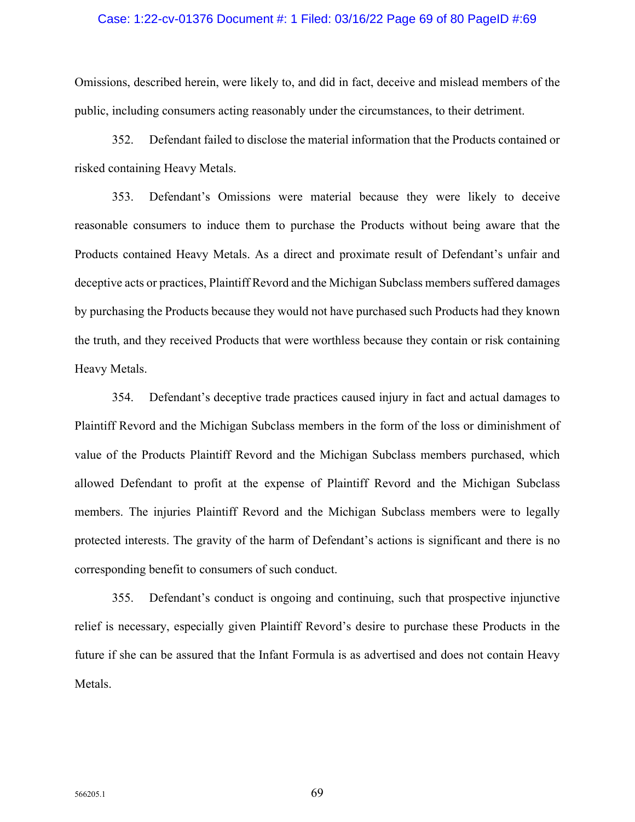### Case: 1:22-cv-01376 Document #: 1 Filed: 03/16/22 Page 69 of 80 PageID #:69

Omissions, described herein, were likely to, and did in fact, deceive and mislead members of the public, including consumers acting reasonably under the circumstances, to their detriment.

352. Defendant failed to disclose the material information that the Products contained or risked containing Heavy Metals.

353. Defendant's Omissions were material because they were likely to deceive reasonable consumers to induce them to purchase the Products without being aware that the Products contained Heavy Metals. As a direct and proximate result of Defendant's unfair and deceptive acts or practices, Plaintiff Revord and the Michigan Subclass members suffered damages by purchasing the Products because they would not have purchased such Products had they known the truth, and they received Products that were worthless because they contain or risk containing Heavy Metals.

354. Defendant's deceptive trade practices caused injury in fact and actual damages to Plaintiff Revord and the Michigan Subclass members in the form of the loss or diminishment of value of the Products Plaintiff Revord and the Michigan Subclass members purchased, which allowed Defendant to profit at the expense of Plaintiff Revord and the Michigan Subclass members. The injuries Plaintiff Revord and the Michigan Subclass members were to legally protected interests. The gravity of the harm of Defendant's actions is significant and there is no corresponding benefit to consumers of such conduct.

355. Defendant's conduct is ongoing and continuing, such that prospective injunctive relief is necessary, especially given Plaintiff Revord's desire to purchase these Products in the future if she can be assured that the Infant Formula is as advertised and does not contain Heavy Metals.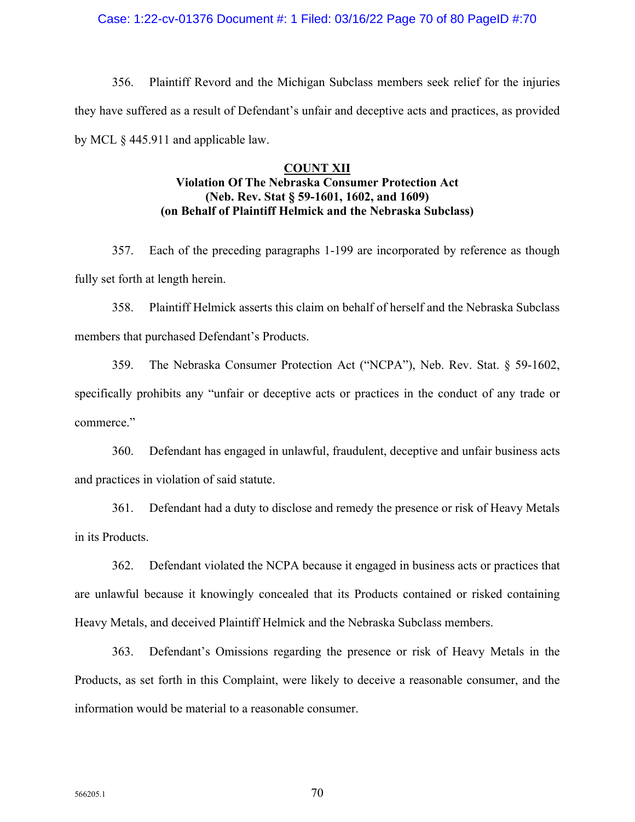### Case: 1:22-cv-01376 Document #: 1 Filed: 03/16/22 Page 70 of 80 PageID #:70

356. Plaintiff Revord and the Michigan Subclass members seek relief for the injuries they have suffered as a result of Defendant's unfair and deceptive acts and practices, as provided by MCL § 445.911 and applicable law.

# **COUNT XII Violation Of The Nebraska Consumer Protection Act (Neb. Rev. Stat § 59-1601, 1602, and 1609) (on Behalf of Plaintiff Helmick and the Nebraska Subclass)**

357. Each of the preceding paragraphs 1-199 are incorporated by reference as though fully set forth at length herein.

358. Plaintiff Helmick asserts this claim on behalf of herself and the Nebraska Subclass members that purchased Defendant's Products.

359. The Nebraska Consumer Protection Act ("NCPA"), Neb. Rev. Stat. § 59-1602, specifically prohibits any "unfair or deceptive acts or practices in the conduct of any trade or commerce."

360. Defendant has engaged in unlawful, fraudulent, deceptive and unfair business acts and practices in violation of said statute.

361. Defendant had a duty to disclose and remedy the presence or risk of Heavy Metals in its Products.

362. Defendant violated the NCPA because it engaged in business acts or practices that are unlawful because it knowingly concealed that its Products contained or risked containing Heavy Metals, and deceived Plaintiff Helmick and the Nebraska Subclass members.

363. Defendant's Omissions regarding the presence or risk of Heavy Metals in the Products, as set forth in this Complaint, were likely to deceive a reasonable consumer, and the information would be material to a reasonable consumer.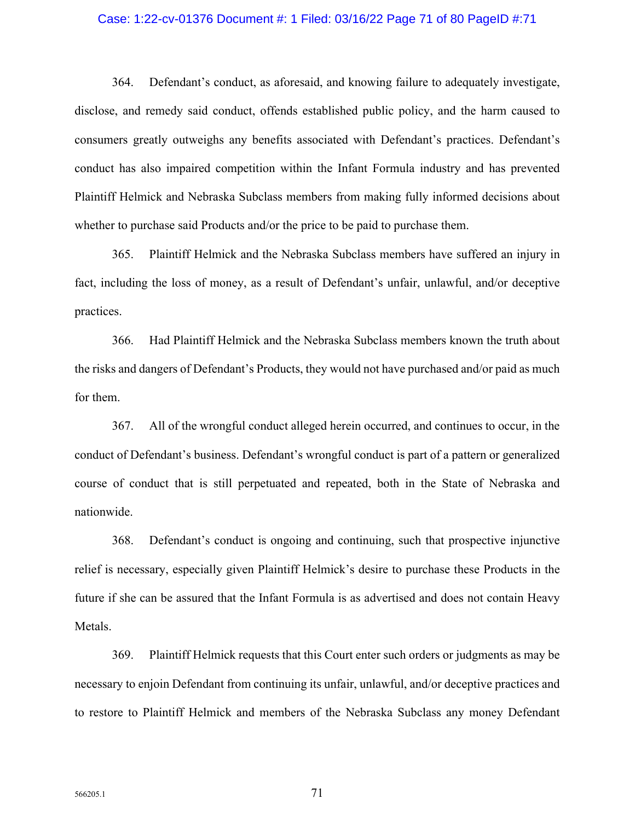## Case: 1:22-cv-01376 Document #: 1 Filed: 03/16/22 Page 71 of 80 PageID #:71

364. Defendant's conduct, as aforesaid, and knowing failure to adequately investigate, disclose, and remedy said conduct, offends established public policy, and the harm caused to consumers greatly outweighs any benefits associated with Defendant's practices. Defendant's conduct has also impaired competition within the Infant Formula industry and has prevented Plaintiff Helmick and Nebraska Subclass members from making fully informed decisions about whether to purchase said Products and/or the price to be paid to purchase them.

365. Plaintiff Helmick and the Nebraska Subclass members have suffered an injury in fact, including the loss of money, as a result of Defendant's unfair, unlawful, and/or deceptive practices.

366. Had Plaintiff Helmick and the Nebraska Subclass members known the truth about the risks and dangers of Defendant's Products, they would not have purchased and/or paid as much for them.

367. All of the wrongful conduct alleged herein occurred, and continues to occur, in the conduct of Defendant's business. Defendant's wrongful conduct is part of a pattern or generalized course of conduct that is still perpetuated and repeated, both in the State of Nebraska and nationwide.

368. Defendant's conduct is ongoing and continuing, such that prospective injunctive relief is necessary, especially given Plaintiff Helmick's desire to purchase these Products in the future if she can be assured that the Infant Formula is as advertised and does not contain Heavy Metals.

369. Plaintiff Helmick requests that this Court enter such orders or judgments as may be necessary to enjoin Defendant from continuing its unfair, unlawful, and/or deceptive practices and to restore to Plaintiff Helmick and members of the Nebraska Subclass any money Defendant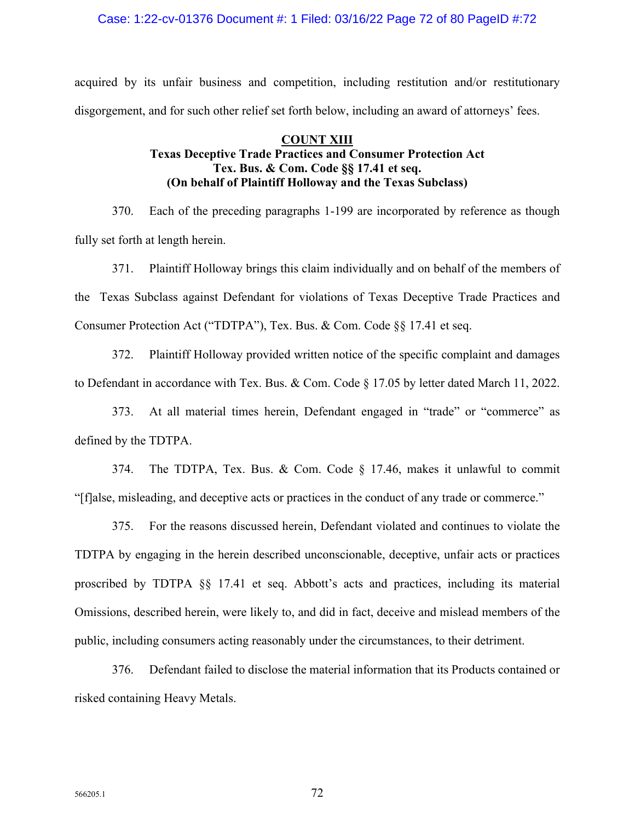## Case: 1:22-cv-01376 Document #: 1 Filed: 03/16/22 Page 72 of 80 PageID #:72

acquired by its unfair business and competition, including restitution and/or restitutionary disgorgement, and for such other relief set forth below, including an award of attorneys' fees.

# **COUNT XIII Texas Deceptive Trade Practices and Consumer Protection Act Tex. Bus. & Com. Code §§ 17.41 et seq. (On behalf of Plaintiff Holloway and the Texas Subclass)**

370. Each of the preceding paragraphs 1-199 are incorporated by reference as though fully set forth at length herein.

371. Plaintiff Holloway brings this claim individually and on behalf of the members of the Texas Subclass against Defendant for violations of Texas Deceptive Trade Practices and Consumer Protection Act ("TDTPA"), Tex. Bus. & Com. Code §§ 17.41 et seq.

372. Plaintiff Holloway provided written notice of the specific complaint and damages to Defendant in accordance with Tex. Bus. & Com. Code § 17.05 by letter dated March 11, 2022.

373. At all material times herein, Defendant engaged in "trade" or "commerce" as defined by the TDTPA.

374. The TDTPA, Tex. Bus. & Com. Code § 17.46, makes it unlawful to commit "[f]alse, misleading, and deceptive acts or practices in the conduct of any trade or commerce."

375. For the reasons discussed herein, Defendant violated and continues to violate the TDTPA by engaging in the herein described unconscionable, deceptive, unfair acts or practices proscribed by TDTPA §§ 17.41 et seq. Abbott's acts and practices, including its material Omissions, described herein, were likely to, and did in fact, deceive and mislead members of the public, including consumers acting reasonably under the circumstances, to their detriment.

376. Defendant failed to disclose the material information that its Products contained or risked containing Heavy Metals.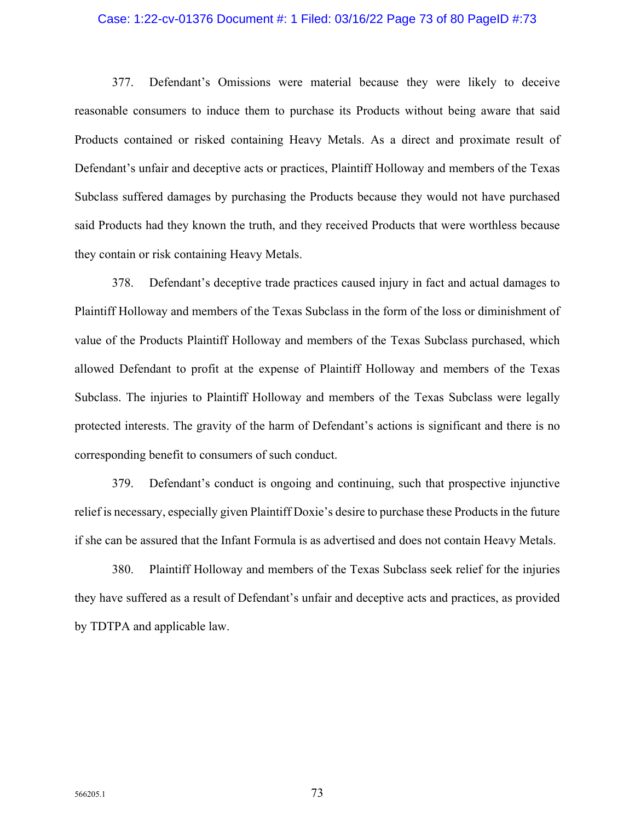### Case: 1:22-cv-01376 Document #: 1 Filed: 03/16/22 Page 73 of 80 PageID #:73

377. Defendant's Omissions were material because they were likely to deceive reasonable consumers to induce them to purchase its Products without being aware that said Products contained or risked containing Heavy Metals. As a direct and proximate result of Defendant's unfair and deceptive acts or practices, Plaintiff Holloway and members of the Texas Subclass suffered damages by purchasing the Products because they would not have purchased said Products had they known the truth, and they received Products that were worthless because they contain or risk containing Heavy Metals.

378. Defendant's deceptive trade practices caused injury in fact and actual damages to Plaintiff Holloway and members of the Texas Subclass in the form of the loss or diminishment of value of the Products Plaintiff Holloway and members of the Texas Subclass purchased, which allowed Defendant to profit at the expense of Plaintiff Holloway and members of the Texas Subclass. The injuries to Plaintiff Holloway and members of the Texas Subclass were legally protected interests. The gravity of the harm of Defendant's actions is significant and there is no corresponding benefit to consumers of such conduct.

379. Defendant's conduct is ongoing and continuing, such that prospective injunctive relief is necessary, especially given Plaintiff Doxie's desire to purchase these Products in the future if she can be assured that the Infant Formula is as advertised and does not contain Heavy Metals.

380. Plaintiff Holloway and members of the Texas Subclass seek relief for the injuries they have suffered as a result of Defendant's unfair and deceptive acts and practices, as provided by TDTPA and applicable law.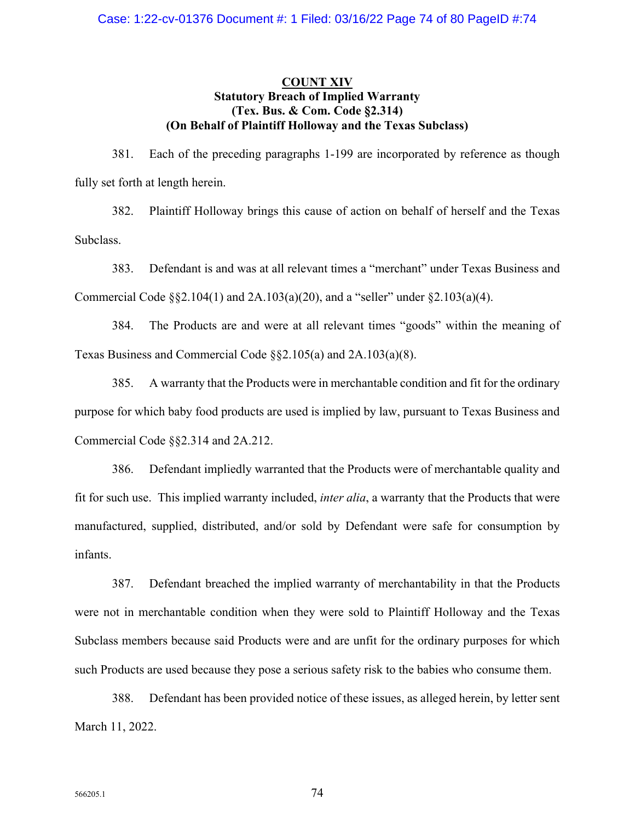### **COUNT XIV Statutory Breach of Implied Warranty (Tex. Bus. & Com. Code §2.314) (On Behalf of Plaintiff Holloway and the Texas Subclass)**

381. Each of the preceding paragraphs 1-199 are incorporated by reference as though fully set forth at length herein.

382. Plaintiff Holloway brings this cause of action on behalf of herself and the Texas Subclass.

383. Defendant is and was at all relevant times a "merchant" under Texas Business and Commercial Code  $\S$ §2.104(1) and 2A.103(a)(20), and a "seller" under §2.103(a)(4).

384. The Products are and were at all relevant times "goods" within the meaning of Texas Business and Commercial Code §§2.105(a) and 2A.103(a)(8).

385. A warranty that the Products were in merchantable condition and fit for the ordinary purpose for which baby food products are used is implied by law, pursuant to Texas Business and Commercial Code §§2.314 and 2A.212.

386. Defendant impliedly warranted that the Products were of merchantable quality and fit for such use. This implied warranty included, *inter alia*, a warranty that the Products that were manufactured, supplied, distributed, and/or sold by Defendant were safe for consumption by infants.

387. Defendant breached the implied warranty of merchantability in that the Products were not in merchantable condition when they were sold to Plaintiff Holloway and the Texas Subclass members because said Products were and are unfit for the ordinary purposes for which such Products are used because they pose a serious safety risk to the babies who consume them.

388. Defendant has been provided notice of these issues, as alleged herein, by letter sent March 11, 2022.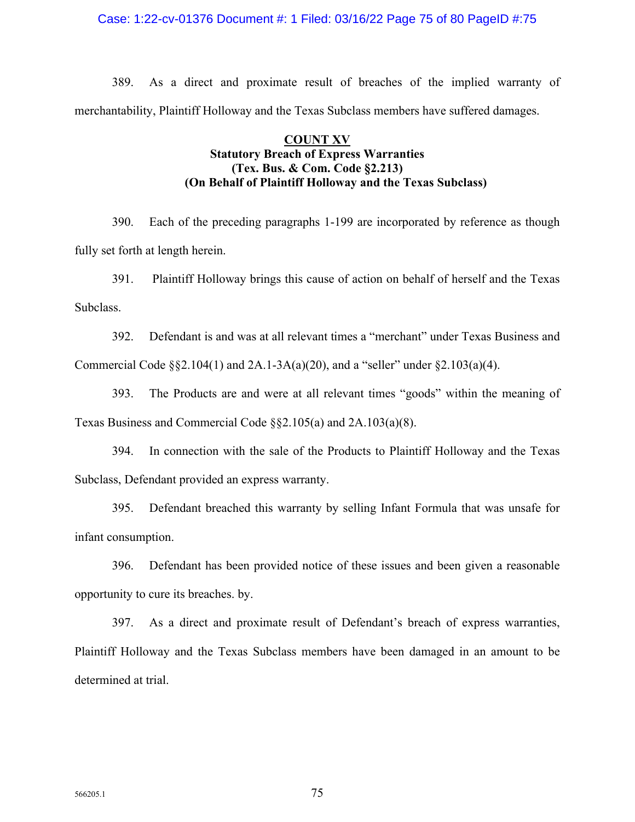### Case: 1:22-cv-01376 Document #: 1 Filed: 03/16/22 Page 75 of 80 PageID #:75

389. As a direct and proximate result of breaches of the implied warranty of merchantability, Plaintiff Holloway and the Texas Subclass members have suffered damages.

# **COUNT XV Statutory Breach of Express Warranties (Tex. Bus. & Com. Code §2.213) (On Behalf of Plaintiff Holloway and the Texas Subclass)**

390. Each of the preceding paragraphs 1-199 are incorporated by reference as though fully set forth at length herein.

391. Plaintiff Holloway brings this cause of action on behalf of herself and the Texas Subclass.

392. Defendant is and was at all relevant times a "merchant" under Texas Business and Commercial Code  $\S$ §2.104(1) and 2A.1-3A(a)(20), and a "seller" under §2.103(a)(4).

393. The Products are and were at all relevant times "goods" within the meaning of Texas Business and Commercial Code §§2.105(a) and 2A.103(a)(8).

394. In connection with the sale of the Products to Plaintiff Holloway and the Texas Subclass, Defendant provided an express warranty.

395. Defendant breached this warranty by selling Infant Formula that was unsafe for infant consumption.

396. Defendant has been provided notice of these issues and been given a reasonable opportunity to cure its breaches. by.

397. As a direct and proximate result of Defendant's breach of express warranties, Plaintiff Holloway and the Texas Subclass members have been damaged in an amount to be determined at trial.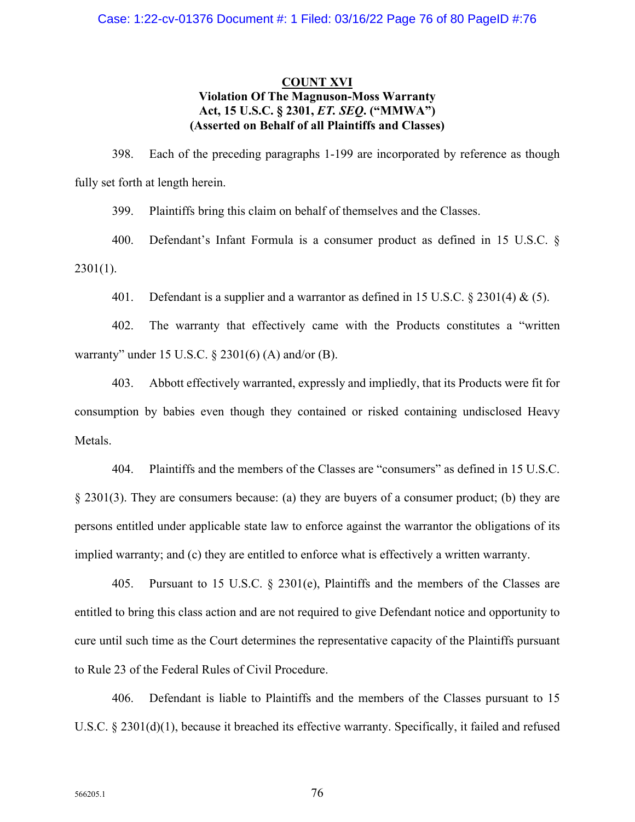# **COUNT XVI Violation Of The Magnuson-Moss Warranty Act, 15 U.S.C. § 2301,** *ET. SEQ***. ("MMWA") (Asserted on Behalf of all Plaintiffs and Classes)**

398. Each of the preceding paragraphs 1-199 are incorporated by reference as though fully set forth at length herein.

399. Plaintiffs bring this claim on behalf of themselves and the Classes.

400. Defendant's Infant Formula is a consumer product as defined in 15 U.S.C. §  $2301(1)$ .

401. Defendant is a supplier and a warrantor as defined in 15 U.S.C.  $\S 2301(4) \& (5)$ .

402. The warranty that effectively came with the Products constitutes a "written warranty" under 15 U.S.C.  $\S 2301(6)$  (A) and/or (B).

403. Abbott effectively warranted, expressly and impliedly, that its Products were fit for consumption by babies even though they contained or risked containing undisclosed Heavy Metals.

404. Plaintiffs and the members of the Classes are "consumers" as defined in 15 U.S.C. § 2301(3). They are consumers because: (a) they are buyers of a consumer product; (b) they are persons entitled under applicable state law to enforce against the warrantor the obligations of its implied warranty; and (c) they are entitled to enforce what is effectively a written warranty.

405. Pursuant to 15 U.S.C. § 2301(e), Plaintiffs and the members of the Classes are entitled to bring this class action and are not required to give Defendant notice and opportunity to cure until such time as the Court determines the representative capacity of the Plaintiffs pursuant to Rule 23 of the Federal Rules of Civil Procedure.

406. Defendant is liable to Plaintiffs and the members of the Classes pursuant to 15 U.S.C. § 2301(d)(1), because it breached its effective warranty. Specifically, it failed and refused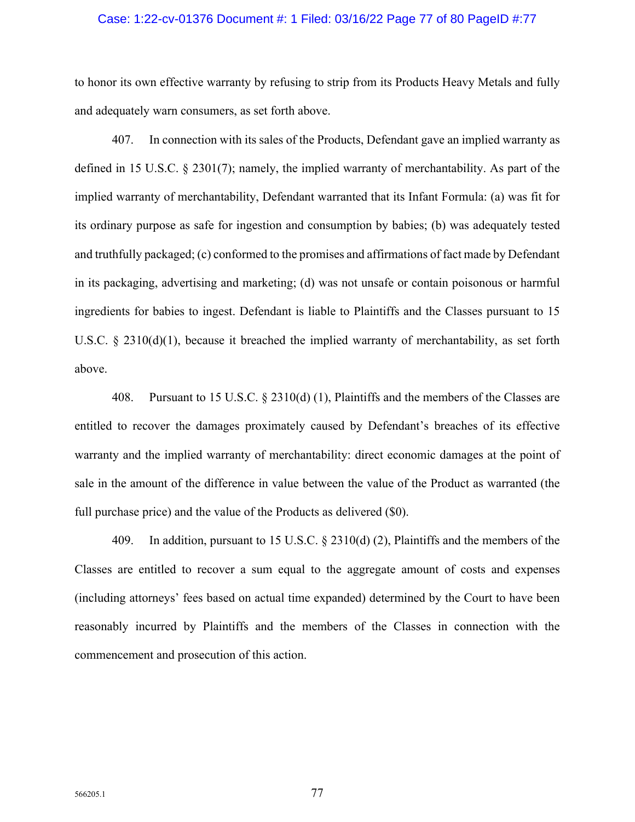### Case: 1:22-cv-01376 Document #: 1 Filed: 03/16/22 Page 77 of 80 PageID #:77

to honor its own effective warranty by refusing to strip from its Products Heavy Metals and fully and adequately warn consumers, as set forth above.

407. In connection with its sales of the Products, Defendant gave an implied warranty as defined in 15 U.S.C. § 2301(7); namely, the implied warranty of merchantability. As part of the implied warranty of merchantability, Defendant warranted that its Infant Formula: (a) was fit for its ordinary purpose as safe for ingestion and consumption by babies; (b) was adequately tested and truthfully packaged; (c) conformed to the promises and affirmations of fact made by Defendant in its packaging, advertising and marketing; (d) was not unsafe or contain poisonous or harmful ingredients for babies to ingest. Defendant is liable to Plaintiffs and the Classes pursuant to 15 U.S.C. § 2310(d)(1), because it breached the implied warranty of merchantability, as set forth above.

408. Pursuant to 15 U.S.C. § 2310(d) (1), Plaintiffs and the members of the Classes are entitled to recover the damages proximately caused by Defendant's breaches of its effective warranty and the implied warranty of merchantability: direct economic damages at the point of sale in the amount of the difference in value between the value of the Product as warranted (the full purchase price) and the value of the Products as delivered (\$0).

409. In addition, pursuant to 15 U.S.C. § 2310(d) (2), Plaintiffs and the members of the Classes are entitled to recover a sum equal to the aggregate amount of costs and expenses (including attorneys' fees based on actual time expanded) determined by the Court to have been reasonably incurred by Plaintiffs and the members of the Classes in connection with the commencement and prosecution of this action.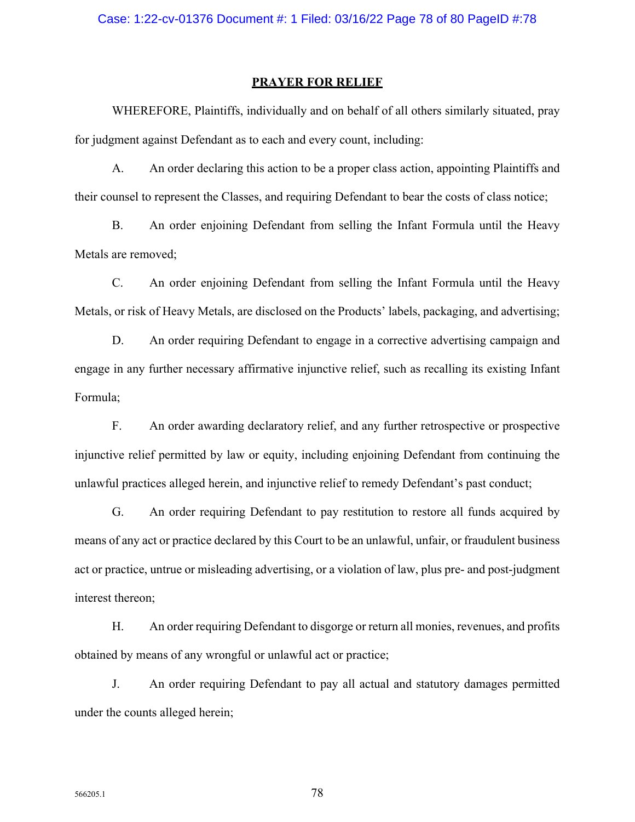#### **PRAYER FOR RELIEF**

WHEREFORE, Plaintiffs, individually and on behalf of all others similarly situated, pray for judgment against Defendant as to each and every count, including:

A. An order declaring this action to be a proper class action, appointing Plaintiffs and their counsel to represent the Classes, and requiring Defendant to bear the costs of class notice;

B. An order enjoining Defendant from selling the Infant Formula until the Heavy Metals are removed;

C. An order enjoining Defendant from selling the Infant Formula until the Heavy Metals, or risk of Heavy Metals, are disclosed on the Products' labels, packaging, and advertising;

D. An order requiring Defendant to engage in a corrective advertising campaign and engage in any further necessary affirmative injunctive relief, such as recalling its existing Infant Formula;

F. An order awarding declaratory relief, and any further retrospective or prospective injunctive relief permitted by law or equity, including enjoining Defendant from continuing the unlawful practices alleged herein, and injunctive relief to remedy Defendant's past conduct;

G. An order requiring Defendant to pay restitution to restore all funds acquired by means of any act or practice declared by this Court to be an unlawful, unfair, or fraudulent business act or practice, untrue or misleading advertising, or a violation of law, plus pre- and post-judgment interest thereon;

H. An order requiring Defendant to disgorge or return all monies, revenues, and profits obtained by means of any wrongful or unlawful act or practice;

J. An order requiring Defendant to pay all actual and statutory damages permitted under the counts alleged herein;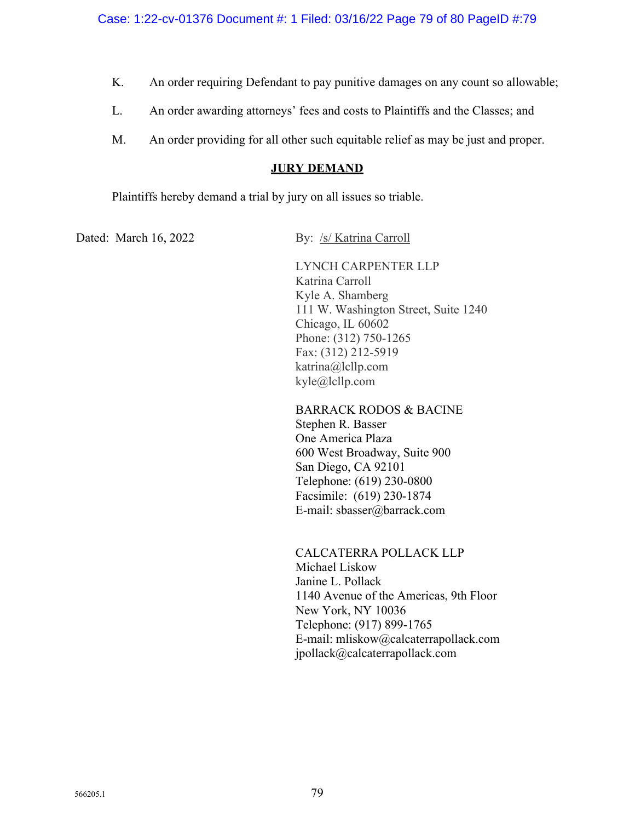- K. An order requiring Defendant to pay punitive damages on any count so allowable;
- L. An order awarding attorneys' fees and costs to Plaintiffs and the Classes; and
- M. An order providing for all other such equitable relief as may be just and proper.

### **JURY DEMAND**

Plaintiffs hereby demand a trial by jury on all issues so triable.

Dated: March 16, 2022 By: /s/ Katrina Carroll

LYNCH CARPENTER LLP Katrina Carroll Kyle A. Shamberg 111 W. Washington Street, Suite 1240 Chicago, IL 60602 Phone: (312) 750-1265 Fax: (312) 212-5919 katrina@lcllp.com kyle@lcllp.com

 BARRACK RODOS & BACINE Stephen R. Basser One America Plaza 600 West Broadway, Suite 900 San Diego, CA 92101 Telephone: (619) 230-0800 Facsimile: (619) 230-1874 E-mail: sbasser@barrack.com

CALCATERRA POLLACK LLP Michael Liskow Janine L. Pollack 1140 Avenue of the Americas, 9th Floor New York, NY 10036 Telephone: (917) 899-1765 E-mail: mliskow@calcaterrapollack.com jpollack@calcaterrapollack.com